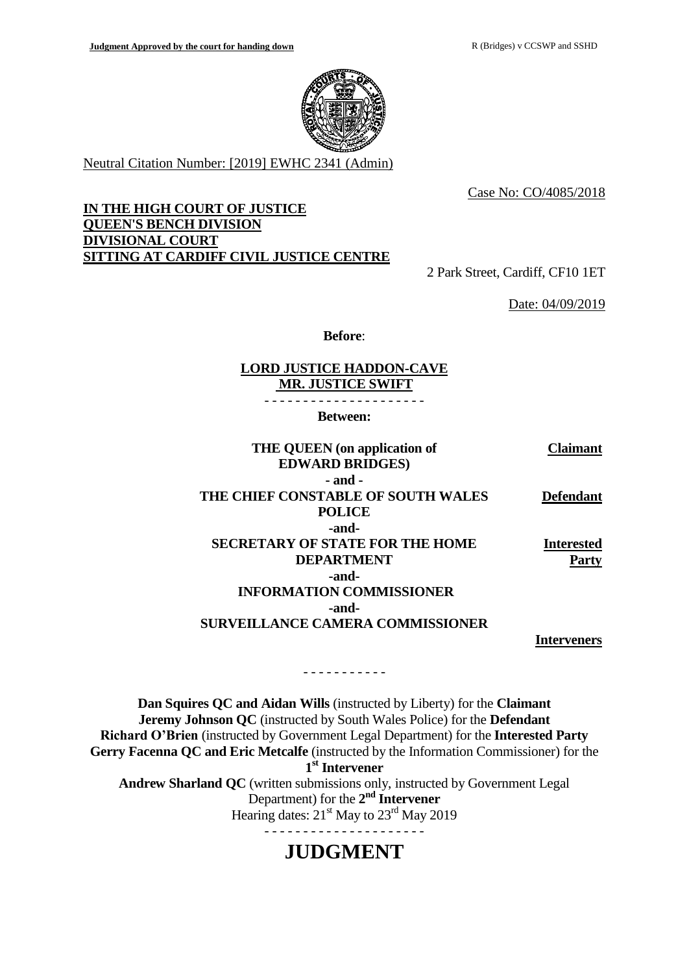

Neutral Citation Number: [2019] EWHC 2341 (Admin)

Case No: CO/4085/2018

## **IN THE HIGH COURT OF JUSTICE QUEEN'S BENCH DIVISION DIVISIONAL COURT SITTING AT CARDIFF CIVIL JUSTICE CENTRE**

2 Park Street, Cardiff, CF10 1ET

Date: 04/09/2019

**Before**:

### **LORD JUSTICE HADDON-CAVE MR. JUSTICE SWIFT**

- - - - - - - - - - - - - - - - - - - - -

**Between:**

| THE QUEEN (on application of            | Claimant)         |
|-----------------------------------------|-------------------|
| <b>EDWARD BRIDGES)</b>                  |                   |
| - and -                                 |                   |
| THE CHIEF CONSTABLE OF SOUTH WALES      | <b>Defendant</b>  |
| <b>POLICE</b>                           |                   |
| -and-                                   |                   |
| <b>SECRETARY OF STATE FOR THE HOME</b>  | <b>Interested</b> |
| <b>DEPARTMENT</b>                       | Part              |
| -and-                                   |                   |
| <b>INFORMATION COMMISSIONER</b>         |                   |
| -and-                                   |                   |
| <b>SURVEILLANCE CAMERA COMMISSIONER</b> |                   |
|                                         | nterveners        |

**Dan Squires QC and Aidan Wills** (instructed by Liberty) for the **Claimant Jeremy Johnson QC** (instructed by South Wales Police) for the **Defendant Richard O'Brien** (instructed by Government Legal Department) for the **Interested Party Gerry Facenna QC and Eric Metcalfe** (instructed by the Information Commissioner) for the **1 st Intervener Andrew Sharland QC** (written submissions only, instructed by Government Legal Department) for the 2<sup>nd</sup> **Intervener** Hearing dates:  $21^{\text{st}}$  May to  $23^{\text{rd}}$  May 2019 - - - - - - - - - - - - - - - - - - - - -

- - - - - - - - - - -

# **JUDGMENT**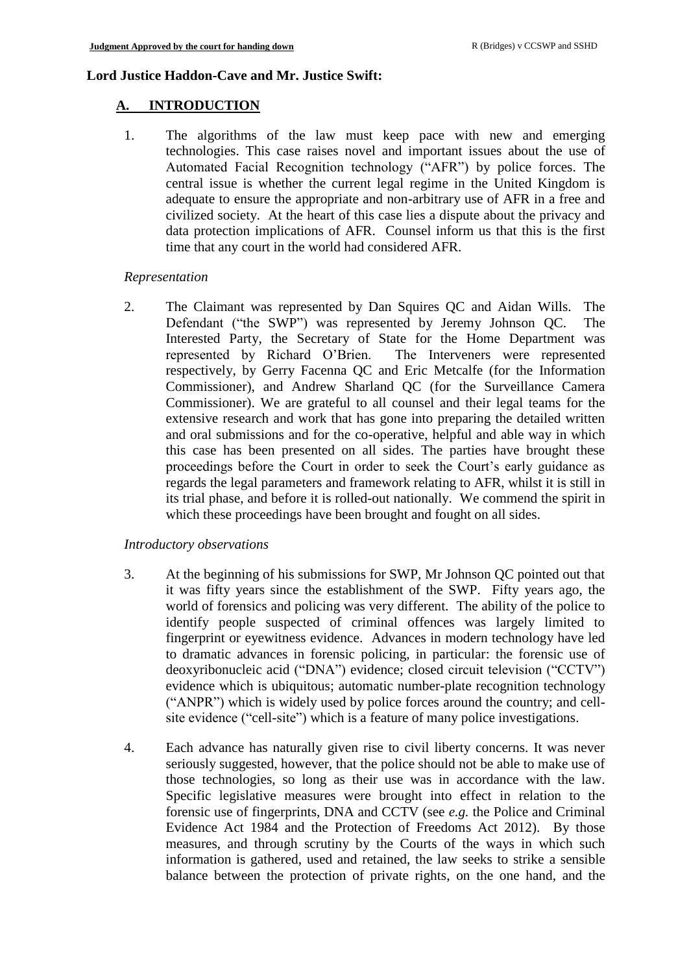### **Lord Justice Haddon-Cave and Mr. Justice Swift:**

## **A. INTRODUCTION**

1. The algorithms of the law must keep pace with new and emerging technologies. This case raises novel and important issues about the use of Automated Facial Recognition technology ("AFR") by police forces. The central issue is whether the current legal regime in the United Kingdom is adequate to ensure the appropriate and non-arbitrary use of AFR in a free and civilized society. At the heart of this case lies a dispute about the privacy and data protection implications of AFR. Counsel inform us that this is the first time that any court in the world had considered AFR.

### *Representation*

2. The Claimant was represented by Dan Squires QC and Aidan Wills. The Defendant ("the SWP") was represented by Jeremy Johnson QC. The Interested Party, the Secretary of State for the Home Department was represented by Richard O'Brien. The Interveners were represented respectively, by Gerry Facenna QC and Eric Metcalfe (for the Information Commissioner), and Andrew Sharland QC (for the Surveillance Camera Commissioner). We are grateful to all counsel and their legal teams for the extensive research and work that has gone into preparing the detailed written and oral submissions and for the co-operative, helpful and able way in which this case has been presented on all sides. The parties have brought these proceedings before the Court in order to seek the Court's early guidance as regards the legal parameters and framework relating to AFR, whilst it is still in its trial phase, and before it is rolled-out nationally. We commend the spirit in which these proceedings have been brought and fought on all sides.

## *Introductory observations*

- 3. At the beginning of his submissions for SWP, Mr Johnson QC pointed out that it was fifty years since the establishment of the SWP. Fifty years ago, the world of forensics and policing was very different. The ability of the police to identify people suspected of criminal offences was largely limited to fingerprint or eyewitness evidence. Advances in modern technology have led to dramatic advances in forensic policing, in particular: the forensic use of deoxyribonucleic acid ("DNA") evidence; closed circuit television ("CCTV") evidence which is ubiquitous; automatic number-plate recognition technology ("ANPR") which is widely used by police forces around the country; and cellsite evidence ("cell-site") which is a feature of many police investigations.
- 4. Each advance has naturally given rise to civil liberty concerns. It was never seriously suggested, however, that the police should not be able to make use of those technologies, so long as their use was in accordance with the law. Specific legislative measures were brought into effect in relation to the forensic use of fingerprints, DNA and CCTV (see *e.g.* the Police and Criminal Evidence Act 1984 and the Protection of Freedoms Act 2012). By those measures, and through scrutiny by the Courts of the ways in which such information is gathered, used and retained, the law seeks to strike a sensible balance between the protection of private rights, on the one hand, and the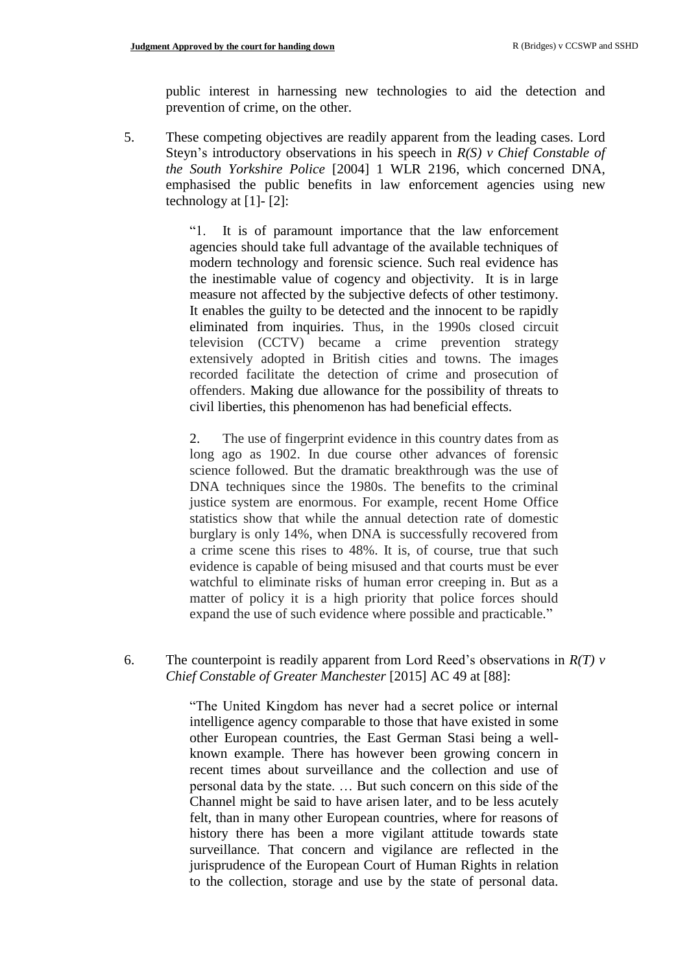public interest in harnessing new technologies to aid the detection and prevention of crime, on the other.

5. These competing objectives are readily apparent from the leading cases. Lord Steyn's introductory observations in his speech in *R(S) v Chief Constable of the South Yorkshire Police* [2004] 1 WLR 2196, which concerned DNA, emphasised the public benefits in law enforcement agencies using new technology at  $[1]$ - $[2]$ :

> "1. It is of paramount importance that the law enforcement agencies should take full advantage of the available techniques of modern technology and forensic science. Such real evidence has the inestimable value of cogency and objectivity. It is in large measure not affected by the subjective defects of other testimony. It enables the guilty to be detected and the innocent to be rapidly eliminated from inquiries. Thus, in the 1990s closed circuit television (CCTV) became a crime prevention strategy extensively adopted in British cities and towns. The images recorded facilitate the detection of crime and prosecution of offenders. Making due allowance for the possibility of threats to civil liberties, this phenomenon has had beneficial effects.

> 2. The use of fingerprint evidence in this country dates from as long ago as 1902. In due course other advances of forensic science followed. But the dramatic breakthrough was the use of DNA techniques since the 1980s. The benefits to the criminal justice system are enormous. For example, recent Home Office statistics show that while the annual detection rate of domestic burglary is only 14%, when DNA is successfully recovered from a crime scene this rises to 48%. It is, of course, true that such evidence is capable of being misused and that courts must be ever watchful to eliminate risks of human error creeping in. But as a matter of policy it is a high priority that police forces should expand the use of such evidence where possible and practicable."

### 6. The counterpoint is readily apparent from Lord Reed's observations in *R(T) v Chief Constable of Greater Manchester* [2015] AC 49 at [88]:

"The United Kingdom has never had a secret police or internal intelligence agency comparable to those that have existed in some other European countries, the East German Stasi being a wellknown example. There has however been growing concern in recent times about surveillance and the collection and use of personal data by the state. … But such concern on this side of the Channel might be said to have arisen later, and to be less acutely felt, than in many other European countries, where for reasons of history there has been a more vigilant attitude towards state surveillance. That concern and vigilance are reflected in the jurisprudence of the European Court of Human Rights in relation to the collection, storage and use by the state of personal data.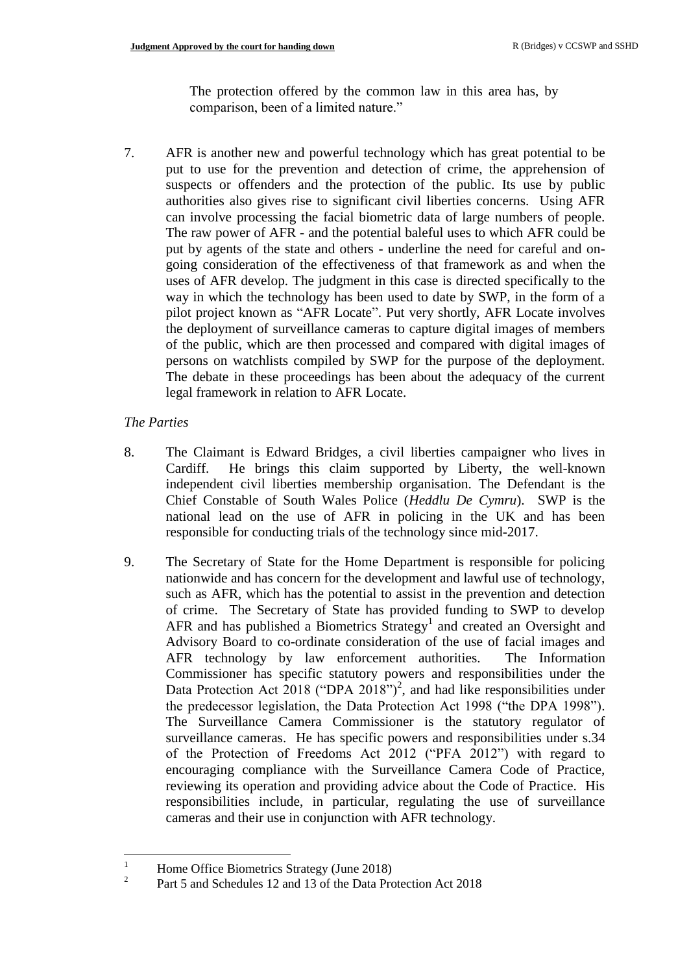The protection offered by the common law in this area has, by comparison, been of a limited nature."

7. AFR is another new and powerful technology which has great potential to be put to use for the prevention and detection of crime, the apprehension of suspects or offenders and the protection of the public. Its use by public authorities also gives rise to significant civil liberties concerns. Using AFR can involve processing the facial biometric data of large numbers of people. The raw power of AFR - and the potential baleful uses to which AFR could be put by agents of the state and others - underline the need for careful and ongoing consideration of the effectiveness of that framework as and when the uses of AFR develop. The judgment in this case is directed specifically to the way in which the technology has been used to date by SWP, in the form of a pilot project known as "AFR Locate". Put very shortly, AFR Locate involves the deployment of surveillance cameras to capture digital images of members of the public, which are then processed and compared with digital images of persons on watchlists compiled by SWP for the purpose of the deployment. The debate in these proceedings has been about the adequacy of the current legal framework in relation to AFR Locate.

## *The Parties*

- 8. The Claimant is Edward Bridges, a civil liberties campaigner who lives in Cardiff. He brings this claim supported by Liberty, the well-known independent civil liberties membership organisation. The Defendant is the Chief Constable of South Wales Police (*Heddlu De Cymru*). SWP is the national lead on the use of AFR in policing in the UK and has been responsible for conducting trials of the technology since mid-2017.
- 9. The Secretary of State for the Home Department is responsible for policing nationwide and has concern for the development and lawful use of technology, such as AFR, which has the potential to assist in the prevention and detection of crime. The Secretary of State has provided funding to SWP to develop AFR and has published a Biometrics Strategy<sup>1</sup> and created an Oversight and Advisory Board to co-ordinate consideration of the use of facial images and AFR technology by law enforcement authorities. The Information Commissioner has specific statutory powers and responsibilities under the Data Protection Act 2018 ("DPA 2018")<sup>2</sup>, and had like responsibilities under the predecessor legislation, the Data Protection Act 1998 ("the DPA 1998"). The Surveillance Camera Commissioner is the statutory regulator of surveillance cameras. He has specific powers and responsibilities under s.34 of the Protection of Freedoms Act 2012 ("PFA 2012") with regard to encouraging compliance with the Surveillance Camera Code of Practice, reviewing its operation and providing advice about the Code of Practice. His responsibilities include, in particular, regulating the use of surveillance cameras and their use in conjunction with AFR technology.

 $\,1\,$ <sup>1</sup> Home Office Biometrics Strategy (June 2018) 2

Part 5 and Schedules 12 and 13 of the Data Protection Act 2018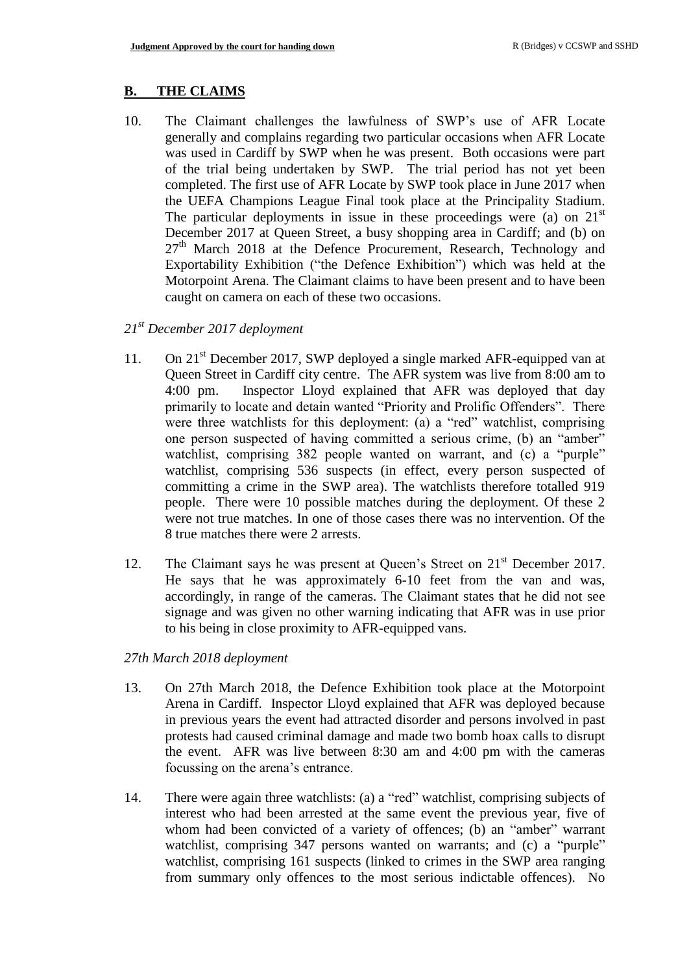#### **B. THE CLAIMS**

10. The Claimant challenges the lawfulness of SWP's use of AFR Locate generally and complains regarding two particular occasions when AFR Locate was used in Cardiff by SWP when he was present. Both occasions were part of the trial being undertaken by SWP. The trial period has not yet been completed. The first use of AFR Locate by SWP took place in June 2017 when the UEFA Champions League Final took place at the Principality Stadium. The particular deployments in issue in these proceedings were (a) on  $21<sup>st</sup>$ December 2017 at Queen Street, a busy shopping area in Cardiff; and (b) on  $27<sup>th</sup>$  March 2018 at the Defence Procurement, Research, Technology and Exportability Exhibition ("the Defence Exhibition") which was held at the Motorpoint Arena. The Claimant claims to have been present and to have been caught on camera on each of these two occasions.

#### *21st December 2017 deployment*

- 11. On 21<sup>st</sup> December 2017, SWP deployed a single marked AFR-equipped van at Queen Street in Cardiff city centre. The AFR system was live from 8:00 am to 4:00 pm. Inspector Lloyd explained that AFR was deployed that day primarily to locate and detain wanted "Priority and Prolific Offenders". There were three watchlists for this deployment: (a) a "red" watchlist, comprising one person suspected of having committed a serious crime, (b) an "amber" watchlist, comprising 382 people wanted on warrant, and (c) a "purple" watchlist, comprising 536 suspects (in effect, every person suspected of committing a crime in the SWP area). The watchlists therefore totalled 919 people. There were 10 possible matches during the deployment. Of these 2 were not true matches. In one of those cases there was no intervention. Of the 8 true matches there were 2 arrests.
- 12. The Claimant says he was present at Queen's Street on 21<sup>st</sup> December 2017. He says that he was approximately 6-10 feet from the van and was, accordingly, in range of the cameras. The Claimant states that he did not see signage and was given no other warning indicating that AFR was in use prior to his being in close proximity to AFR-equipped vans.

#### *27th March 2018 deployment*

- 13. On 27th March 2018, the Defence Exhibition took place at the Motorpoint Arena in Cardiff. Inspector Lloyd explained that AFR was deployed because in previous years the event had attracted disorder and persons involved in past protests had caused criminal damage and made two bomb hoax calls to disrupt the event. AFR was live between 8:30 am and 4:00 pm with the cameras focussing on the arena's entrance.
- 14. There were again three watchlists: (a) a "red" watchlist, comprising subjects of interest who had been arrested at the same event the previous year, five of whom had been convicted of a variety of offences; (b) an "amber" warrant watchlist, comprising 347 persons wanted on warrants; and (c) a "purple" watchlist, comprising 161 suspects (linked to crimes in the SWP area ranging from summary only offences to the most serious indictable offences). No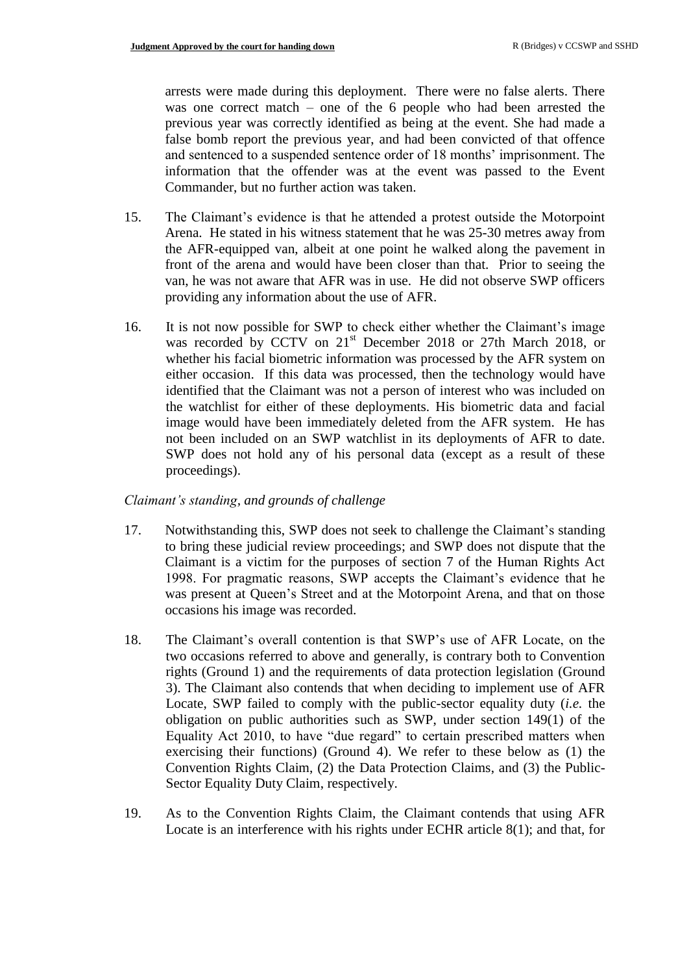arrests were made during this deployment. There were no false alerts. There was one correct match – one of the 6 people who had been arrested the previous year was correctly identified as being at the event. She had made a false bomb report the previous year, and had been convicted of that offence and sentenced to a suspended sentence order of 18 months' imprisonment. The information that the offender was at the event was passed to the Event Commander, but no further action was taken.

- 15. The Claimant's evidence is that he attended a protest outside the Motorpoint Arena. He stated in his witness statement that he was 25-30 metres away from the AFR-equipped van, albeit at one point he walked along the pavement in front of the arena and would have been closer than that. Prior to seeing the van, he was not aware that AFR was in use. He did not observe SWP officers providing any information about the use of AFR.
- 16. It is not now possible for SWP to check either whether the Claimant's image was recorded by CCTV on 21<sup>st</sup> December 2018 or 27th March 2018, or whether his facial biometric information was processed by the AFR system on either occasion. If this data was processed, then the technology would have identified that the Claimant was not a person of interest who was included on the watchlist for either of these deployments. His biometric data and facial image would have been immediately deleted from the AFR system. He has not been included on an SWP watchlist in its deployments of AFR to date. SWP does not hold any of his personal data (except as a result of these proceedings).

#### *Claimant's standing, and grounds of challenge*

- 17. Notwithstanding this, SWP does not seek to challenge the Claimant's standing to bring these judicial review proceedings; and SWP does not dispute that the Claimant is a victim for the purposes of section 7 of the Human Rights Act 1998. For pragmatic reasons, SWP accepts the Claimant's evidence that he was present at Queen's Street and at the Motorpoint Arena, and that on those occasions his image was recorded.
- 18. The Claimant's overall contention is that SWP's use of AFR Locate, on the two occasions referred to above and generally, is contrary both to Convention rights (Ground 1) and the requirements of data protection legislation (Ground 3). The Claimant also contends that when deciding to implement use of AFR Locate, SWP failed to comply with the public-sector equality duty (*i.e.* the obligation on public authorities such as SWP, under section 149(1) of the Equality Act 2010, to have "due regard" to certain prescribed matters when exercising their functions) (Ground 4). We refer to these below as (1) the Convention Rights Claim, (2) the Data Protection Claims, and (3) the Public-Sector Equality Duty Claim, respectively.
- 19. As to the Convention Rights Claim, the Claimant contends that using AFR Locate is an interference with his rights under ECHR article 8(1); and that, for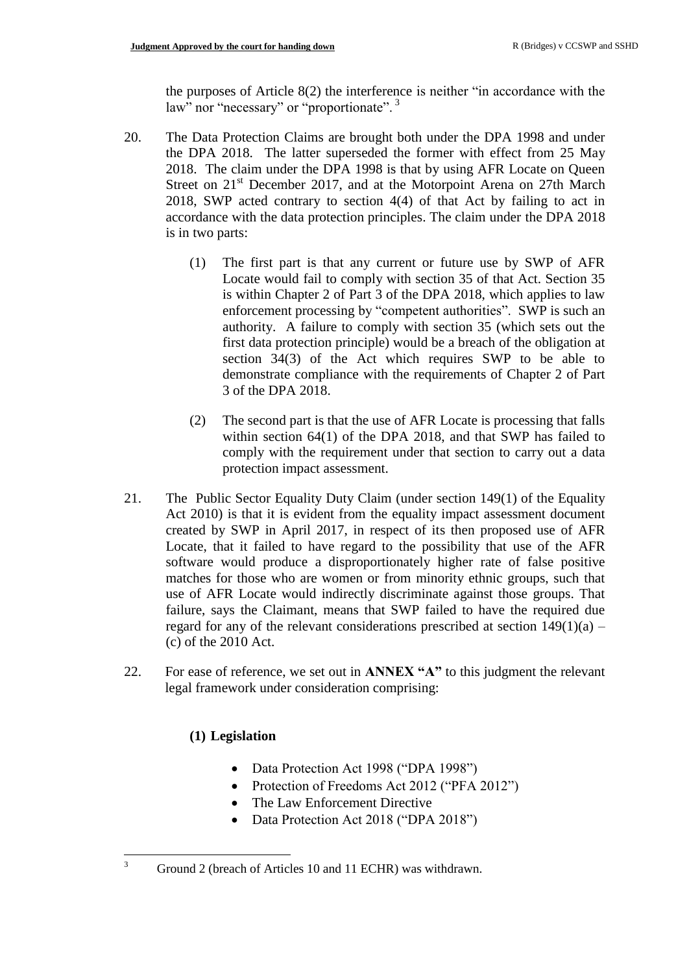the purposes of Article 8(2) the interference is neither "in accordance with the law" nor "necessary" or "proportionate".<sup>3</sup>

- 20. The Data Protection Claims are brought both under the DPA 1998 and under the DPA 2018. The latter superseded the former with effect from 25 May 2018. The claim under the DPA 1998 is that by using AFR Locate on Queen Street on  $21<sup>st</sup>$  December 2017, and at the Motorpoint Arena on 27th March 2018, SWP acted contrary to section 4(4) of that Act by failing to act in accordance with the data protection principles. The claim under the DPA 2018 is in two parts:
	- (1) The first part is that any current or future use by SWP of AFR Locate would fail to comply with section 35 of that Act. Section 35 is within Chapter 2 of Part 3 of the DPA 2018, which applies to law enforcement processing by "competent authorities". SWP is such an authority. A failure to comply with section 35 (which sets out the first data protection principle) would be a breach of the obligation at section 34(3) of the Act which requires SWP to be able to demonstrate compliance with the requirements of Chapter 2 of Part 3 of the DPA 2018.
	- (2) The second part is that the use of AFR Locate is processing that falls within section 64(1) of the DPA 2018, and that SWP has failed to comply with the requirement under that section to carry out a data protection impact assessment.
- 21. The Public Sector Equality Duty Claim (under section 149(1) of the Equality Act 2010) is that it is evident from the equality impact assessment document created by SWP in April 2017, in respect of its then proposed use of AFR Locate, that it failed to have regard to the possibility that use of the AFR software would produce a disproportionately higher rate of false positive matches for those who are women or from minority ethnic groups, such that use of AFR Locate would indirectly discriminate against those groups. That failure, says the Claimant, means that SWP failed to have the required due regard for any of the relevant considerations prescribed at section  $149(1)(a)$  – (c) of the 2010 Act.
- 22. For ease of reference, we set out in **ANNEX "A"** to this judgment the relevant legal framework under consideration comprising:

## **(1) Legislation**

 $\overline{3}$ 

- Data Protection Act 1998 ("DPA 1998")
- Protection of Freedoms Act 2012 ("PFA 2012")
- The Law Enforcement Directive
- Data Protection Act 2018 ("DPA 2018")

Ground 2 (breach of Articles 10 and 11 ECHR) was withdrawn.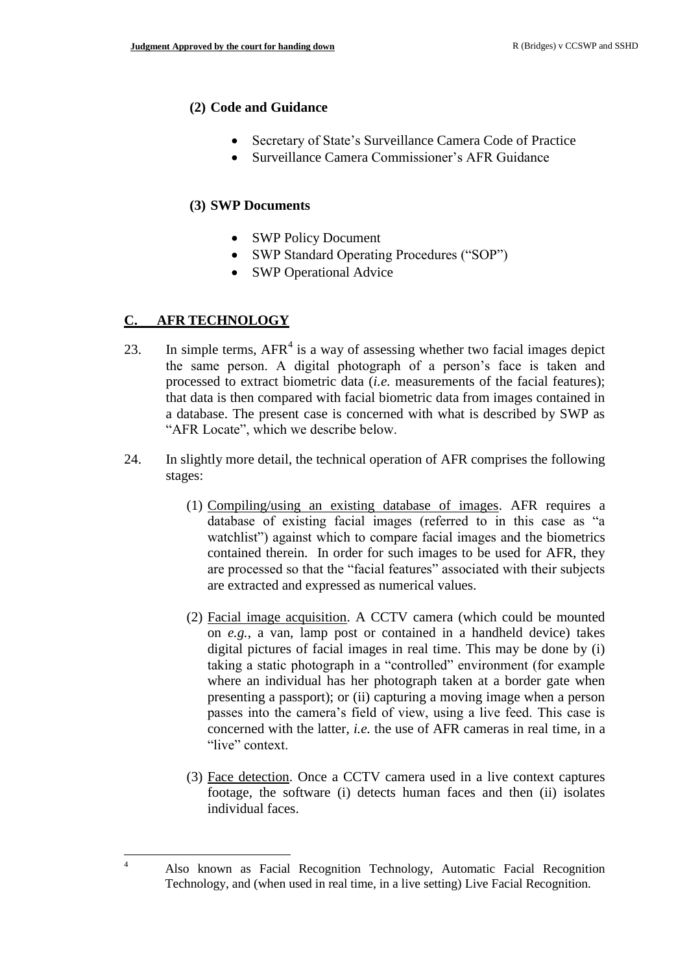#### **(2) Code and Guidance**

- Secretary of State's Surveillance Camera Code of Practice
- Surveillance Camera Commissioner's AFR Guidance

### **(3) SWP Documents**

- SWP Policy Document
- SWP Standard Operating Procedures ("SOP")
- SWP Operational Advice

### **C. AFR TECHNOLOGY**

 $\overline{4}$ 

- 23. In simple terms,  $AFR<sup>4</sup>$  is a way of assessing whether two facial images depict the same person. A digital photograph of a person's face is taken and processed to extract biometric data (*i.e.* measurements of the facial features); that data is then compared with facial biometric data from images contained in a database. The present case is concerned with what is described by SWP as "AFR Locate", which we describe below.
- 24. In slightly more detail, the technical operation of AFR comprises the following stages:
	- (1) Compiling/using an existing database of images. AFR requires a database of existing facial images (referred to in this case as "a watchlist") against which to compare facial images and the biometrics contained therein. In order for such images to be used for AFR, they are processed so that the "facial features" associated with their subjects are extracted and expressed as numerical values.
	- (2) Facial image acquisition. A CCTV camera (which could be mounted on *e.g.*, a van, lamp post or contained in a handheld device) takes digital pictures of facial images in real time. This may be done by (i) taking a static photograph in a "controlled" environment (for example where an individual has her photograph taken at a border gate when presenting a passport); or (ii) capturing a moving image when a person passes into the camera's field of view, using a live feed. This case is concerned with the latter, *i.e.* the use of AFR cameras in real time, in a "live" context.
	- (3) Face detection. Once a CCTV camera used in a live context captures footage, the software (i) detects human faces and then (ii) isolates individual faces.

<sup>4</sup> Also known as Facial Recognition Technology, Automatic Facial Recognition Technology, and (when used in real time, in a live setting) Live Facial Recognition.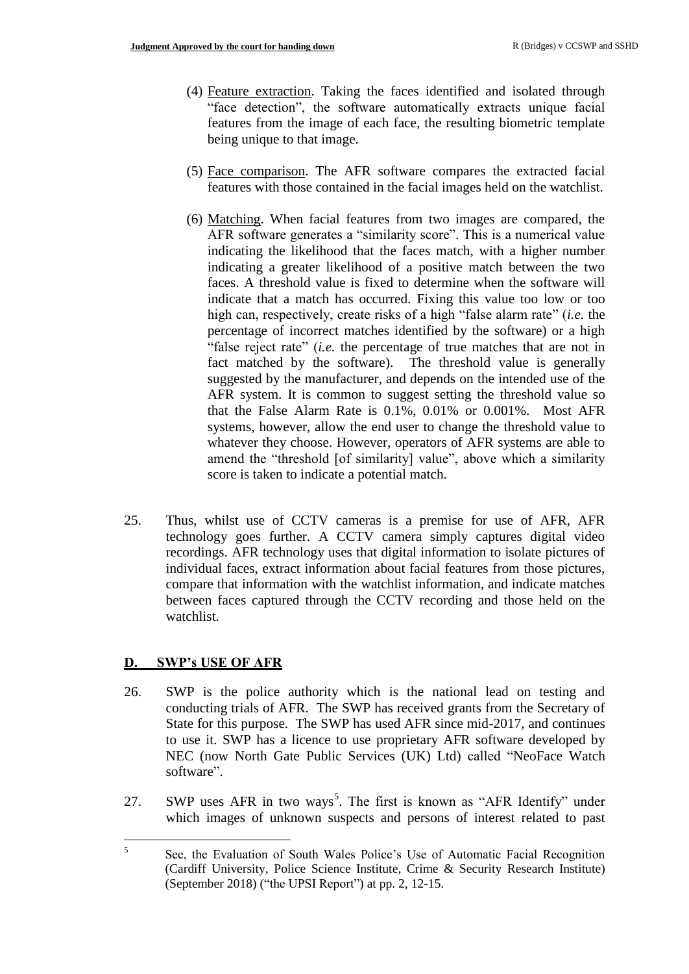- (4) Feature extraction. Taking the faces identified and isolated through "face detection", the software automatically extracts unique facial features from the image of each face, the resulting biometric template being unique to that image.
- (5) Face comparison. The AFR software compares the extracted facial features with those contained in the facial images held on the watchlist.
- (6) Matching. When facial features from two images are compared, the AFR software generates a "similarity score". This is a numerical value indicating the likelihood that the faces match, with a higher number indicating a greater likelihood of a positive match between the two faces. A threshold value is fixed to determine when the software will indicate that a match has occurred. Fixing this value too low or too high can, respectively, create risks of a high "false alarm rate" (*i.e.* the percentage of incorrect matches identified by the software) or a high "false reject rate" (*i.e.* the percentage of true matches that are not in fact matched by the software). The threshold value is generally suggested by the manufacturer, and depends on the intended use of the AFR system. It is common to suggest setting the threshold value so that the False Alarm Rate is 0.1%, 0.01% or 0.001%. Most AFR systems, however, allow the end user to change the threshold value to whatever they choose. However, operators of AFR systems are able to amend the "threshold [of similarity] value", above which a similarity score is taken to indicate a potential match.
- 25. Thus, whilst use of CCTV cameras is a premise for use of AFR, AFR technology goes further. A CCTV camera simply captures digital video recordings. AFR technology uses that digital information to isolate pictures of individual faces, extract information about facial features from those pictures, compare that information with the watchlist information, and indicate matches between faces captured through the CCTV recording and those held on the watchlist.

## **D. SWP's USE OF AFR**

- 26. SWP is the police authority which is the national lead on testing and conducting trials of AFR. The SWP has received grants from the Secretary of State for this purpose. The SWP has used AFR since mid-2017, and continues to use it. SWP has a licence to use proprietary AFR software developed by NEC (now North Gate Public Services (UK) Ltd) called "NeoFace Watch software".
- 27. SWP uses AFR in two ways<sup>5</sup>. The first is known as "AFR Identify" under which images of unknown suspects and persons of interest related to past

 5 See, the Evaluation of South Wales Police's Use of Automatic Facial Recognition (Cardiff University, Police Science Institute, Crime & Security Research Institute) (September 2018) ("the UPSI Report") at pp. 2, 12-15.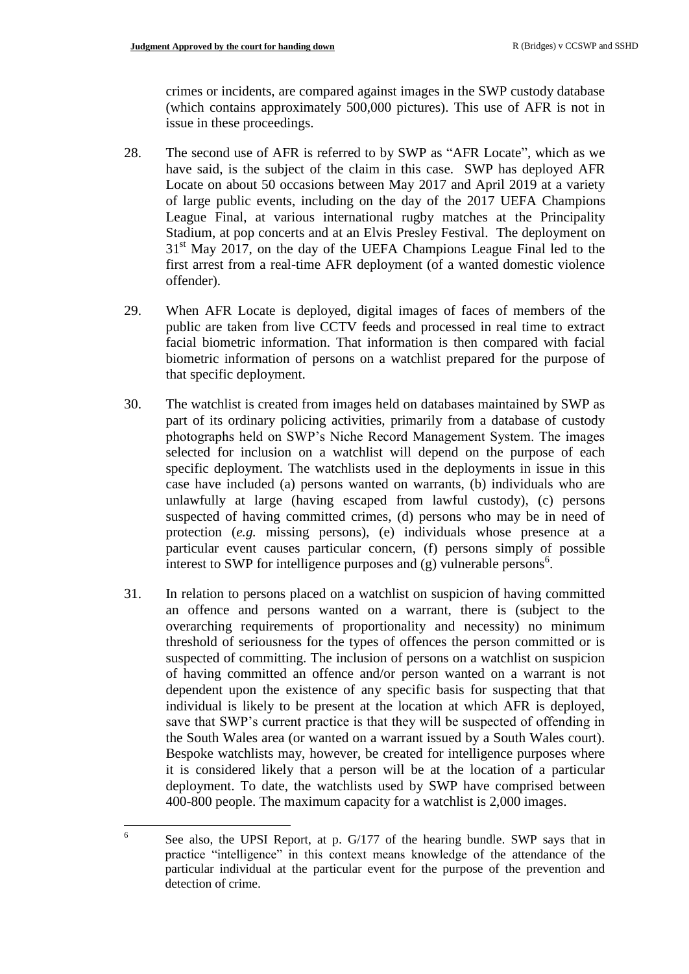crimes or incidents, are compared against images in the SWP custody database (which contains approximately 500,000 pictures). This use of AFR is not in issue in these proceedings.

- 28. The second use of AFR is referred to by SWP as "AFR Locate", which as we have said, is the subject of the claim in this case. SWP has deployed AFR Locate on about 50 occasions between May 2017 and April 2019 at a variety of large public events, including on the day of the 2017 UEFA Champions League Final, at various international rugby matches at the Principality Stadium, at pop concerts and at an Elvis Presley Festival. The deployment on 31<sup>st</sup> May 2017, on the day of the UEFA Champions League Final led to the first arrest from a real-time AFR deployment (of a wanted domestic violence offender).
- 29. When AFR Locate is deployed, digital images of faces of members of the public are taken from live CCTV feeds and processed in real time to extract facial biometric information. That information is then compared with facial biometric information of persons on a watchlist prepared for the purpose of that specific deployment.
- 30. The watchlist is created from images held on databases maintained by SWP as part of its ordinary policing activities, primarily from a database of custody photographs held on SWP's Niche Record Management System. The images selected for inclusion on a watchlist will depend on the purpose of each specific deployment. The watchlists used in the deployments in issue in this case have included (a) persons wanted on warrants, (b) individuals who are unlawfully at large (having escaped from lawful custody), (c) persons suspected of having committed crimes, (d) persons who may be in need of protection (*e.g.* missing persons), (e) individuals whose presence at a particular event causes particular concern, (f) persons simply of possible interest to SWP for intelligence purposes and  $(g)$  vulnerable persons<sup>6</sup>.
- 31. In relation to persons placed on a watchlist on suspicion of having committed an offence and persons wanted on a warrant, there is (subject to the overarching requirements of proportionality and necessity) no minimum threshold of seriousness for the types of offences the person committed or is suspected of committing. The inclusion of persons on a watchlist on suspicion of having committed an offence and/or person wanted on a warrant is not dependent upon the existence of any specific basis for suspecting that that individual is likely to be present at the location at which AFR is deployed, save that SWP's current practice is that they will be suspected of offending in the South Wales area (or wanted on a warrant issued by a South Wales court). Bespoke watchlists may, however, be created for intelligence purposes where it is considered likely that a person will be at the location of a particular deployment. To date, the watchlists used by SWP have comprised between 400-800 people. The maximum capacity for a watchlist is 2,000 images.

 $\frac{1}{6}$ See also, the UPSI Report, at p. G/177 of the hearing bundle. SWP says that in practice "intelligence" in this context means knowledge of the attendance of the particular individual at the particular event for the purpose of the prevention and detection of crime.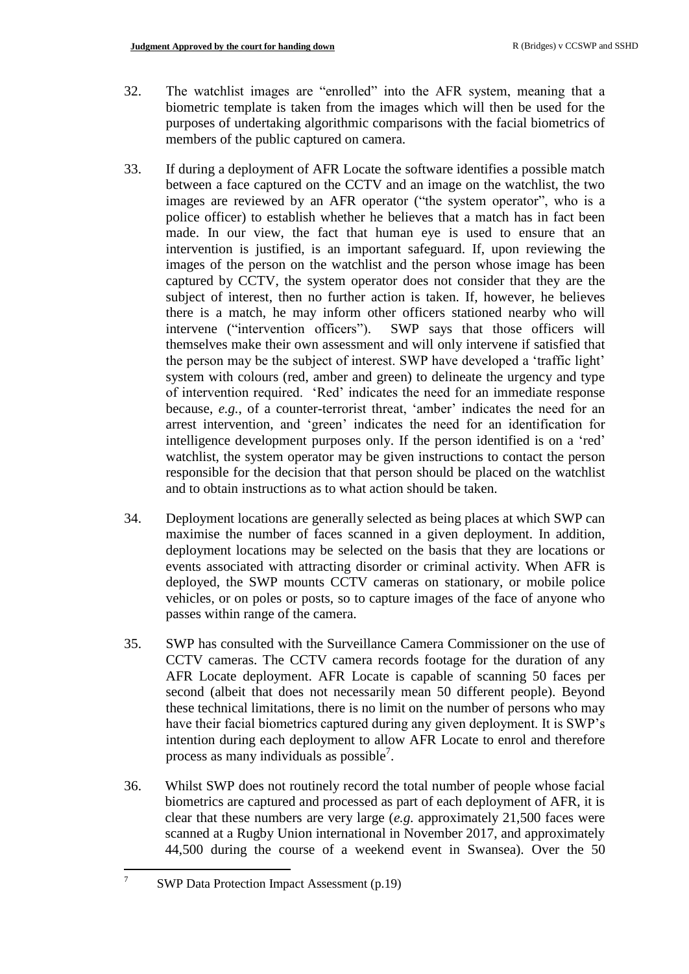- 32. The watchlist images are "enrolled" into the AFR system, meaning that a biometric template is taken from the images which will then be used for the purposes of undertaking algorithmic comparisons with the facial biometrics of members of the public captured on camera.
- 33. If during a deployment of AFR Locate the software identifies a possible match between a face captured on the CCTV and an image on the watchlist, the two images are reviewed by an AFR operator ("the system operator", who is a police officer) to establish whether he believes that a match has in fact been made. In our view, the fact that human eye is used to ensure that an intervention is justified, is an important safeguard. If, upon reviewing the images of the person on the watchlist and the person whose image has been captured by CCTV, the system operator does not consider that they are the subject of interest, then no further action is taken. If, however, he believes there is a match, he may inform other officers stationed nearby who will intervene ("intervention officers"). SWP says that those officers will themselves make their own assessment and will only intervene if satisfied that the person may be the subject of interest. SWP have developed a 'traffic light' system with colours (red, amber and green) to delineate the urgency and type of intervention required. 'Red' indicates the need for an immediate response because, *e.g.*, of a counter-terrorist threat, 'amber' indicates the need for an arrest intervention, and 'green' indicates the need for an identification for intelligence development purposes only. If the person identified is on a 'red' watchlist, the system operator may be given instructions to contact the person responsible for the decision that that person should be placed on the watchlist and to obtain instructions as to what action should be taken.
- 34. Deployment locations are generally selected as being places at which SWP can maximise the number of faces scanned in a given deployment. In addition, deployment locations may be selected on the basis that they are locations or events associated with attracting disorder or criminal activity. When AFR is deployed, the SWP mounts CCTV cameras on stationary, or mobile police vehicles, or on poles or posts, so to capture images of the face of anyone who passes within range of the camera.
- 35. SWP has consulted with the Surveillance Camera Commissioner on the use of CCTV cameras. The CCTV camera records footage for the duration of any AFR Locate deployment. AFR Locate is capable of scanning 50 faces per second (albeit that does not necessarily mean 50 different people). Beyond these technical limitations, there is no limit on the number of persons who may have their facial biometrics captured during any given deployment. It is SWP's intention during each deployment to allow AFR Locate to enrol and therefore process as many individuals as possible<sup>7</sup>.
- 36. Whilst SWP does not routinely record the total number of people whose facial biometrics are captured and processed as part of each deployment of AFR, it is clear that these numbers are very large (*e.g.* approximately 21,500 faces were scanned at a Rugby Union international in November 2017, and approximately 44,500 during the course of a weekend event in Swansea). Over the 50

—<br>7

SWP Data Protection Impact Assessment (p.19)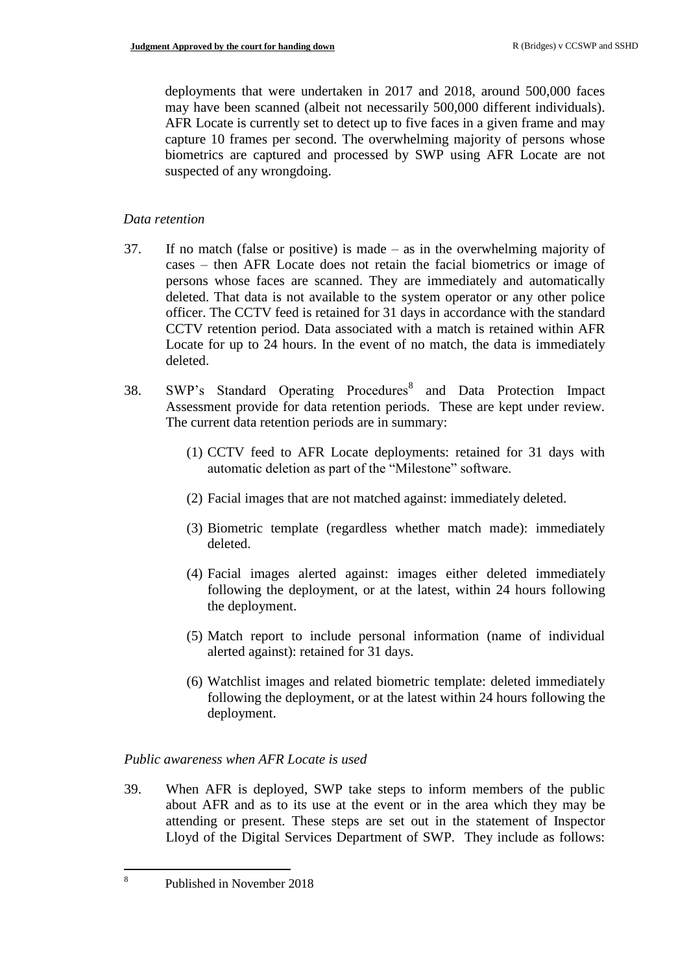deployments that were undertaken in 2017 and 2018, around 500,000 faces may have been scanned (albeit not necessarily 500,000 different individuals). AFR Locate is currently set to detect up to five faces in a given frame and may capture 10 frames per second. The overwhelming majority of persons whose biometrics are captured and processed by SWP using AFR Locate are not suspected of any wrongdoing.

## *Data retention*

- 37. If no match (false or positive) is made as in the overwhelming majority of cases – then AFR Locate does not retain the facial biometrics or image of persons whose faces are scanned. They are immediately and automatically deleted. That data is not available to the system operator or any other police officer. The CCTV feed is retained for 31 days in accordance with the standard CCTV retention period. Data associated with a match is retained within AFR Locate for up to 24 hours. In the event of no match, the data is immediately deleted.
- 38. SWP's Standard Operating Procedures<sup>8</sup> and Data Protection Impact Assessment provide for data retention periods. These are kept under review. The current data retention periods are in summary:
	- (1) CCTV feed to AFR Locate deployments: retained for 31 days with automatic deletion as part of the "Milestone" software.
	- (2) Facial images that are not matched against: immediately deleted.
	- (3) Biometric template (regardless whether match made): immediately deleted.
	- (4) Facial images alerted against: images either deleted immediately following the deployment, or at the latest, within 24 hours following the deployment.
	- (5) Match report to include personal information (name of individual alerted against): retained for 31 days.
	- (6) Watchlist images and related biometric template: deleted immediately following the deployment, or at the latest within 24 hours following the deployment.

## *Public awareness when AFR Locate is used*

39. When AFR is deployed, SWP take steps to inform members of the public about AFR and as to its use at the event or in the area which they may be attending or present. These steps are set out in the statement of Inspector Lloyd of the Digital Services Department of SWP. They include as follows:

Published in November 2018

8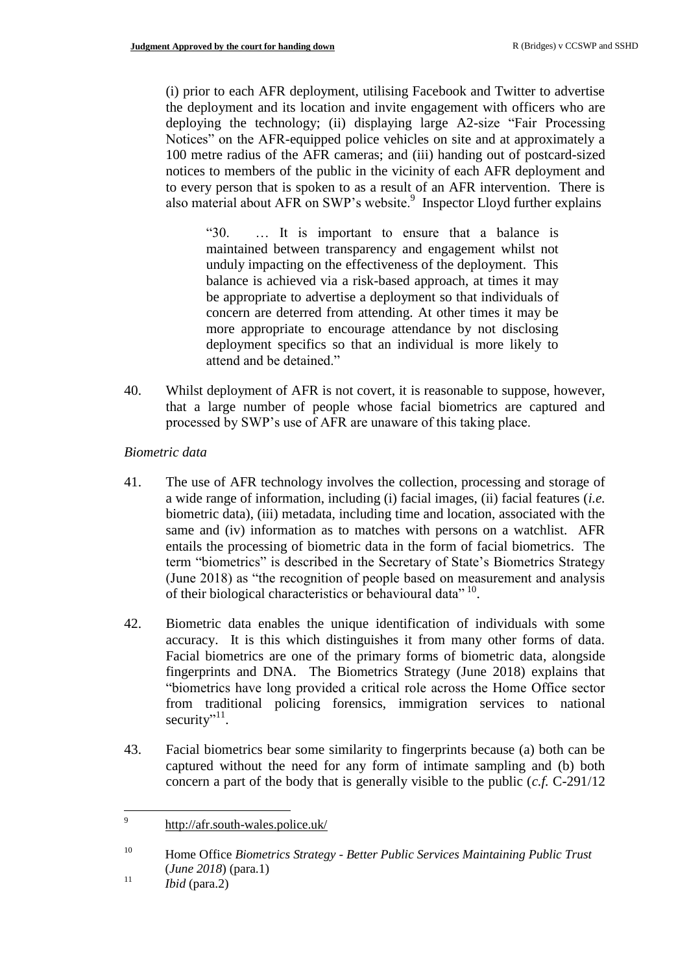(i) prior to each AFR deployment, utilising Facebook and Twitter to advertise the deployment and its location and invite engagement with officers who are deploying the technology; (ii) displaying large A2-size "Fair Processing Notices" on the AFR-equipped police vehicles on site and at approximately a 100 metre radius of the AFR cameras; and (iii) handing out of postcard-sized notices to members of the public in the vicinity of each AFR deployment and to every person that is spoken to as a result of an AFR intervention. There is also material about AFR on SWP's website.<sup>9</sup> Inspector Lloyd further explains

"30. … It is important to ensure that a balance is maintained between transparency and engagement whilst not unduly impacting on the effectiveness of the deployment. This balance is achieved via a risk-based approach, at times it may be appropriate to advertise a deployment so that individuals of concern are deterred from attending. At other times it may be more appropriate to encourage attendance by not disclosing deployment specifics so that an individual is more likely to attend and be detained."

40. Whilst deployment of AFR is not covert, it is reasonable to suppose, however, that a large number of people whose facial biometrics are captured and processed by SWP's use of AFR are unaware of this taking place.

### *Biometric data*

- 41. The use of AFR technology involves the collection, processing and storage of a wide range of information, including (i) facial images, (ii) facial features (*i.e.* biometric data), (iii) metadata, including time and location, associated with the same and (iv) information as to matches with persons on a watchlist. AFR entails the processing of biometric data in the form of facial biometrics. The term "biometrics" is described in the Secretary of State's Biometrics Strategy (June 2018) as "the recognition of people based on measurement and analysis of their biological characteristics or behavioural data"<sup>10</sup>.
- 42. Biometric data enables the unique identification of individuals with some accuracy. It is this which distinguishes it from many other forms of data. Facial biometrics are one of the primary forms of biometric data, alongside fingerprints and DNA. The Biometrics Strategy (June 2018) explains that "biometrics have long provided a critical role across the Home Office sector from traditional policing forensics, immigration services to national security"<sup>11</sup>.
- 43. Facial biometrics bear some similarity to fingerprints because (a) both can be captured without the need for any form of intimate sampling and (b) both concern a part of the body that is generally visible to the public (*c.f.* C-291/12

<sup>11</sup> *Ibid* (para.2)

<sup>-&</sup>lt;br>9 <http://afr.south-wales.police.uk/>

<sup>10</sup> Home Office *Biometrics Strategy - Better Public Services Maintaining Public Trust*  (*June 2018*) (para.1)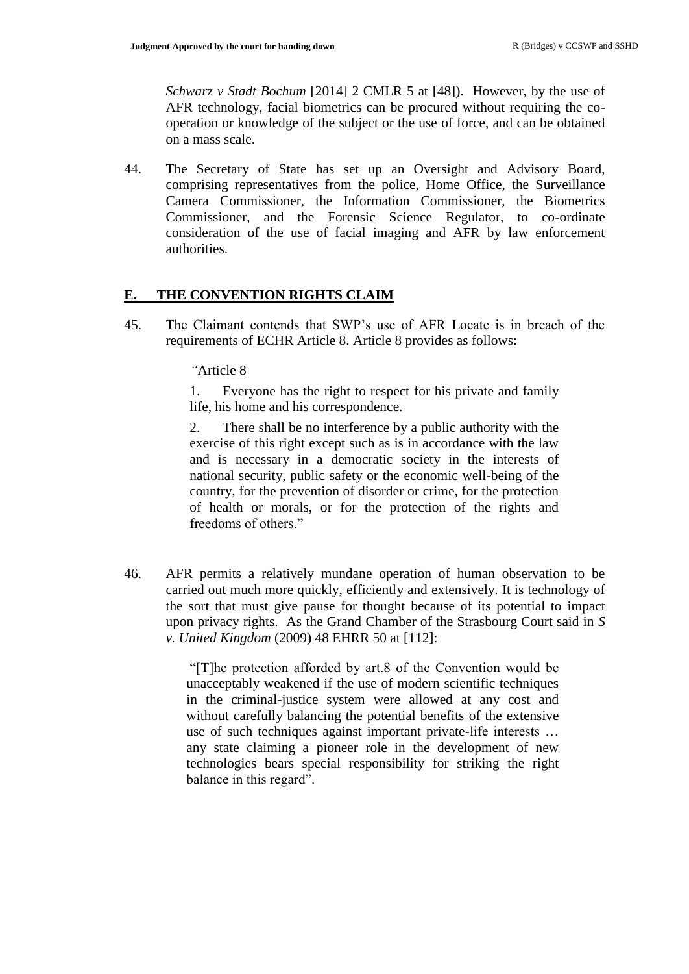*Schwarz v Stadt Bochum* [2014] 2 CMLR 5 at [48]). However, by the use of AFR technology, facial biometrics can be procured without requiring the cooperation or knowledge of the subject or the use of force, and can be obtained on a mass scale.

44. The Secretary of State has set up an Oversight and Advisory Board, comprising representatives from the police, Home Office, the Surveillance Camera Commissioner, the Information Commissioner, the Biometrics Commissioner, and the Forensic Science Regulator, to co-ordinate consideration of the use of facial imaging and AFR by law enforcement authorities.

### **E. THE CONVENTION RIGHTS CLAIM**

45. The Claimant contends that SWP's use of AFR Locate is in breach of the requirements of ECHR Article 8. Article 8 provides as follows:

### *"*Article 8

1. Everyone has the right to respect for his private and family life, his home and his correspondence.

2. There shall be no interference by a public authority with the exercise of this right except such as is in accordance with the law and is necessary in a democratic society in the interests of national security, public safety or the economic well-being of the country, for the prevention of disorder or crime, for the protection of health or morals, or for the protection of the rights and freedoms of others."

46. AFR permits a relatively mundane operation of human observation to be carried out much more quickly, efficiently and extensively. It is technology of the sort that must give pause for thought because of its potential to impact upon privacy rights. As the Grand Chamber of the Strasbourg Court said in *S v. United Kingdom* (2009) 48 EHRR 50 at [112]:

> "[T]he protection afforded by art.8 of the Convention would be unacceptably weakened if the use of modern scientific techniques in the criminal-justice system were allowed at any cost and without carefully balancing the potential benefits of the extensive use of such techniques against important private-life interests … any state claiming a pioneer role in the development of new technologies bears special responsibility for striking the right balance in this regard".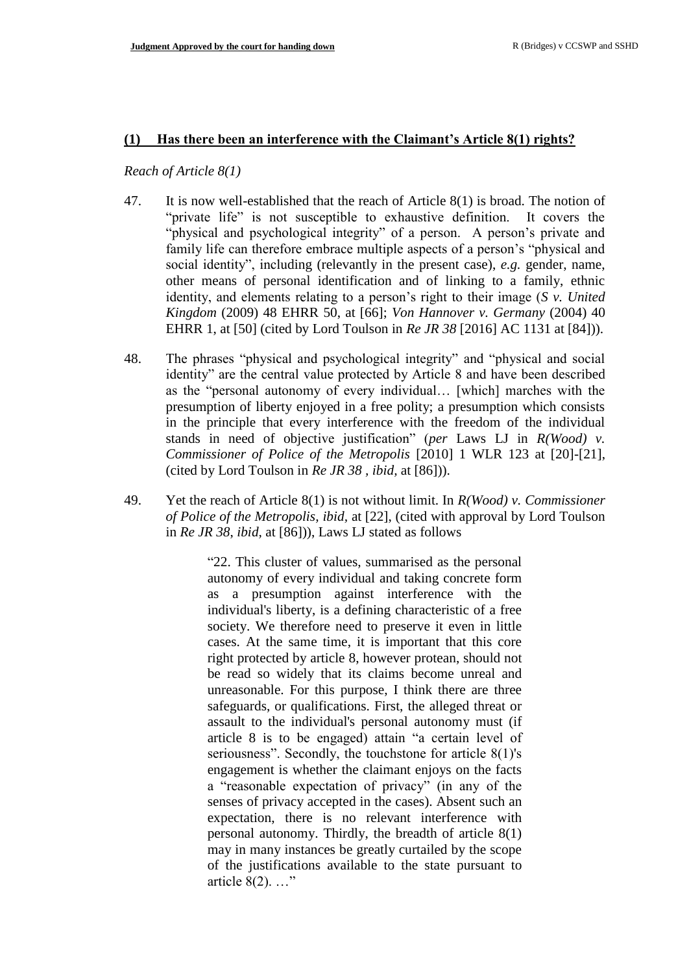#### **(1) Has there been an interference with the Claimant's Article 8(1) rights?**

*Reach of Article 8(1)*

- 47. It is now well-established that the reach of Article 8(1) is broad. The notion of "private life" is not susceptible to exhaustive definition. It covers the "physical and psychological integrity" of a person. A person's private and family life can therefore embrace multiple aspects of a person's "physical and social identity", including (relevantly in the present case), *e.g.* gender, name, other means of personal identification and of linking to a family, ethnic identity, and elements relating to a person's right to their image (*S v. United Kingdom* (2009) 48 EHRR 50, at [66]; *Von Hannover v. Germany* (2004) 40 EHRR 1, at [50] (cited by Lord Toulson in *Re JR 38* [2016] AC 1131 at [84])).
- 48. The phrases "physical and psychological integrity" and "physical and social identity" are the central value protected by Article 8 and have been described as the "personal autonomy of every individual… [which] marches with the presumption of liberty enjoyed in a free polity; a presumption which consists in the principle that every interference with the freedom of the individual stands in need of objective justification" (*per* Laws LJ in *R(Wood) v. Commissioner of Police of the Metropolis* [2010] 1 WLR 123 at [20]-[21], (cited by Lord Toulson in *Re JR 38 , ibid,* at [86])).
- 49. Yet the reach of Article 8(1) is not without limit. In *R(Wood) v. Commissioner of Police of the Metropolis, ibid,* at [22], (cited with approval by Lord Toulson in *Re JR 38*, *ibid,* at [86])), Laws LJ stated as follows

"22. This cluster of values, summarised as the personal autonomy of every individual and taking concrete form as a presumption against interference with the individual's liberty, is a defining characteristic of a free society. We therefore need to preserve it even in little cases. At the same time, it is important that this core right protected by article 8, however protean, should not be read so widely that its claims become unreal and unreasonable. For this purpose, I think there are three safeguards, or qualifications. First, the alleged threat or assault to the individual's personal autonomy must (if article 8 is to be engaged) attain "a certain level of seriousness". Secondly, the touchstone for article 8(1)'s engagement is whether the claimant enjoys on the facts a "reasonable expectation of privacy" (in any of the senses of privacy accepted in the cases). Absent such an expectation, there is no relevant interference with personal autonomy. Thirdly, the breadth of article 8(1) may in many instances be greatly curtailed by the scope of the justifications available to the state pursuant to article 8(2). …"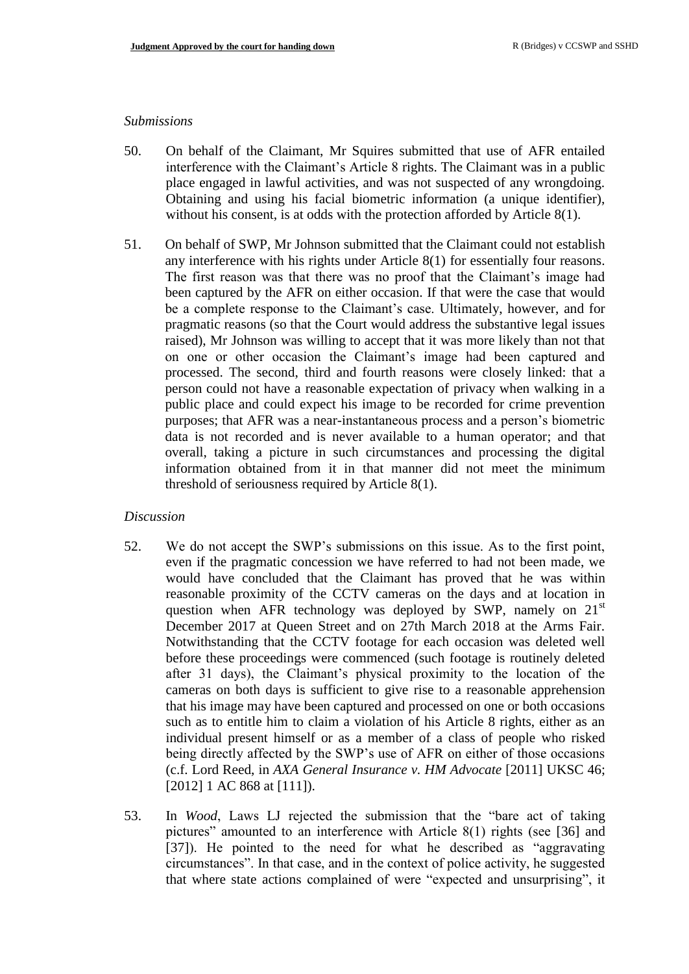#### *Submissions*

- 50. On behalf of the Claimant, Mr Squires submitted that use of AFR entailed interference with the Claimant's Article 8 rights. The Claimant was in a public place engaged in lawful activities, and was not suspected of any wrongdoing. Obtaining and using his facial biometric information (a unique identifier), without his consent, is at odds with the protection afforded by Article 8(1).
- 51. On behalf of SWP, Mr Johnson submitted that the Claimant could not establish any interference with his rights under Article 8(1) for essentially four reasons. The first reason was that there was no proof that the Claimant's image had been captured by the AFR on either occasion. If that were the case that would be a complete response to the Claimant's case. Ultimately, however, and for pragmatic reasons (so that the Court would address the substantive legal issues raised), Mr Johnson was willing to accept that it was more likely than not that on one or other occasion the Claimant's image had been captured and processed. The second, third and fourth reasons were closely linked: that a person could not have a reasonable expectation of privacy when walking in a public place and could expect his image to be recorded for crime prevention purposes; that AFR was a near-instantaneous process and a person's biometric data is not recorded and is never available to a human operator; and that overall, taking a picture in such circumstances and processing the digital information obtained from it in that manner did not meet the minimum threshold of seriousness required by Article 8(1).

#### *Discussion*

- 52. We do not accept the SWP's submissions on this issue. As to the first point, even if the pragmatic concession we have referred to had not been made, we would have concluded that the Claimant has proved that he was within reasonable proximity of the CCTV cameras on the days and at location in question when AFR technology was deployed by SWP, namely on  $21<sup>st</sup>$ December 2017 at Queen Street and on 27th March 2018 at the Arms Fair. Notwithstanding that the CCTV footage for each occasion was deleted well before these proceedings were commenced (such footage is routinely deleted after 31 days), the Claimant's physical proximity to the location of the cameras on both days is sufficient to give rise to a reasonable apprehension that his image may have been captured and processed on one or both occasions such as to entitle him to claim a violation of his Article 8 rights, either as an individual present himself or as a member of a class of people who risked being directly affected by the SWP's use of AFR on either of those occasions (c.f. Lord Reed, in *AXA General Insurance v. HM Advocate* [2011] UKSC 46; [2012] 1 AC 868 at [111]).
- 53. In *Wood*, Laws LJ rejected the submission that the "bare act of taking pictures" amounted to an interference with Article 8(1) rights (see [36] and [37]). He pointed to the need for what he described as "aggravating circumstances". In that case, and in the context of police activity, he suggested that where state actions complained of were "expected and unsurprising", it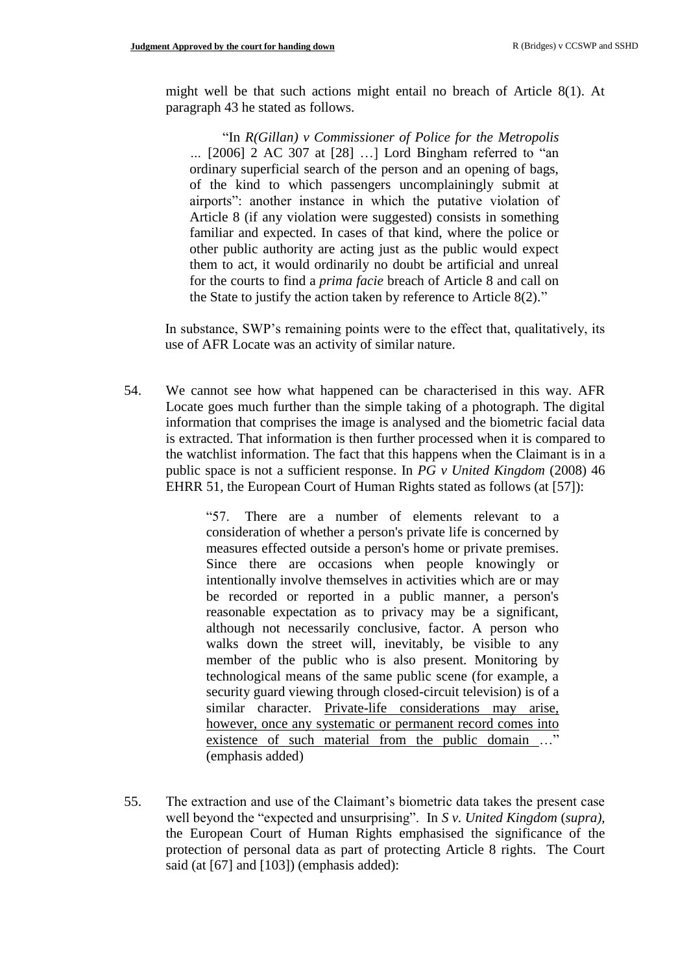might well be that such actions might entail no breach of Article 8(1). At paragraph 43 he stated as follows.

"In *R(Gillan) v Commissioner of Police for the Metropolis …* [2006] 2 AC 307 at [28] …] Lord Bingham referred to "an ordinary superficial search of the person and an opening of bags, of the kind to which passengers uncomplainingly submit at airports": another instance in which the putative violation of Article 8 (if any violation were suggested) consists in something familiar and expected. In cases of that kind, where the police or other public authority are acting just as the public would expect them to act, it would ordinarily no doubt be artificial and unreal for the courts to find a *prima facie* breach of Article 8 and call on the State to justify the action taken by reference to Article 8(2)."

In substance, SWP's remaining points were to the effect that, qualitatively, its use of AFR Locate was an activity of similar nature.

54. We cannot see how what happened can be characterised in this way. AFR Locate goes much further than the simple taking of a photograph. The digital information that comprises the image is analysed and the biometric facial data is extracted. That information is then further processed when it is compared to the watchlist information. The fact that this happens when the Claimant is in a public space is not a sufficient response. In *PG v United Kingdom* (2008) 46 EHRR 51, the European Court of Human Rights stated as follows (at [57]):

> "57. There are a number of elements relevant to a consideration of whether a person's private life is concerned by measures effected outside a person's home or private premises. Since there are occasions when people knowingly or intentionally involve themselves in activities which are or may be recorded or reported in a public manner, a person's reasonable expectation as to privacy may be a significant, although not necessarily conclusive, factor. A person who walks down the street will, inevitably, be visible to any member of the public who is also present. Monitoring by technological means of the same public scene (for example, a security guard viewing through closed-circuit television) is of a similar character. Private-life considerations may arise, however, once any systematic or permanent record comes into existence of such material from the public domain …" (emphasis added)

55. The extraction and use of the Claimant's biometric data takes the present case well beyond the "expected and unsurprising". In *S v. United Kingdom* (*supra),* the European Court of Human Rights emphasised the significance of the protection of personal data as part of protecting Article 8 rights. The Court said (at [67] and [103]) (emphasis added):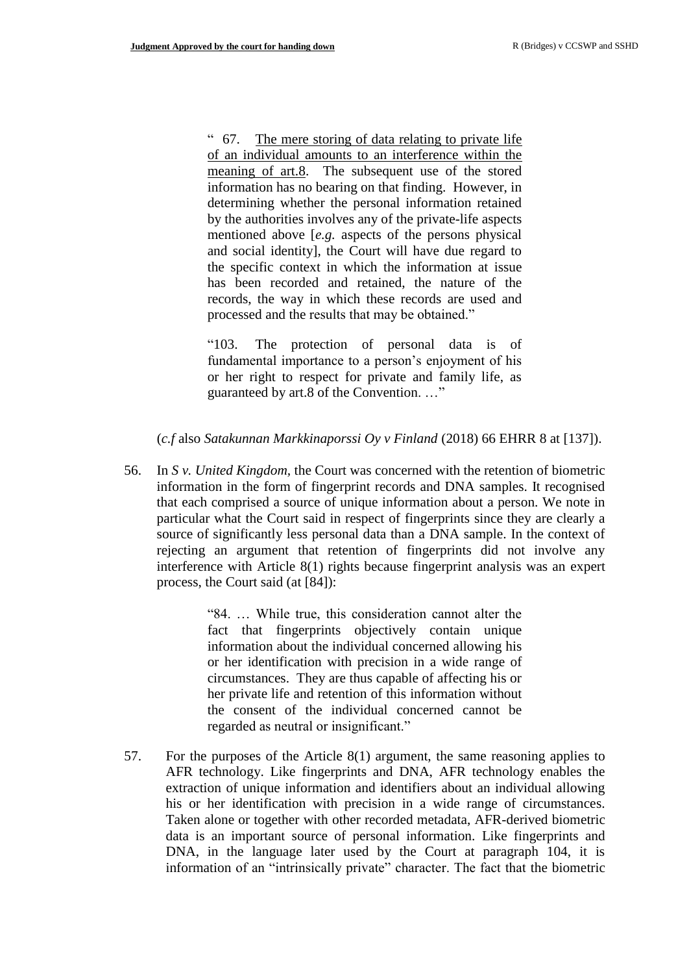" 67. The mere storing of data relating to private life of an individual amounts to an interference within the meaning of art.8. The subsequent use of the stored information has no bearing on that finding. However, in determining whether the personal information retained by the authorities involves any of the private-life aspects mentioned above [*e.g.* aspects of the persons physical and social identity], the Court will have due regard to the specific context in which the information at issue has been recorded and retained, the nature of the records, the way in which these records are used and processed and the results that may be obtained."

"103. The protection of personal data is of fundamental importance to a person's enjoyment of his or her right to respect for private and family life, as guaranteed by art.8 of the Convention. …"

#### (*c.f* also *Satakunnan Markkinaporssi Oy v Finland* (2018) 66 EHRR 8 at [137]).

56. In *S v. United Kingdom,* the Court was concerned with the retention of biometric information in the form of fingerprint records and DNA samples. It recognised that each comprised a source of unique information about a person. We note in particular what the Court said in respect of fingerprints since they are clearly a source of significantly less personal data than a DNA sample. In the context of rejecting an argument that retention of fingerprints did not involve any interference with Article 8(1) rights because fingerprint analysis was an expert process, the Court said (at [84]):

> "84. … While true, this consideration cannot alter the fact that fingerprints objectively contain unique information about the individual concerned allowing his or her identification with precision in a wide range of circumstances. They are thus capable of affecting his or her private life and retention of this information without the consent of the individual concerned cannot be regarded as neutral or insignificant."

57. For the purposes of the Article 8(1) argument, the same reasoning applies to AFR technology. Like fingerprints and DNA, AFR technology enables the extraction of unique information and identifiers about an individual allowing his or her identification with precision in a wide range of circumstances. Taken alone or together with other recorded metadata, AFR-derived biometric data is an important source of personal information. Like fingerprints and DNA, in the language later used by the Court at paragraph 104, it is information of an "intrinsically private" character. The fact that the biometric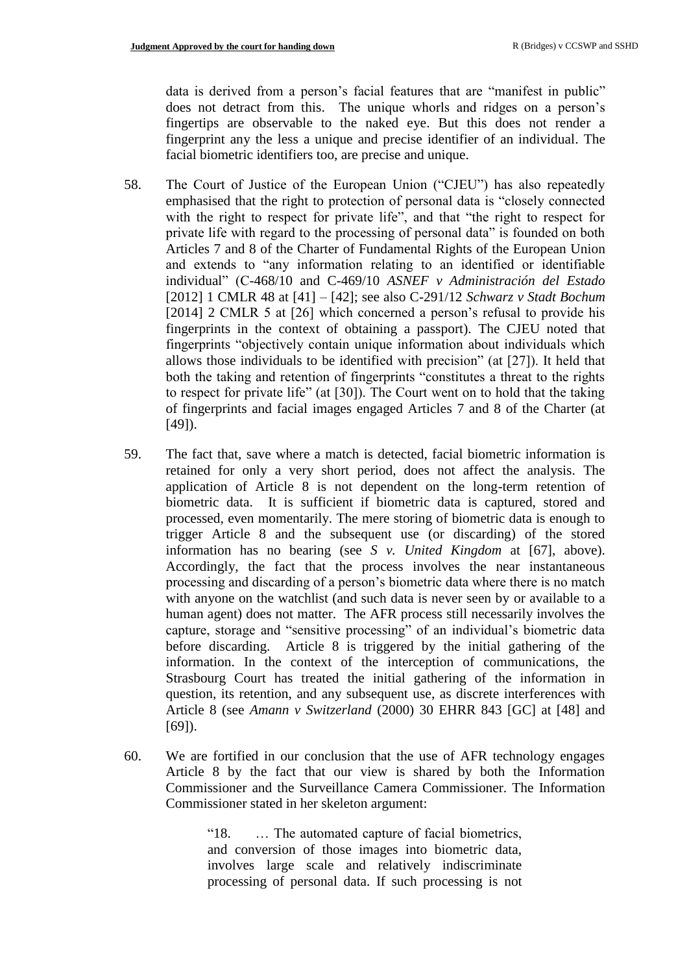data is derived from a person's facial features that are "manifest in public" does not detract from this. The unique whorls and ridges on a person's fingertips are observable to the naked eye. But this does not render a fingerprint any the less a unique and precise identifier of an individual. The facial biometric identifiers too, are precise and unique.

- 58. The Court of Justice of the European Union ("CJEU") has also repeatedly emphasised that the right to protection of personal data is "closely connected with the right to respect for private life", and that "the right to respect for private life with regard to the processing of personal data" is founded on both Articles 7 and 8 of the Charter of Fundamental Rights of the European Union and extends to "any information relating to an identified or identifiable individual" (C-468/10 and C-469/10 *ASNEF v Administración del Estado* [2012] 1 CMLR 48 at [41] – [42]; see also C-291/12 *Schwarz v Stadt Bochum* [2014] 2 CMLR 5 at [26] which concerned a person's refusal to provide his fingerprints in the context of obtaining a passport). The CJEU noted that fingerprints "objectively contain unique information about individuals which allows those individuals to be identified with precision" (at [27]). It held that both the taking and retention of fingerprints "constitutes a threat to the rights to respect for private life" (at [30]). The Court went on to hold that the taking of fingerprints and facial images engaged Articles 7 and 8 of the Charter (at  $[49]$ .
- 59. The fact that, save where a match is detected, facial biometric information is retained for only a very short period, does not affect the analysis. The application of Article 8 is not dependent on the long-term retention of biometric data. It is sufficient if biometric data is captured, stored and processed, even momentarily. The mere storing of biometric data is enough to trigger Article 8 and the subsequent use (or discarding) of the stored information has no bearing (see *S v. United Kingdom* at [67], above). Accordingly, the fact that the process involves the near instantaneous processing and discarding of a person's biometric data where there is no match with anyone on the watchlist (and such data is never seen by or available to a human agent) does not matter. The AFR process still necessarily involves the capture, storage and "sensitive processing" of an individual's biometric data before discarding. Article 8 is triggered by the initial gathering of the information. In the context of the interception of communications, the Strasbourg Court has treated the initial gathering of the information in question, its retention, and any subsequent use, as discrete interferences with Article 8 (see *Amann v Switzerland* (2000) 30 EHRR 843 [GC] at [48] and [69]).
- 60. We are fortified in our conclusion that the use of AFR technology engages Article 8 by the fact that our view is shared by both the Information Commissioner and the Surveillance Camera Commissioner. The Information Commissioner stated in her skeleton argument:

"18. … The automated capture of facial biometrics, and conversion of those images into biometric data, involves large scale and relatively indiscriminate processing of personal data. If such processing is not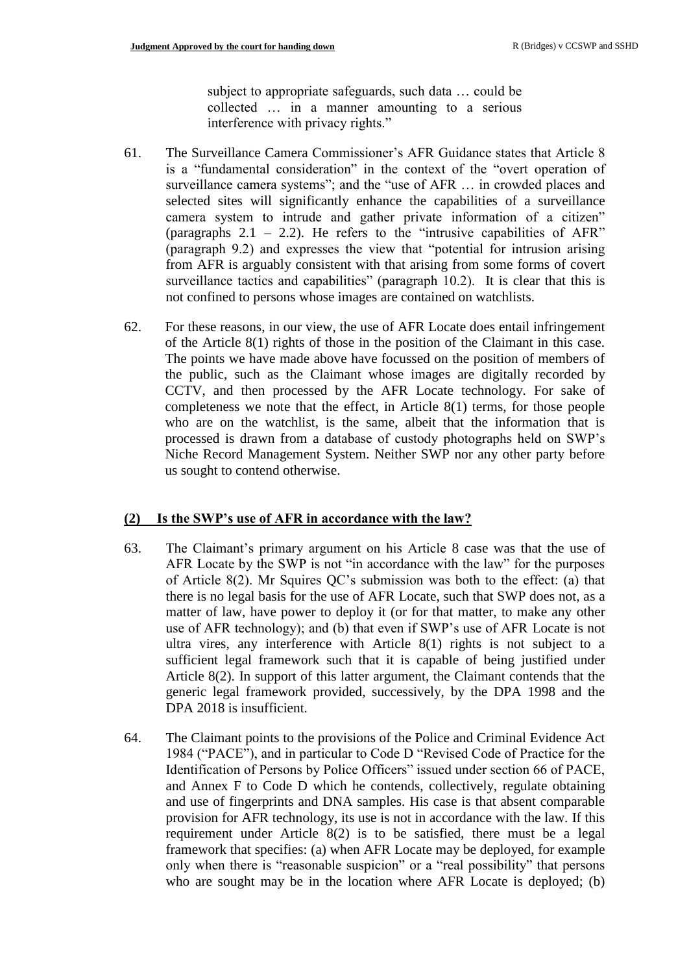subject to appropriate safeguards, such data … could be collected … in a manner amounting to a serious interference with privacy rights."

- 61. The Surveillance Camera Commissioner's AFR Guidance states that Article 8 is a "fundamental consideration" in the context of the "overt operation of surveillance camera systems"; and the "use of AFR … in crowded places and selected sites will significantly enhance the capabilities of a surveillance camera system to intrude and gather private information of a citizen" (paragraphs  $2.1 - 2.2$ ). He refers to the "intrusive capabilities of AFR" (paragraph 9.2) and expresses the view that "potential for intrusion arising from AFR is arguably consistent with that arising from some forms of covert surveillance tactics and capabilities" (paragraph 10.2). It is clear that this is not confined to persons whose images are contained on watchlists.
- 62. For these reasons, in our view, the use of AFR Locate does entail infringement of the Article 8(1) rights of those in the position of the Claimant in this case. The points we have made above have focussed on the position of members of the public, such as the Claimant whose images are digitally recorded by CCTV, and then processed by the AFR Locate technology. For sake of completeness we note that the effect, in Article 8(1) terms, for those people who are on the watchlist, is the same, albeit that the information that is processed is drawn from a database of custody photographs held on SWP's Niche Record Management System. Neither SWP nor any other party before us sought to contend otherwise.

#### **(2) Is the SWP's use of AFR in accordance with the law?**

- 63. The Claimant's primary argument on his Article 8 case was that the use of AFR Locate by the SWP is not "in accordance with the law" for the purposes of Article 8(2). Mr Squires QC's submission was both to the effect: (a) that there is no legal basis for the use of AFR Locate, such that SWP does not, as a matter of law, have power to deploy it (or for that matter, to make any other use of AFR technology); and (b) that even if SWP's use of AFR Locate is not ultra vires, any interference with Article 8(1) rights is not subject to a sufficient legal framework such that it is capable of being justified under Article 8(2). In support of this latter argument, the Claimant contends that the generic legal framework provided, successively, by the DPA 1998 and the DPA 2018 is insufficient.
- 64. The Claimant points to the provisions of the Police and Criminal Evidence Act 1984 ("PACE"), and in particular to Code D "Revised Code of Practice for the Identification of Persons by Police Officers" issued under section 66 of PACE, and Annex F to Code D which he contends, collectively, regulate obtaining and use of fingerprints and DNA samples. His case is that absent comparable provision for AFR technology, its use is not in accordance with the law. If this requirement under Article 8(2) is to be satisfied, there must be a legal framework that specifies: (a) when AFR Locate may be deployed, for example only when there is "reasonable suspicion" or a "real possibility" that persons who are sought may be in the location where AFR Locate is deployed; (b)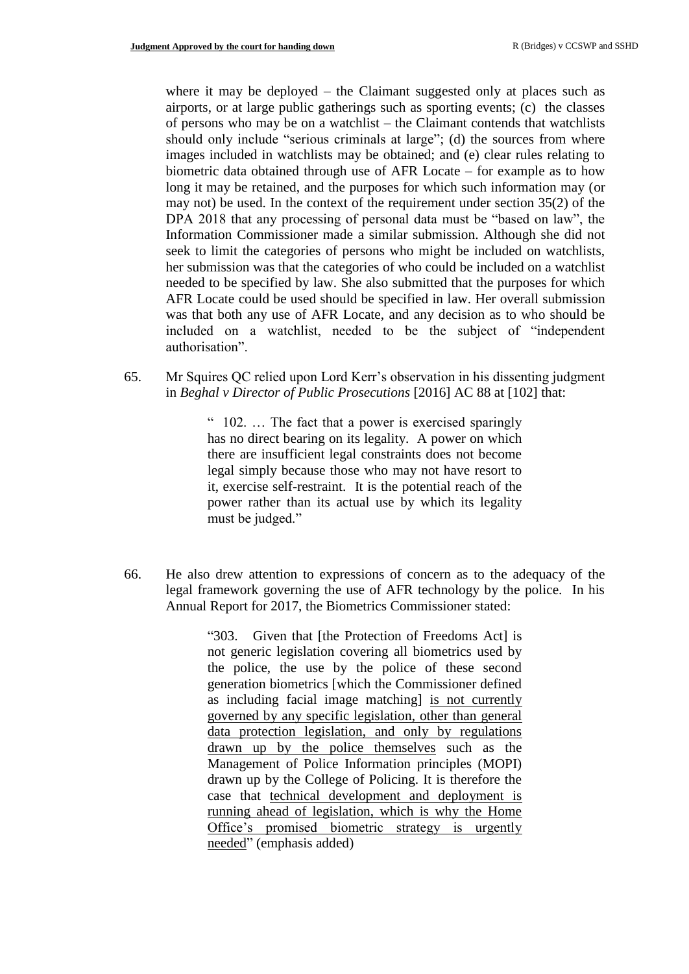where it may be deployed – the Claimant suggested only at places such as airports, or at large public gatherings such as sporting events; (c) the classes of persons who may be on a watchlist – the Claimant contends that watchlists should only include "serious criminals at large"; (d) the sources from where images included in watchlists may be obtained; and (e) clear rules relating to biometric data obtained through use of AFR Locate – for example as to how long it may be retained, and the purposes for which such information may (or may not) be used. In the context of the requirement under section 35(2) of the DPA 2018 that any processing of personal data must be "based on law", the Information Commissioner made a similar submission. Although she did not seek to limit the categories of persons who might be included on watchlists, her submission was that the categories of who could be included on a watchlist needed to be specified by law. She also submitted that the purposes for which AFR Locate could be used should be specified in law. Her overall submission was that both any use of AFR Locate, and any decision as to who should be included on a watchlist, needed to be the subject of "independent authorisation".

65. Mr Squires QC relied upon Lord Kerr's observation in his dissenting judgment in *Beghal v Director of Public Prosecutions* [2016] AC 88 at [102] that:

> " 102. … The fact that a power is exercised sparingly has no direct bearing on its legality. A power on which there are insufficient legal constraints does not become legal simply because those who may not have resort to it, exercise self-restraint. It is the potential reach of the power rather than its actual use by which its legality must be judged."

66. He also drew attention to expressions of concern as to the adequacy of the legal framework governing the use of AFR technology by the police. In his Annual Report for 2017, the Biometrics Commissioner stated:

> "303. Given that [the Protection of Freedoms Act] is not generic legislation covering all biometrics used by the police, the use by the police of these second generation biometrics [which the Commissioner defined as including facial image matching] is not currently governed by any specific legislation, other than general data protection legislation, and only by regulations drawn up by the police themselves such as the Management of Police Information principles (MOPI) drawn up by the College of Policing. It is therefore the case that technical development and deployment is running ahead of legislation, which is why the Home Office's promised biometric strategy is urgently needed" (emphasis added)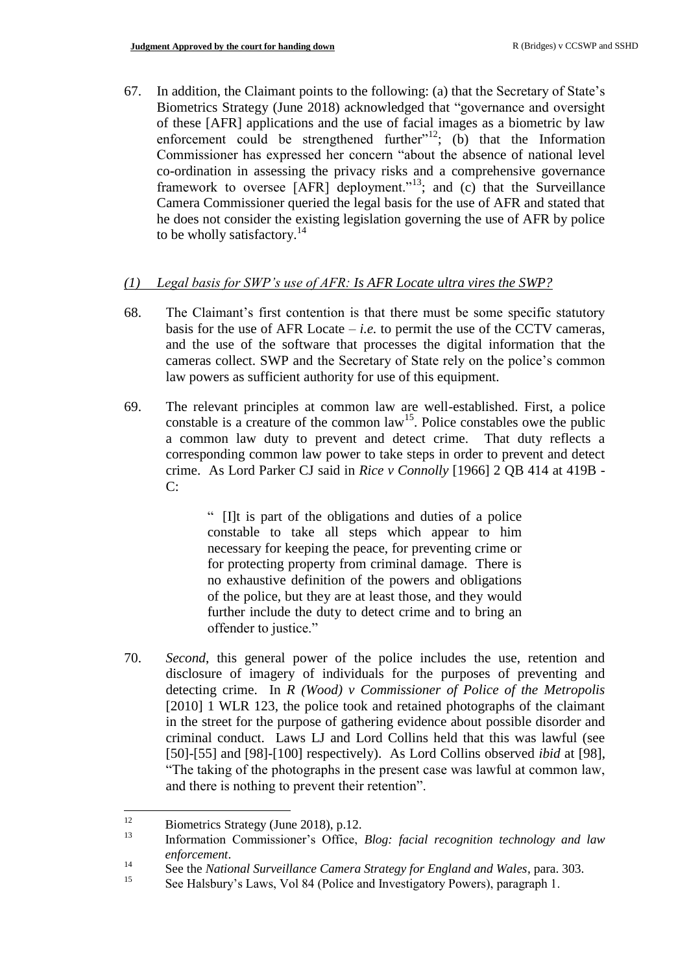67. In addition, the Claimant points to the following: (a) that the Secretary of State's Biometrics Strategy (June 2018) acknowledged that "governance and oversight of these [AFR] applications and the use of facial images as a biometric by law enforcement could be strengthened further<sup> $n+2$ </sup>; (b) that the Information Commissioner has expressed her concern "about the absence of national level co-ordination in assessing the privacy risks and a comprehensive governance framework to oversee  $[AFR]$  deployment.<sup> $13$ </sup>; and (c) that the Surveillance Camera Commissioner queried the legal basis for the use of AFR and stated that he does not consider the existing legislation governing the use of AFR by police to be wholly satisfactory.<sup>14</sup>

## *(1) Legal basis for SWP's use of AFR: Is AFR Locate ultra vires the SWP?*

- 68. The Claimant's first contention is that there must be some specific statutory basis for the use of AFR Locate  $-i.e.$  to permit the use of the CCTV cameras, and the use of the software that processes the digital information that the cameras collect. SWP and the Secretary of State rely on the police's common law powers as sufficient authority for use of this equipment.
- 69. The relevant principles at common law are well-established. First, a police constable is a creature of the common  $law<sup>15</sup>$ . Police constables owe the public a common law duty to prevent and detect crime. That duty reflects a corresponding common law power to take steps in order to prevent and detect crime. As Lord Parker CJ said in *Rice v Connolly* [1966] 2 QB 414 at 419B - C:

" [I]t is part of the obligations and duties of a police constable to take all steps which appear to him necessary for keeping the peace, for preventing crime or for protecting property from criminal damage. There is no exhaustive definition of the powers and obligations of the police, but they are at least those, and they would further include the duty to detect crime and to bring an offender to justice."

70. *Second*, this general power of the police includes the use, retention and disclosure of imagery of individuals for the purposes of preventing and detecting crime. In *R (Wood) v Commissioner of Police of the Metropolis* [2010] 1 WLR 123, the police took and retained photographs of the claimant in the street for the purpose of gathering evidence about possible disorder and criminal conduct. Laws LJ and Lord Collins held that this was lawful (see [50]-[55] and [98]-[100] respectively). As Lord Collins observed *ibid* at [98], "The taking of the photographs in the present case was lawful at common law, and there is nothing to prevent their retention".

 $12<sup>2</sup>$ <sup>12</sup> Biometrics Strategy (June 2018), p.12.

<sup>13</sup> Information Commissioner's Office, *Blog: facial recognition technology and law enforcement*.

<sup>&</sup>lt;sup>14</sup> See the *National Surveillance Camera Strategy for England and Wales*, para. 303.<br><sup>15</sup> See Halsburn's Laws *Mal 24 (Palise and Investigatory Powers*) generated 1

See Halsbury's Laws, Vol 84 (Police and Investigatory Powers), paragraph 1.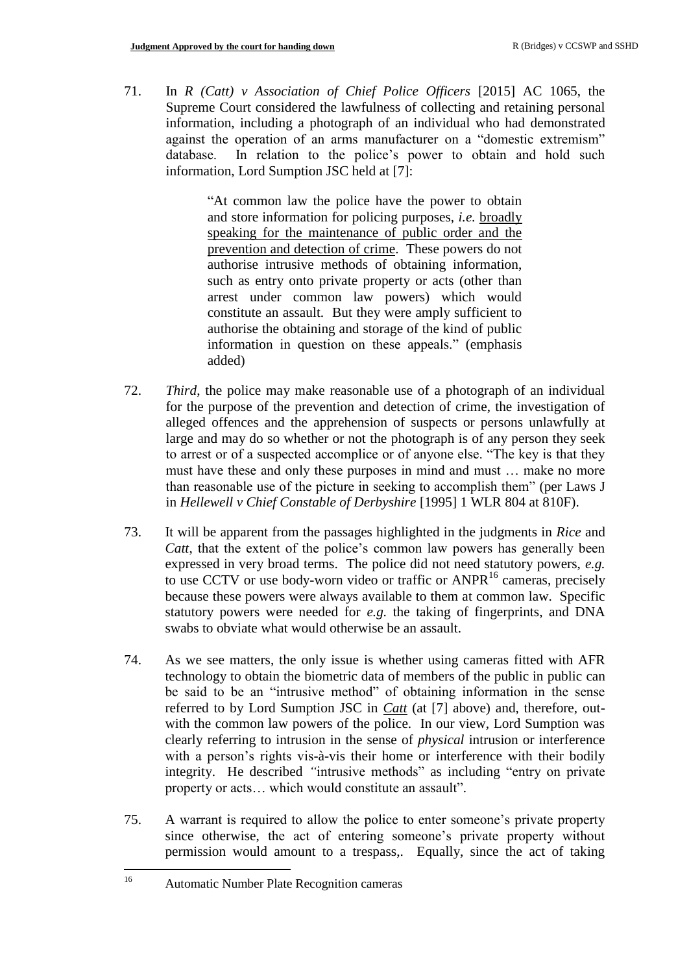71. In *R (Catt) v Association of Chief Police Officers* [2015] AC 1065, the Supreme Court considered the lawfulness of collecting and retaining personal information, including a photograph of an individual who had demonstrated against the operation of an arms manufacturer on a "domestic extremism" database. In relation to the police's power to obtain and hold such information, Lord Sumption JSC held at [7]:

> "At common law the police have the power to obtain and store information for policing purposes, *i.e.* broadly speaking for the maintenance of public order and the prevention and detection of crime. These powers do not authorise intrusive methods of obtaining information, such as entry onto private property or acts (other than arrest under common law powers) which would constitute an assault. But they were amply sufficient to authorise the obtaining and storage of the kind of public information in question on these appeals." (emphasis added)

- 72. *Third*, the police may make reasonable use of a photograph of an individual for the purpose of the prevention and detection of crime, the investigation of alleged offences and the apprehension of suspects or persons unlawfully at large and may do so whether or not the photograph is of any person they seek to arrest or of a suspected accomplice or of anyone else. "The key is that they must have these and only these purposes in mind and must … make no more than reasonable use of the picture in seeking to accomplish them" (per Laws J in *Hellewell v Chief Constable of Derbyshire* [1995] 1 WLR 804 at 810F).
- 73. It will be apparent from the passages highlighted in the judgments in *Rice* and *Catt*, that the extent of the police's common law powers has generally been expressed in very broad terms. The police did not need statutory powers, *e.g.* to use CCTV or use body-worn video or traffic or  $ANPR<sup>16</sup>$  cameras, precisely because these powers were always available to them at common law. Specific statutory powers were needed for *e.g.* the taking of fingerprints, and DNA swabs to obviate what would otherwise be an assault.
- 74. As we see matters, the only issue is whether using cameras fitted with AFR technology to obtain the biometric data of members of the public in public can be said to be an "intrusive method" of obtaining information in the sense referred to by Lord Sumption JSC in *Catt* (at [7] above) and, therefore, outwith the common law powers of the police. In our view, Lord Sumption was clearly referring to intrusion in the sense of *physical* intrusion or interference with a person's rights vis-à-vis their home or interference with their bodily integrity. He described *"*intrusive methods" as including "entry on private property or acts… which would constitute an assault".
- 75. A warrant is required to allow the police to enter someone's private property since otherwise, the act of entering someone's private property without permission would amount to a trespass,. Equally, since the act of taking

 $16\,$ <sup>16</sup> Automatic Number Plate Recognition cameras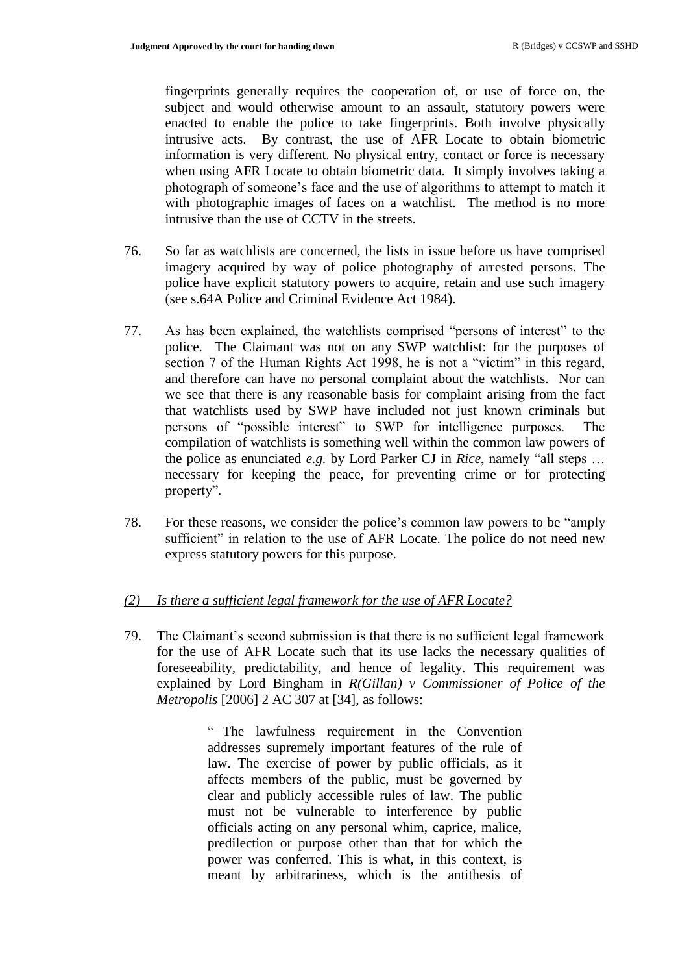fingerprints generally requires the cooperation of, or use of force on, the subject and would otherwise amount to an assault, statutory powers were enacted to enable the police to take fingerprints. Both involve physically intrusive acts. By contrast, the use of AFR Locate to obtain biometric information is very different. No physical entry, contact or force is necessary when using AFR Locate to obtain biometric data. It simply involves taking a photograph of someone's face and the use of algorithms to attempt to match it with photographic images of faces on a watchlist. The method is no more intrusive than the use of CCTV in the streets.

- 76. So far as watchlists are concerned, the lists in issue before us have comprised imagery acquired by way of police photography of arrested persons. The police have explicit statutory powers to acquire, retain and use such imagery (see s.64A Police and Criminal Evidence Act 1984).
- 77. As has been explained, the watchlists comprised "persons of interest" to the police. The Claimant was not on any SWP watchlist: for the purposes of section 7 of the Human Rights Act 1998, he is not a "victim" in this regard, and therefore can have no personal complaint about the watchlists. Nor can we see that there is any reasonable basis for complaint arising from the fact that watchlists used by SWP have included not just known criminals but persons of "possible interest" to SWP for intelligence purposes. The compilation of watchlists is something well within the common law powers of the police as enunciated *e.g.* by Lord Parker CJ in *Rice*, namely "all steps … necessary for keeping the peace, for preventing crime or for protecting property".
- 78. For these reasons, we consider the police's common law powers to be "amply sufficient" in relation to the use of AFR Locate. The police do not need new express statutory powers for this purpose.

### *(2) Is there a sufficient legal framework for the use of AFR Locate?*

79. The Claimant's second submission is that there is no sufficient legal framework for the use of AFR Locate such that its use lacks the necessary qualities of foreseeability, predictability, and hence of legality. This requirement was explained by Lord Bingham in *R(Gillan) v Commissioner of Police of the Metropolis* [2006] 2 AC 307 at [34], as follows:

> " The lawfulness requirement in the Convention addresses supremely important features of the rule of law. The exercise of power by public officials, as it affects members of the public, must be governed by clear and publicly accessible rules of law. The public must not be vulnerable to interference by public officials acting on any personal whim, caprice, malice, predilection or purpose other than that for which the power was conferred. This is what, in this context, is meant by arbitrariness, which is the antithesis of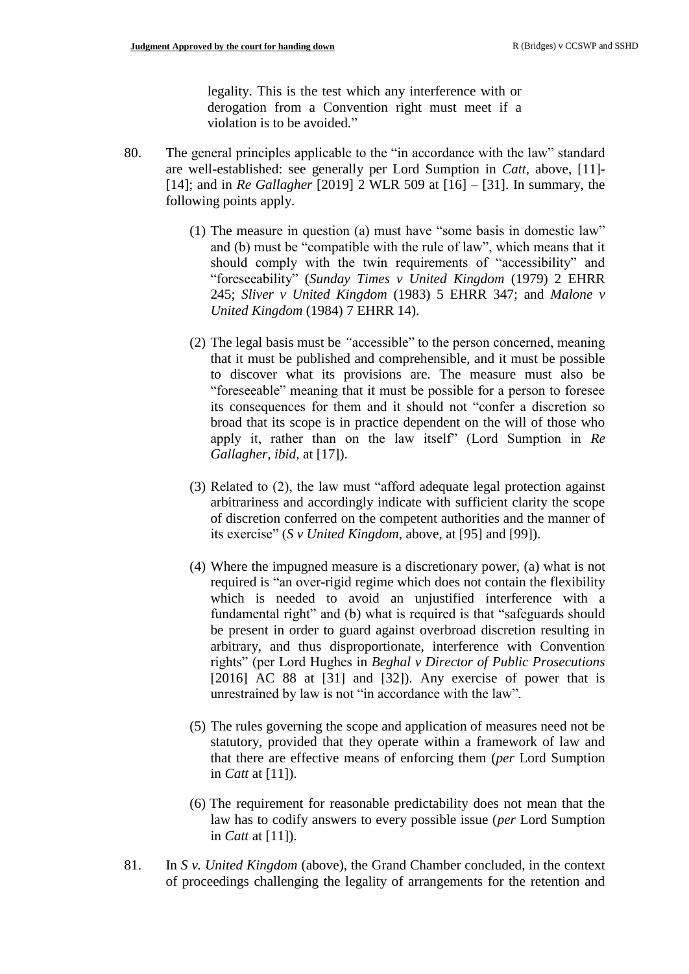legality. This is the test which any interference with or derogation from a Convention right must meet if a violation is to be avoided."

- 80. The general principles applicable to the "in accordance with the law" standard are well-established: see generally per Lord Sumption in *Catt*, above, [11]- [14]; and in *Re Gallagher* [2019] 2 WLR 509 at [16] – [31]. In summary, the following points apply.
	- (1) The measure in question (a) must have "some basis in domestic law" and (b) must be "compatible with the rule of law", which means that it should comply with the twin requirements of "accessibility" and "foreseeability" (*Sunday Times v United Kingdom* (1979) 2 EHRR 245; *Sliver v United Kingdom* (1983) 5 EHRR 347; and *Malone v United Kingdom* (1984) 7 EHRR 14).
	- (2) The legal basis must be *"*accessible" to the person concerned, meaning that it must be published and comprehensible, and it must be possible to discover what its provisions are. The measure must also be "foreseeable" meaning that it must be possible for a person to foresee its consequences for them and it should not "confer a discretion so broad that its scope is in practice dependent on the will of those who apply it, rather than on the law itself" (Lord Sumption in *Re Gallagher, ibid,* at [17]).
	- (3) Related to (2), the law must "afford adequate legal protection against arbitrariness and accordingly indicate with sufficient clarity the scope of discretion conferred on the competent authorities and the manner of its exercise" (*S v United Kingdom,* above*,* at [95] and [99]).
	- (4) Where the impugned measure is a discretionary power, (a) what is not required is "an over-rigid regime which does not contain the flexibility which is needed to avoid an unjustified interference with a fundamental right" and (b) what is required is that "safeguards should be present in order to guard against overbroad discretion resulting in arbitrary, and thus disproportionate, interference with Convention rights" (per Lord Hughes in *Beghal v Director of Public Prosecutions*  $[2016]$  AC 88 at  $[31]$  and  $[32]$ ). Any exercise of power that is unrestrained by law is not "in accordance with the law".
	- (5) The rules governing the scope and application of measures need not be statutory, provided that they operate within a framework of law and that there are effective means of enforcing them (*per* Lord Sumption in *Catt* at [11]).
	- (6) The requirement for reasonable predictability does not mean that the law has to codify answers to every possible issue (*per* Lord Sumption in *Catt* at [11]).
- 81. In *S v. United Kingdom* (above), the Grand Chamber concluded, in the context of proceedings challenging the legality of arrangements for the retention and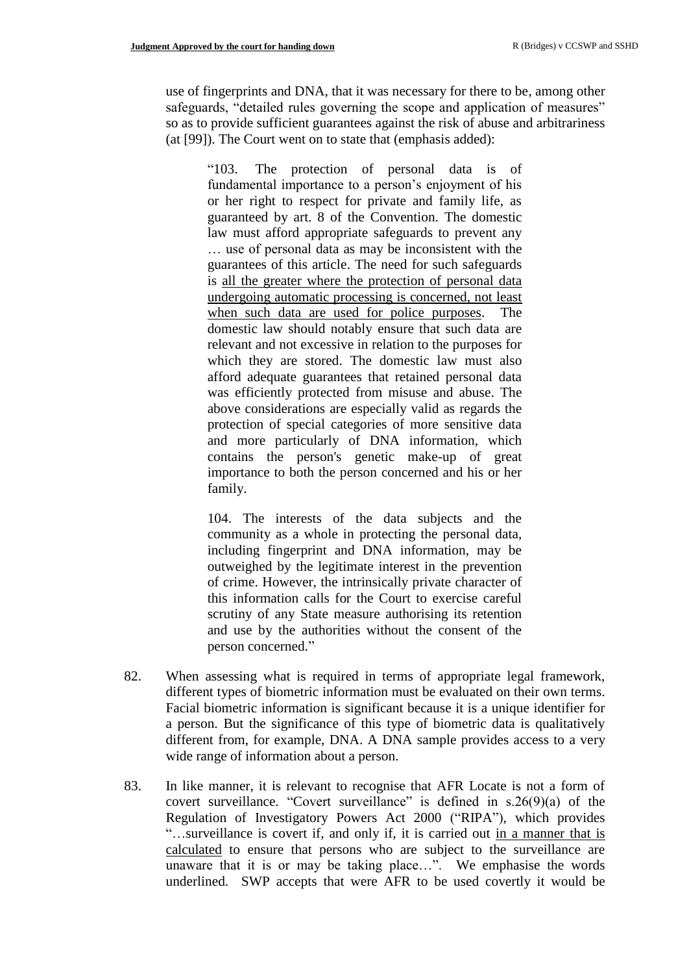use of fingerprints and DNA, that it was necessary for there to be, among other safeguards, "detailed rules governing the scope and application of measures" so as to provide sufficient guarantees against the risk of abuse and arbitrariness (at [99]). The Court went on to state that (emphasis added):

"103. The protection of personal data is of fundamental importance to a person's enjoyment of his or her right to respect for private and family life, as guaranteed by art. 8 of the Convention. The domestic law must afford appropriate safeguards to prevent any … use of personal data as may be inconsistent with the guarantees of this article. The need for such safeguards is all the greater where the protection of personal data undergoing automatic processing is concerned, not least when such data are used for police purposes. The domestic law should notably ensure that such data are relevant and not excessive in relation to the purposes for which they are stored. The domestic law must also afford adequate guarantees that retained personal data was efficiently protected from misuse and abuse. The above considerations are especially valid as regards the protection of special categories of more sensitive data and more particularly of DNA information, which contains the person's genetic make-up of great importance to both the person concerned and his or her family.

104. The interests of the data subjects and the community as a whole in protecting the personal data, including fingerprint and DNA information, may be outweighed by the legitimate interest in the prevention of crime. However, the intrinsically private character of this information calls for the Court to exercise careful scrutiny of any State measure authorising its retention and use by the authorities without the consent of the person concerned."

- 82. When assessing what is required in terms of appropriate legal framework, different types of biometric information must be evaluated on their own terms. Facial biometric information is significant because it is a unique identifier for a person. But the significance of this type of biometric data is qualitatively different from, for example, DNA. A DNA sample provides access to a very wide range of information about a person.
- 83. In like manner, it is relevant to recognise that AFR Locate is not a form of covert surveillance. "Covert surveillance" is defined in  $s.26(9)(a)$  of the Regulation of Investigatory Powers Act 2000 ("RIPA"), which provides "…surveillance is covert if, and only if, it is carried out in a manner that is calculated to ensure that persons who are subject to the surveillance are unaware that it is or may be taking place…". We emphasise the words underlined. SWP accepts that were AFR to be used covertly it would be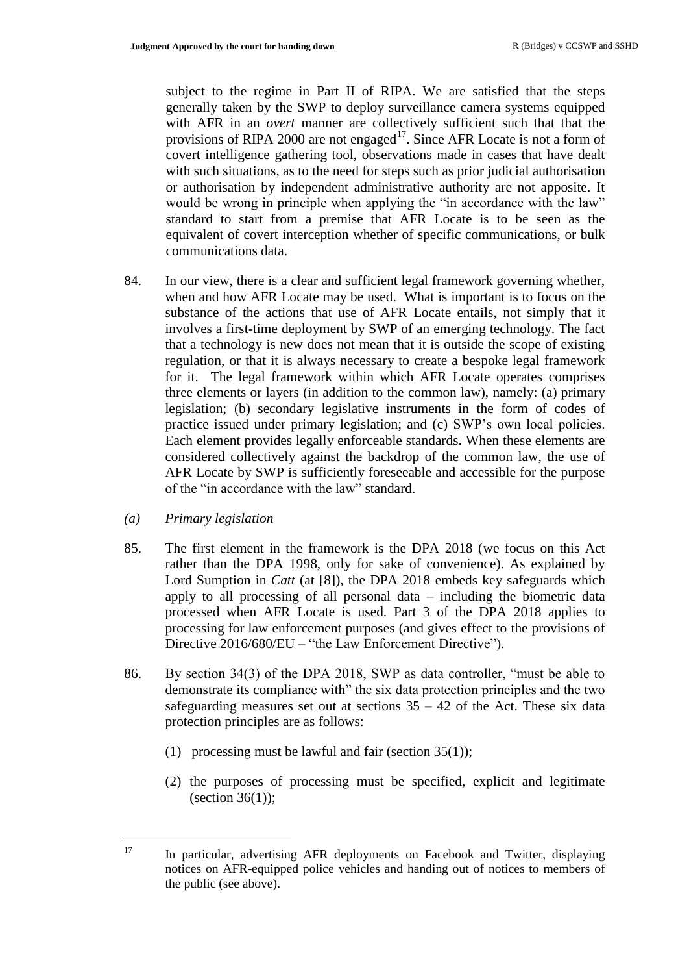subject to the regime in Part II of RIPA. We are satisfied that the steps generally taken by the SWP to deploy surveillance camera systems equipped with AFR in an *overt* manner are collectively sufficient such that that the provisions of RIPA 2000 are not engaged<sup>17</sup>. Since AFR Locate is not a form of covert intelligence gathering tool, observations made in cases that have dealt with such situations, as to the need for steps such as prior judicial authorisation or authorisation by independent administrative authority are not apposite. It would be wrong in principle when applying the "in accordance with the law" standard to start from a premise that AFR Locate is to be seen as the equivalent of covert interception whether of specific communications, or bulk communications data.

- 84. In our view, there is a clear and sufficient legal framework governing whether, when and how AFR Locate may be used. What is important is to focus on the substance of the actions that use of AFR Locate entails, not simply that it involves a first-time deployment by SWP of an emerging technology. The fact that a technology is new does not mean that it is outside the scope of existing regulation, or that it is always necessary to create a bespoke legal framework for it. The legal framework within which AFR Locate operates comprises three elements or layers (in addition to the common law), namely: (a) primary legislation; (b) secondary legislative instruments in the form of codes of practice issued under primary legislation; and (c) SWP's own local policies. Each element provides legally enforceable standards. When these elements are considered collectively against the backdrop of the common law, the use of AFR Locate by SWP is sufficiently foreseeable and accessible for the purpose of the "in accordance with the law" standard.
- *(a) Primary legislation*
- 85. The first element in the framework is the DPA 2018 (we focus on this Act rather than the DPA 1998, only for sake of convenience). As explained by Lord Sumption in *Catt* (at [8]), the DPA 2018 embeds key safeguards which apply to all processing of all personal data – including the biometric data processed when AFR Locate is used. Part 3 of the DPA 2018 applies to processing for law enforcement purposes (and gives effect to the provisions of Directive 2016/680/EU – "the Law Enforcement Directive").
- 86. By section 34(3) of the DPA 2018, SWP as data controller, "must be able to demonstrate its compliance with" the six data protection principles and the two safeguarding measures set out at sections  $35 - 42$  of the Act. These six data protection principles are as follows:
	- (1) processing must be lawful and fair (section  $35(1)$ );
	- (2) the purposes of processing must be specified, explicit and legitimate (section  $36(1)$ );

<sup>17</sup> <sup>17</sup> In particular, advertising AFR deployments on Facebook and Twitter, displaying notices on AFR-equipped police vehicles and handing out of notices to members of the public (see above).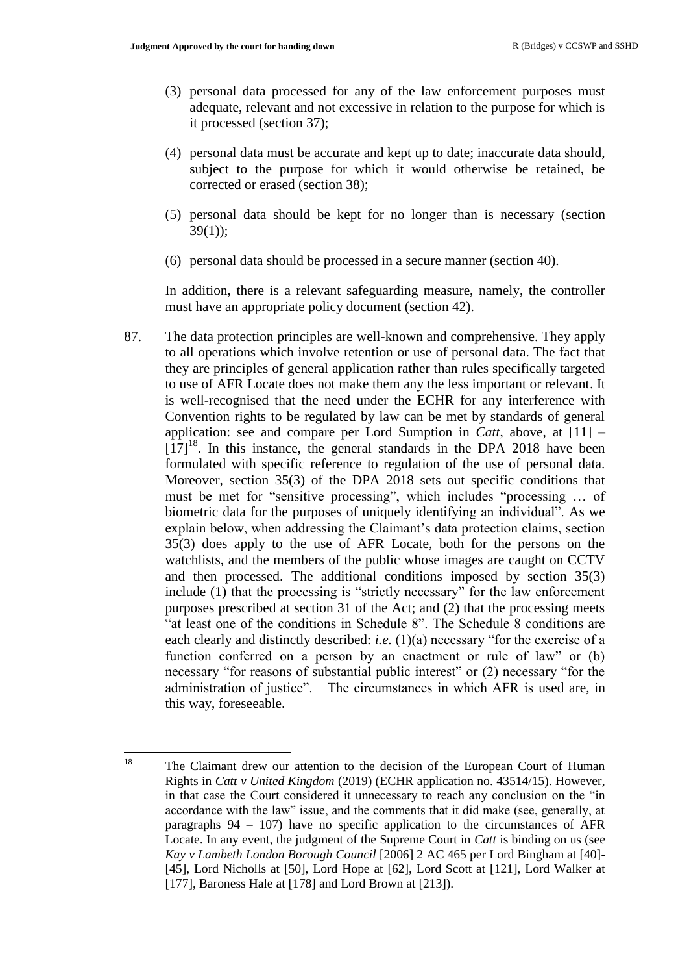$\overline{a}$ 

- (3) personal data processed for any of the law enforcement purposes must adequate, relevant and not excessive in relation to the purpose for which is it processed (section 37);
- (4) personal data must be accurate and kept up to date; inaccurate data should, subject to the purpose for which it would otherwise be retained, be corrected or erased (section 38);
- (5) personal data should be kept for no longer than is necessary [\(section](https://uk.practicallaw.thomsonreuters.com/Document/I41F3A730609911E88185BCFA23C758C3/View/FullText.html?originationContext=document&transitionType=DocumentItem&contextData=(sc.DocLink))   $39(1)$ ;
- (6) personal data should be processed in a secure manner [\(section 40\)](https://uk.practicallaw.thomsonreuters.com/Document/I5B688780609911E88185BCFA23C758C3/View/FullText.html?originationContext=document&transitionType=DocumentItem&contextData=(sc.DocLink)).

In addition, there is a relevant safeguarding measure, namely, the controller must have an appropriate policy document (section 42).

87. The data protection principles are well-known and comprehensive. They apply to all operations which involve retention or use of personal data. The fact that they are principles of general application rather than rules specifically targeted to use of AFR Locate does not make them any the less important or relevant. It is well-recognised that the need under the ECHR for any interference with Convention rights to be regulated by law can be met by standards of general application: see and compare per Lord Sumption in *Catt*, above, at [11] –  $[17]$ <sup>18</sup>. In this instance, the general standards in the DPA 2018 have been formulated with specific reference to regulation of the use of personal data. Moreover, section 35(3) of the DPA 2018 sets out specific conditions that must be met for "sensitive processing", which includes "processing … of biometric data for the purposes of uniquely identifying an individual". As we explain below, when addressing the Claimant's data protection claims, section 35(3) does apply to the use of AFR Locate, both for the persons on the watchlists, and the members of the public whose images are caught on CCTV and then processed. The additional conditions imposed by section 35(3) include (1) that the processing is "strictly necessary" for the law enforcement purposes prescribed at section 31 of the Act; and (2) that the processing meets "at least one of the conditions in Schedule 8". The Schedule 8 conditions are each clearly and distinctly described: *i.e.* (1)(a) necessary "for the exercise of a function conferred on a person by an enactment or rule of law" or (b) necessary "for reasons of substantial public interest" or (2) necessary "for the administration of justice". The circumstances in which AFR is used are, in this way, foreseeable.

<sup>&</sup>lt;sup>18</sup> The Claimant drew our attention to the decision of the European Court of Human Rights in *Catt v United Kingdom* (2019) (ECHR application no. 43514/15). However, in that case the Court considered it unnecessary to reach any conclusion on the "in accordance with the law" issue, and the comments that it did make (see, generally, at paragraphs  $94 - 107$ ) have no specific application to the circumstances of AFR Locate. In any event, the judgment of the Supreme Court in *Catt* is binding on us (see *Kay v Lambeth London Borough Council* [2006] 2 AC 465 per Lord Bingham at [40]- [45], Lord Nicholls at [50], Lord Hope at [62], Lord Scott at [121], Lord Walker at [177], Baroness Hale at [178] and Lord Brown at [213]).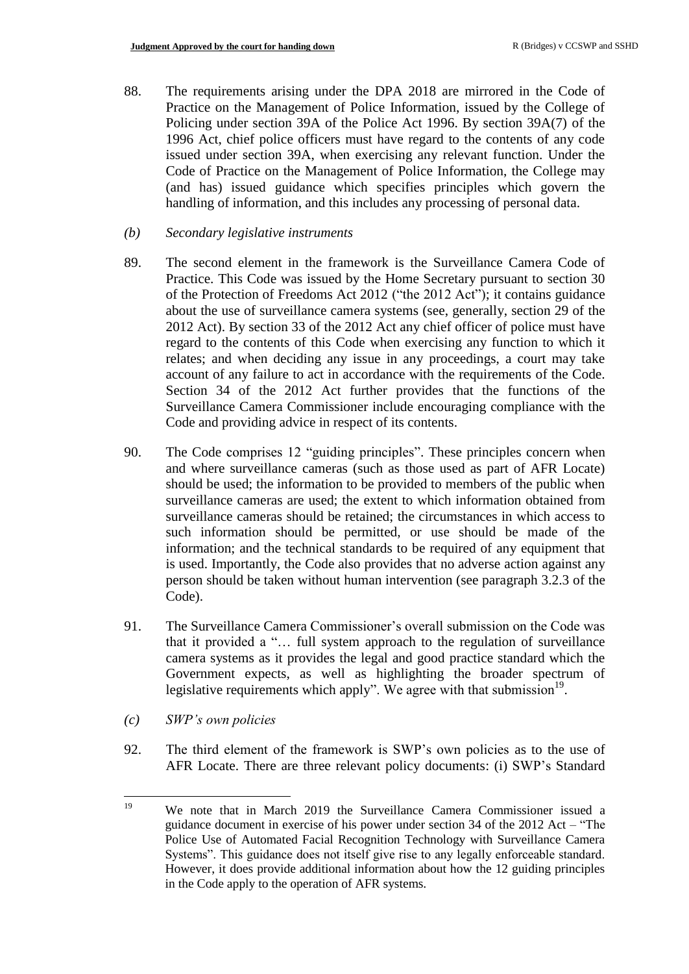- 88. The requirements arising under the DPA 2018 are mirrored in the Code of Practice on the Management of Police Information, issued by the College of Policing under section 39A of the Police Act 1996. By section 39A(7) of the 1996 Act, chief police officers must have regard to the contents of any code issued under section 39A, when exercising any relevant function. Under the Code of Practice on the Management of Police Information, the College may (and has) issued guidance which specifies principles which govern the handling of information, and this includes any processing of personal data.
- *(b) Secondary legislative instruments*
- 89. The second element in the framework is the Surveillance Camera Code of Practice. This Code was issued by the Home Secretary pursuant to section 30 of the Protection of Freedoms Act 2012 ("the 2012 Act"); it contains guidance about the use of surveillance camera systems (see, generally, section 29 of the 2012 Act). By section 33 of the 2012 Act any chief officer of police must have regard to the contents of this Code when exercising any function to which it relates; and when deciding any issue in any proceedings, a court may take account of any failure to act in accordance with the requirements of the Code. Section 34 of the 2012 Act further provides that the functions of the Surveillance Camera Commissioner include encouraging compliance with the Code and providing advice in respect of its contents.
- 90. The Code comprises 12 "guiding principles". These principles concern when and where surveillance cameras (such as those used as part of AFR Locate) should be used; the information to be provided to members of the public when surveillance cameras are used; the extent to which information obtained from surveillance cameras should be retained; the circumstances in which access to such information should be permitted, or use should be made of the information; and the technical standards to be required of any equipment that is used. Importantly, the Code also provides that no adverse action against any person should be taken without human intervention (see paragraph 3.2.3 of the Code).
- 91. The Surveillance Camera Commissioner's overall submission on the Code was that it provided a "… full system approach to the regulation of surveillance camera systems as it provides the legal and good practice standard which the Government expects, as well as highlighting the broader spectrum of legislative requirements which apply". We agree with that submission<sup>19</sup>.
- *(c) SWP's own policies*
- 92. The third element of the framework is SWP's own policies as to the use of AFR Locate. There are three relevant policy documents: (i) SWP's Standard

 $19$ We note that in March 2019 the Surveillance Camera Commissioner issued a guidance document in exercise of his power under section 34 of the 2012 Act – "The Police Use of Automated Facial Recognition Technology with Surveillance Camera Systems". This guidance does not itself give rise to any legally enforceable standard. However, it does provide additional information about how the 12 guiding principles in the Code apply to the operation of AFR systems.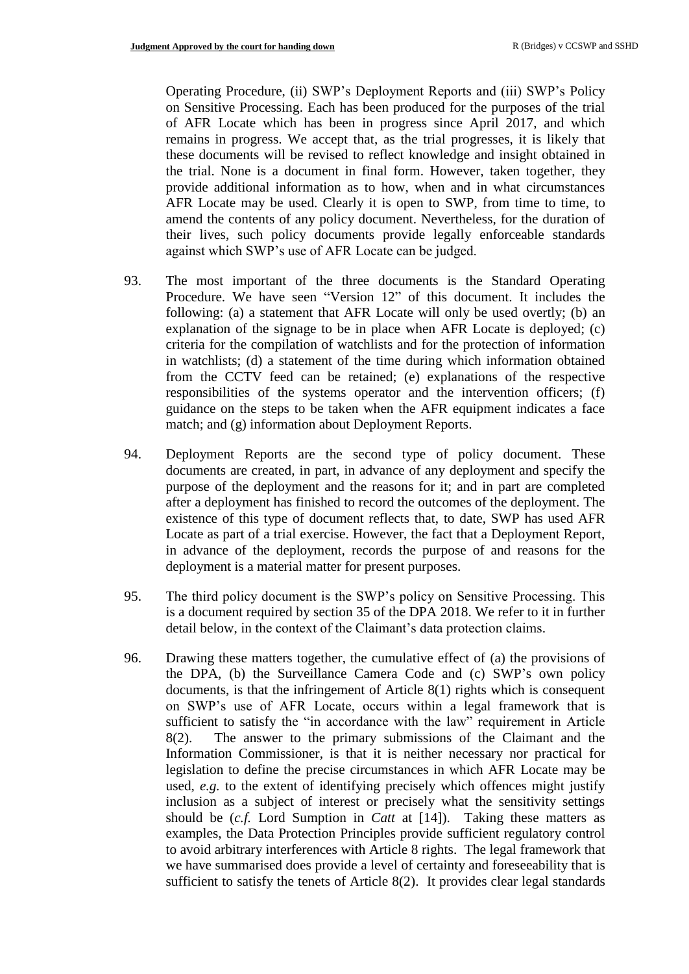Operating Procedure, (ii) SWP's Deployment Reports and (iii) SWP's Policy on Sensitive Processing. Each has been produced for the purposes of the trial of AFR Locate which has been in progress since April 2017, and which remains in progress. We accept that, as the trial progresses, it is likely that these documents will be revised to reflect knowledge and insight obtained in the trial. None is a document in final form. However, taken together, they provide additional information as to how, when and in what circumstances AFR Locate may be used. Clearly it is open to SWP, from time to time, to amend the contents of any policy document. Nevertheless, for the duration of their lives, such policy documents provide legally enforceable standards against which SWP's use of AFR Locate can be judged.

- 93. The most important of the three documents is the Standard Operating Procedure. We have seen "Version 12" of this document. It includes the following: (a) a statement that AFR Locate will only be used overtly; (b) an explanation of the signage to be in place when AFR Locate is deployed; (c) criteria for the compilation of watchlists and for the protection of information in watchlists; (d) a statement of the time during which information obtained from the CCTV feed can be retained; (e) explanations of the respective responsibilities of the systems operator and the intervention officers; (f) guidance on the steps to be taken when the AFR equipment indicates a face match; and (g) information about Deployment Reports.
- 94. Deployment Reports are the second type of policy document. These documents are created, in part, in advance of any deployment and specify the purpose of the deployment and the reasons for it; and in part are completed after a deployment has finished to record the outcomes of the deployment. The existence of this type of document reflects that, to date, SWP has used AFR Locate as part of a trial exercise. However, the fact that a Deployment Report, in advance of the deployment, records the purpose of and reasons for the deployment is a material matter for present purposes.
- 95. The third policy document is the SWP's policy on Sensitive Processing. This is a document required by section 35 of the DPA 2018. We refer to it in further detail below, in the context of the Claimant's data protection claims.
- 96. Drawing these matters together, the cumulative effect of (a) the provisions of the DPA, (b) the Surveillance Camera Code and (c) SWP's own policy documents, is that the infringement of Article 8(1) rights which is consequent on SWP's use of AFR Locate, occurs within a legal framework that is sufficient to satisfy the "in accordance with the law" requirement in Article 8(2). The answer to the primary submissions of the Claimant and the Information Commissioner, is that it is neither necessary nor practical for legislation to define the precise circumstances in which AFR Locate may be used, *e.g.* to the extent of identifying precisely which offences might justify inclusion as a subject of interest or precisely what the sensitivity settings should be (*c.f.* Lord Sumption in *Catt* at [14]). Taking these matters as examples, the Data Protection Principles provide sufficient regulatory control to avoid arbitrary interferences with Article 8 rights. The legal framework that we have summarised does provide a level of certainty and foreseeability that is sufficient to satisfy the tenets of Article 8(2). It provides clear legal standards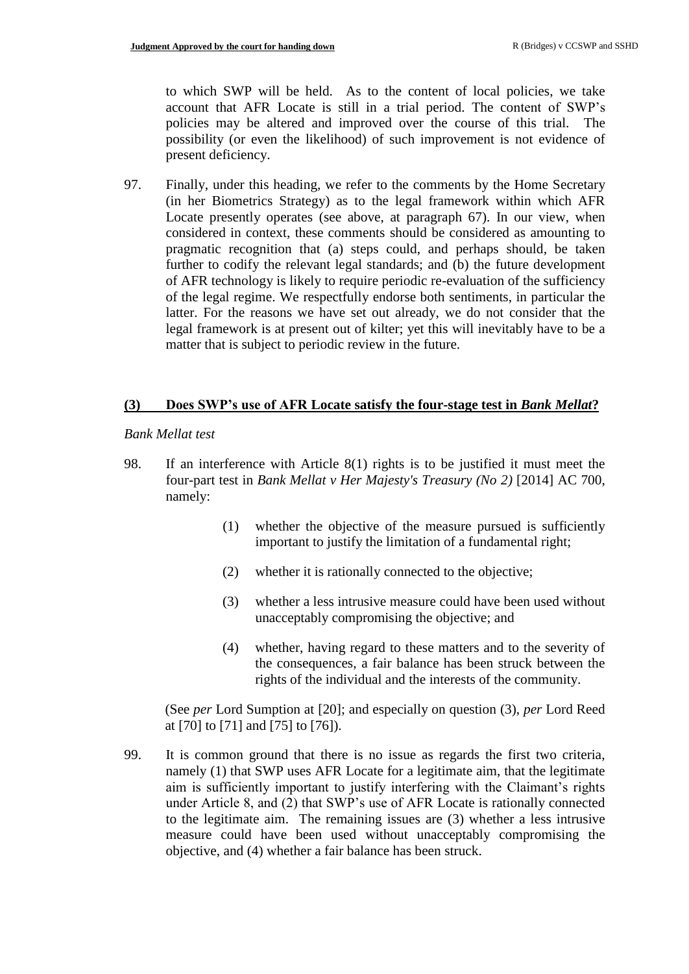to which SWP will be held. As to the content of local policies, we take account that AFR Locate is still in a trial period. The content of SWP's policies may be altered and improved over the course of this trial. The possibility (or even the likelihood) of such improvement is not evidence of present deficiency.

97. Finally, under this heading, we refer to the comments by the Home Secretary (in her Biometrics Strategy) as to the legal framework within which AFR Locate presently operates (see above, at paragraph 67). In our view, when considered in context, these comments should be considered as amounting to pragmatic recognition that (a) steps could, and perhaps should, be taken further to codify the relevant legal standards; and (b) the future development of AFR technology is likely to require periodic re-evaluation of the sufficiency of the legal regime. We respectfully endorse both sentiments, in particular the latter. For the reasons we have set out already, we do not consider that the legal framework is at present out of kilter; yet this will inevitably have to be a matter that is subject to periodic review in the future.

### **(3) Does SWP's use of AFR Locate satisfy the four-stage test in** *Bank Mellat***?**

#### *Bank Mellat test*

- 98. If an interference with Article 8(1) rights is to be justified it must meet the four-part test in *Bank Mellat v Her Majesty's Treasury (No 2)* [2014] AC 700, namely:
	- (1) whether the objective of the measure pursued is sufficiently important to justify the limitation of a fundamental right;
	- (2) whether it is rationally connected to the objective;
	- (3) whether a less intrusive measure could have been used without unacceptably compromising the objective; and
	- (4) whether, having regard to these matters and to the severity of the consequences, a fair balance has been struck between the rights of the individual and the interests of the community.

(See *per* Lord Sumption at [20]; and especially on question (3), *per* Lord Reed at [70] to [71] and [75] to [76]).

99. It is common ground that there is no issue as regards the first two criteria, namely (1) that SWP uses AFR Locate for a legitimate aim, that the legitimate aim is sufficiently important to justify interfering with the Claimant's rights under Article 8, and (2) that SWP's use of AFR Locate is rationally connected to the legitimate aim. The remaining issues are (3) whether a less intrusive measure could have been used without unacceptably compromising the objective, and (4) whether a fair balance has been struck.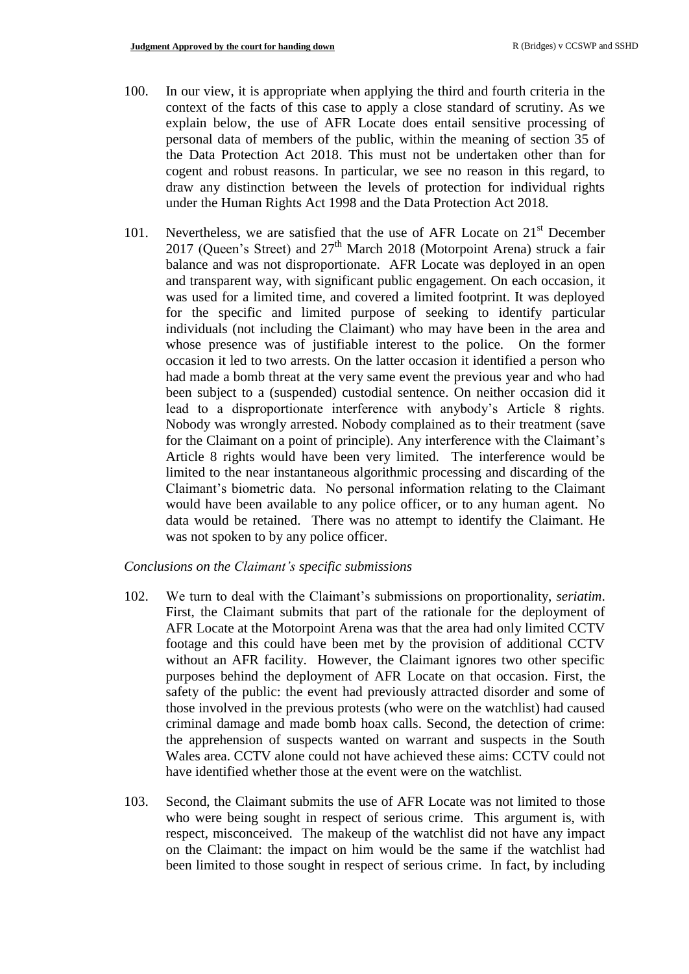- 100. In our view, it is appropriate when applying the third and fourth criteria in the context of the facts of this case to apply a close standard of scrutiny. As we explain below, the use of AFR Locate does entail sensitive processing of personal data of members of the public, within the meaning of section 35 of the Data Protection Act 2018. This must not be undertaken other than for cogent and robust reasons. In particular, we see no reason in this regard, to draw any distinction between the levels of protection for individual rights under the Human Rights Act 1998 and the Data Protection Act 2018.
- 101. Nevertheless, we are satisfied that the use of AFR Locate on  $21<sup>st</sup>$  December 2017 (Queen's Street) and  $27<sup>th</sup>$  March 2018 (Motorpoint Arena) struck a fair balance and was not disproportionate. AFR Locate was deployed in an open and transparent way, with significant public engagement. On each occasion, it was used for a limited time, and covered a limited footprint. It was deployed for the specific and limited purpose of seeking to identify particular individuals (not including the Claimant) who may have been in the area and whose presence was of justifiable interest to the police. On the former occasion it led to two arrests. On the latter occasion it identified a person who had made a bomb threat at the very same event the previous year and who had been subject to a (suspended) custodial sentence. On neither occasion did it lead to a disproportionate interference with anybody's Article 8 rights. Nobody was wrongly arrested. Nobody complained as to their treatment (save for the Claimant on a point of principle). Any interference with the Claimant's Article 8 rights would have been very limited. The interference would be limited to the near instantaneous algorithmic processing and discarding of the Claimant's biometric data. No personal information relating to the Claimant would have been available to any police officer, or to any human agent. No data would be retained. There was no attempt to identify the Claimant. He was not spoken to by any police officer.

#### *Conclusions on the Claimant's specific submissions*

- 102. We turn to deal with the Claimant's submissions on proportionality, *seriatim*. First, the Claimant submits that part of the rationale for the deployment of AFR Locate at the Motorpoint Arena was that the area had only limited CCTV footage and this could have been met by the provision of additional CCTV without an AFR facility. However, the Claimant ignores two other specific purposes behind the deployment of AFR Locate on that occasion. First, the safety of the public: the event had previously attracted disorder and some of those involved in the previous protests (who were on the watchlist) had caused criminal damage and made bomb hoax calls. Second, the detection of crime: the apprehension of suspects wanted on warrant and suspects in the South Wales area. CCTV alone could not have achieved these aims: CCTV could not have identified whether those at the event were on the watchlist.
- 103. Second, the Claimant submits the use of AFR Locate was not limited to those who were being sought in respect of serious crime. This argument is, with respect, misconceived. The makeup of the watchlist did not have any impact on the Claimant: the impact on him would be the same if the watchlist had been limited to those sought in respect of serious crime. In fact, by including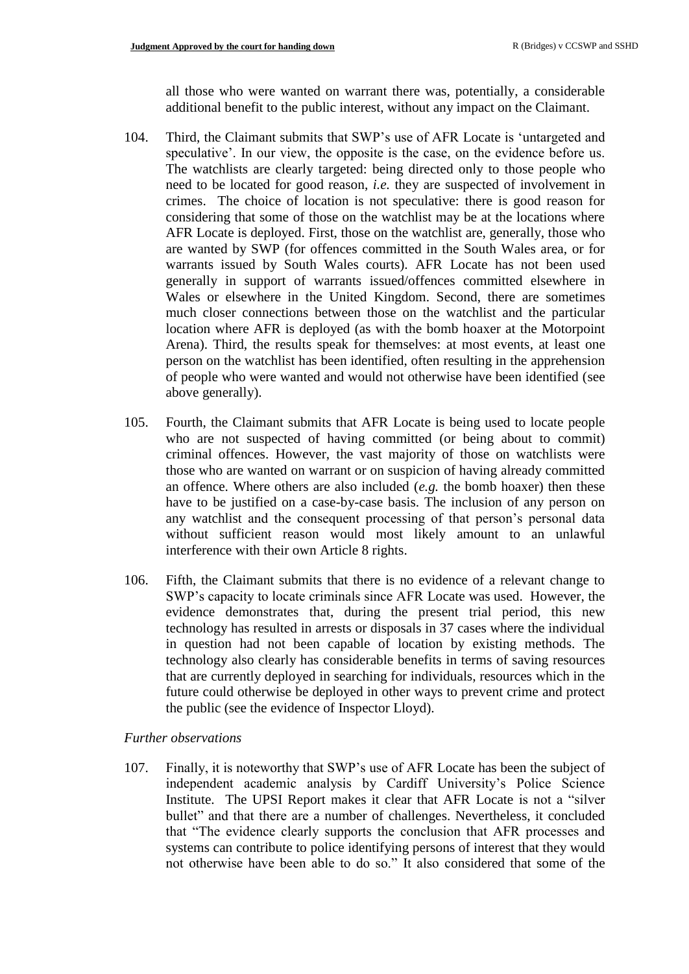all those who were wanted on warrant there was, potentially, a considerable additional benefit to the public interest, without any impact on the Claimant.

- 104. Third, the Claimant submits that SWP's use of AFR Locate is 'untargeted and speculative'. In our view, the opposite is the case, on the evidence before us. The watchlists are clearly targeted: being directed only to those people who need to be located for good reason, *i.e.* they are suspected of involvement in crimes. The choice of location is not speculative: there is good reason for considering that some of those on the watchlist may be at the locations where AFR Locate is deployed. First, those on the watchlist are, generally, those who are wanted by SWP (for offences committed in the South Wales area, or for warrants issued by South Wales courts). AFR Locate has not been used generally in support of warrants issued/offences committed elsewhere in Wales or elsewhere in the United Kingdom. Second, there are sometimes much closer connections between those on the watchlist and the particular location where AFR is deployed (as with the bomb hoaxer at the Motorpoint Arena). Third, the results speak for themselves: at most events, at least one person on the watchlist has been identified, often resulting in the apprehension of people who were wanted and would not otherwise have been identified (see above generally).
- 105. Fourth, the Claimant submits that AFR Locate is being used to locate people who are not suspected of having committed (or being about to commit) criminal offences. However, the vast majority of those on watchlists were those who are wanted on warrant or on suspicion of having already committed an offence. Where others are also included (*e.g.* the bomb hoaxer) then these have to be justified on a case-by-case basis. The inclusion of any person on any watchlist and the consequent processing of that person's personal data without sufficient reason would most likely amount to an unlawful interference with their own Article 8 rights.
- 106. Fifth, the Claimant submits that there is no evidence of a relevant change to SWP's capacity to locate criminals since AFR Locate was used. However, the evidence demonstrates that, during the present trial period, this new technology has resulted in arrests or disposals in 37 cases where the individual in question had not been capable of location by existing methods. The technology also clearly has considerable benefits in terms of saving resources that are currently deployed in searching for individuals, resources which in the future could otherwise be deployed in other ways to prevent crime and protect the public (see the evidence of Inspector Lloyd).

#### *Further observations*

107. Finally, it is noteworthy that SWP's use of AFR Locate has been the subject of independent academic analysis by Cardiff University's Police Science Institute. The UPSI Report makes it clear that AFR Locate is not a "silver bullet" and that there are a number of challenges. Nevertheless, it concluded that "The evidence clearly supports the conclusion that AFR processes and systems can contribute to police identifying persons of interest that they would not otherwise have been able to do so." It also considered that some of the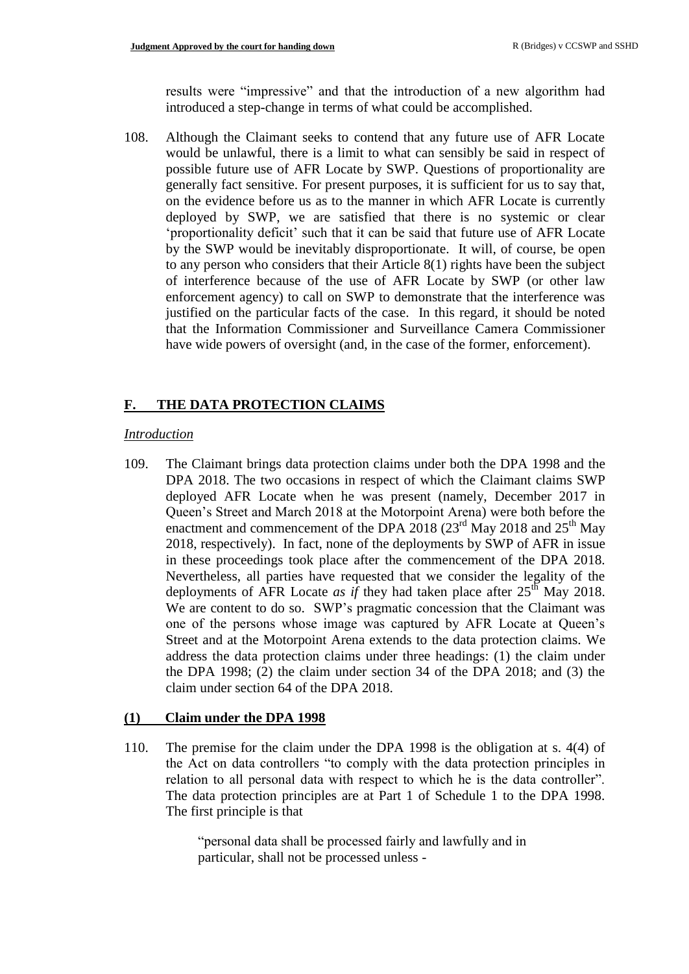results were "impressive" and that the introduction of a new algorithm had introduced a step-change in terms of what could be accomplished.

108. Although the Claimant seeks to contend that any future use of AFR Locate would be unlawful, there is a limit to what can sensibly be said in respect of possible future use of AFR Locate by SWP. Questions of proportionality are generally fact sensitive. For present purposes, it is sufficient for us to say that, on the evidence before us as to the manner in which AFR Locate is currently deployed by SWP, we are satisfied that there is no systemic or clear 'proportionality deficit' such that it can be said that future use of AFR Locate by the SWP would be inevitably disproportionate. It will, of course, be open to any person who considers that their Article  $8(1)$  rights have been the subject of interference because of the use of AFR Locate by SWP (or other law enforcement agency) to call on SWP to demonstrate that the interference was justified on the particular facts of the case. In this regard, it should be noted that the Information Commissioner and Surveillance Camera Commissioner have wide powers of oversight (and, in the case of the former, enforcement).

### **F. THE DATA PROTECTION CLAIMS**

#### *Introduction*

109. The Claimant brings data protection claims under both the DPA 1998 and the DPA 2018. The two occasions in respect of which the Claimant claims SWP deployed AFR Locate when he was present (namely, December 2017 in Queen's Street and March 2018 at the Motorpoint Arena) were both before the enactment and commencement of the DPA 2018 ( $23<sup>rd</sup>$  May 2018 and  $25<sup>th</sup>$  May 2018, respectively). In fact, none of the deployments by SWP of AFR in issue in these proceedings took place after the commencement of the DPA 2018. Nevertheless, all parties have requested that we consider the legality of the deployments of AFR Locate *as if* they had taken place after  $25<sup>th</sup>$  May 2018. We are content to do so. SWP's pragmatic concession that the Claimant was one of the persons whose image was captured by AFR Locate at Queen's Street and at the Motorpoint Arena extends to the data protection claims. We address the data protection claims under three headings: (1) the claim under the DPA 1998; (2) the claim under section 34 of the DPA 2018; and (3) the claim under section 64 of the DPA 2018.

### **(1) Claim under the DPA 1998**

110. The premise for the claim under the DPA 1998 is the obligation at s. 4(4) of the Act on data controllers "to comply with the data protection principles in relation to all personal data with respect to which he is the data controller". The data protection principles are at Part 1 of Schedule 1 to the DPA 1998. The first principle is that

> "personal data shall be processed fairly and lawfully and in particular, shall not be processed unless -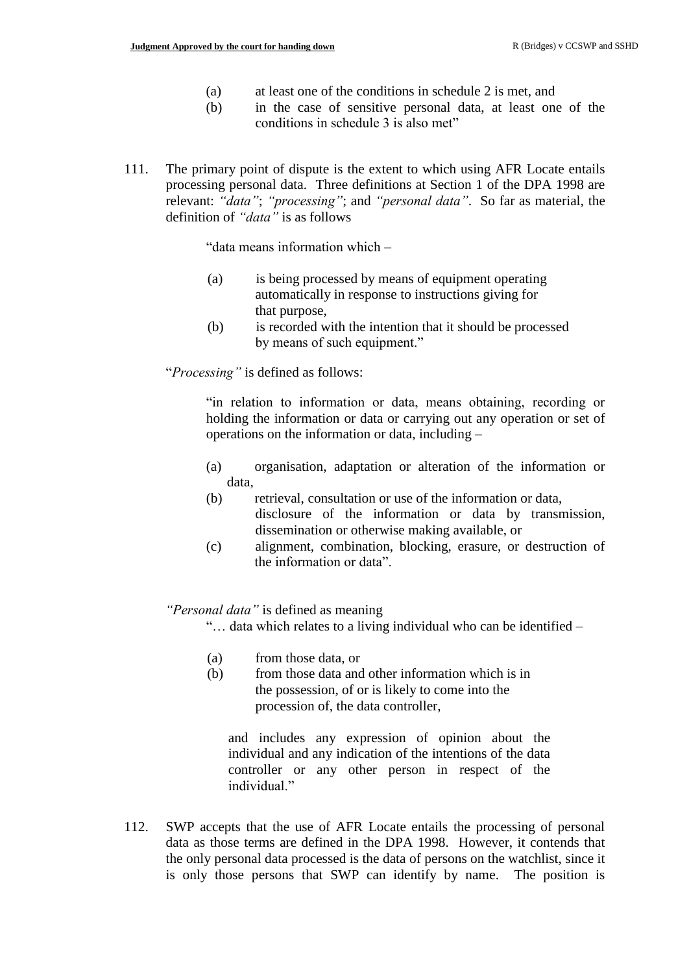- (a) at least one of the conditions in schedule 2 is met, and
- (b) in the case of sensitive personal data, at least one of the conditions in schedule 3 is also met"
- 111. The primary point of dispute is the extent to which using AFR Locate entails processing personal data. Three definitions at Section 1 of the DPA 1998 are relevant: *"data"*; *"processing"*; and *"personal data"*. So far as material, the definition of *"data"* is as follows

"data means information which –

- (a) is being processed by means of equipment operating automatically in response to instructions giving for that purpose,
- (b) is recorded with the intention that it should be processed by means of such equipment."

"*Processing"* is defined as follows:

"in relation to information or data, means obtaining, recording or holding the information or data or carrying out any operation or set of operations on the information or data, including –

- (a) organisation, adaptation or alteration of the information or data,
- (b) retrieval, consultation or use of the information or data, disclosure of the information or data by transmission, dissemination or otherwise making available, or
- (c) alignment, combination, blocking, erasure, or destruction of the information or data".

*"Personal data"* is defined as meaning

"… data which relates to a living individual who can be identified –

- (a) from those data, or
- (b) from those data and other information which is in the possession, of or is likely to come into the procession of, the data controller,

and includes any expression of opinion about the individual and any indication of the intentions of the data controller or any other person in respect of the individual."

112. SWP accepts that the use of AFR Locate entails the processing of personal data as those terms are defined in the DPA 1998. However, it contends that the only personal data processed is the data of persons on the watchlist, since it is only those persons that SWP can identify by name. The position is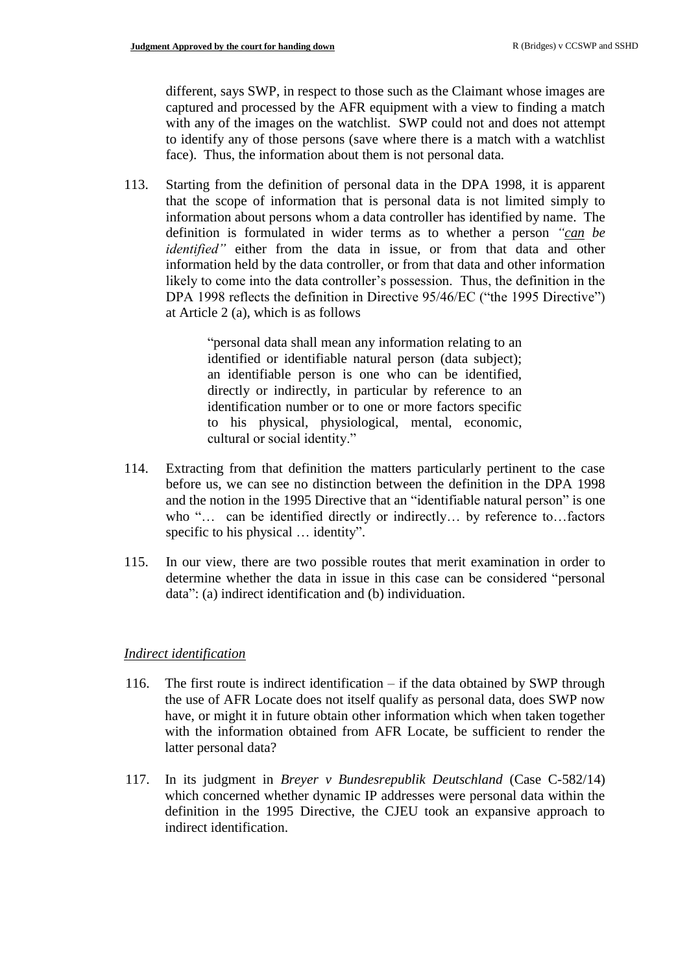different, says SWP, in respect to those such as the Claimant whose images are captured and processed by the AFR equipment with a view to finding a match with any of the images on the watchlist. SWP could not and does not attempt to identify any of those persons (save where there is a match with a watchlist face). Thus, the information about them is not personal data.

113. Starting from the definition of personal data in the DPA 1998, it is apparent that the scope of information that is personal data is not limited simply to information about persons whom a data controller has identified by name. The definition is formulated in wider terms as to whether a person *"can be identified"* either from the data in issue, or from that data and other information held by the data controller, or from that data and other information likely to come into the data controller's possession. Thus, the definition in the DPA 1998 reflects the definition in Directive 95/46/EC ("the 1995 Directive") at Article 2 (a), which is as follows

> "personal data shall mean any information relating to an identified or identifiable natural person (data subject); an identifiable person is one who can be identified, directly or indirectly, in particular by reference to an identification number or to one or more factors specific to his physical, physiological, mental, economic, cultural or social identity."

- 114. Extracting from that definition the matters particularly pertinent to the case before us, we can see no distinction between the definition in the DPA 1998 and the notion in the 1995 Directive that an "identifiable natural person" is one who "… can be identified directly or indirectly… by reference to…factors specific to his physical … identity".
- 115. In our view, there are two possible routes that merit examination in order to determine whether the data in issue in this case can be considered "personal data": (a) indirect identification and (b) individuation.

### *Indirect identification*

- 116. The first route is indirect identification if the data obtained by SWP through the use of AFR Locate does not itself qualify as personal data, does SWP now have, or might it in future obtain other information which when taken together with the information obtained from AFR Locate, be sufficient to render the latter personal data?
- 117. In its judgment in *Breyer v Bundesrepublik Deutschland* (Case C-582/14) which concerned whether dynamic IP addresses were personal data within the definition in the 1995 Directive, the CJEU took an expansive approach to indirect identification.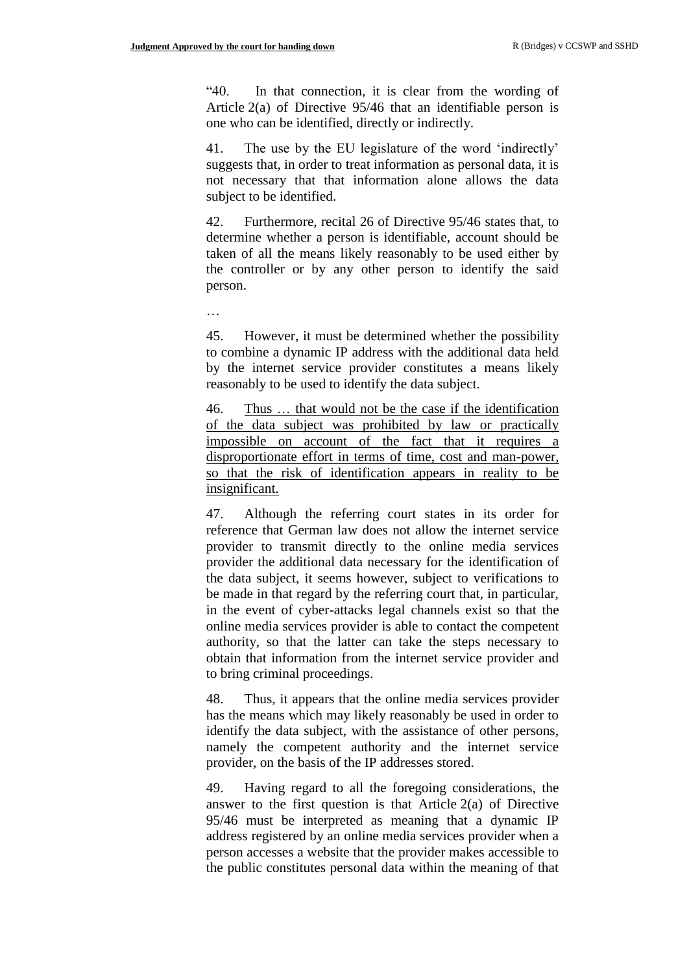"40. In that connection, it is clear from the wording of Article 2(a) of Directive 95/46 that an identifiable person is one who can be identified, directly or indirectly.

41. The use by the EU legislature of the word 'indirectly' suggests that, in order to treat information as personal data, it is not necessary that that information alone allows the data subject to be identified.

42. Furthermore, recital 26 of Directive 95/46 states that, to determine whether a person is identifiable, account should be taken of all the means likely reasonably to be used either by the controller or by any other person to identify the said person.

…

45. However, it must be determined whether the possibility to combine a dynamic IP address with the additional data held by the internet service provider constitutes a means likely reasonably to be used to identify the data subject.

46. Thus … that would not be the case if the identification of the data subject was prohibited by law or practically impossible on account of the fact that it requires a disproportionate effort in terms of time, cost and man-power, so that the risk of identification appears in reality to be insignificant.

47. Although the referring court states in its order for reference that German law does not allow the internet service provider to transmit directly to the online media services provider the additional data necessary for the identification of the data subject, it seems however, subject to verifications to be made in that regard by the referring court that, in particular, in the event of cyber-attacks legal channels exist so that the online media services provider is able to contact the competent authority, so that the latter can take the steps necessary to obtain that information from the internet service provider and to bring criminal proceedings.

48. Thus, it appears that the online media services provider has the means which may likely reasonably be used in order to identify the data subject, with the assistance of other persons, namely the competent authority and the internet service provider, on the basis of the IP addresses stored.

49. Having regard to all the foregoing considerations, the answer to the first question is that Article  $2(a)$  of Directive 95/46 must be interpreted as meaning that a dynamic IP address registered by an online media services provider when a person accesses a website that the provider makes accessible to the public constitutes personal data within the meaning of that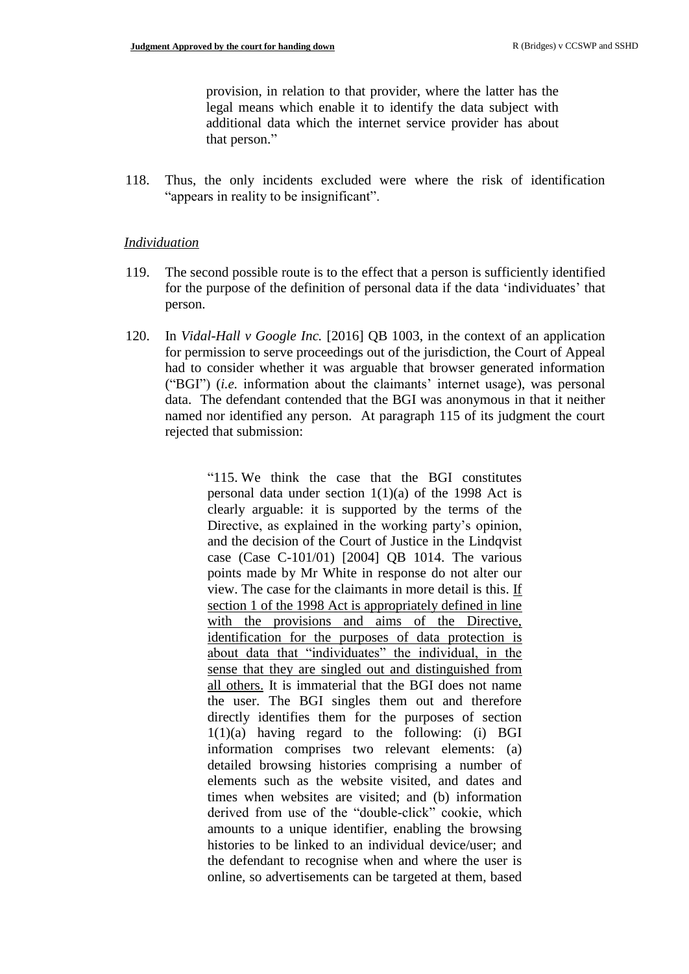provision, in relation to that provider, where the latter has the legal means which enable it to identify the data subject with additional data which the internet service provider has about that person."

118. Thus, the only incidents excluded were where the risk of identification "appears in reality to be insignificant".

#### *Individuation*

- 119. The second possible route is to the effect that a person is sufficiently identified for the purpose of the definition of personal data if the data 'individuates' that person.
- 120. In *Vidal-Hall v Google Inc.* [2016] QB 1003, in the context of an application for permission to serve proceedings out of the jurisdiction, the Court of Appeal had to consider whether it was arguable that browser generated information ("BGI") (*i.e.* information about the claimants' internet usage), was personal data. The defendant contended that the BGI was anonymous in that it neither named nor identified any person. At paragraph 115 of its judgment the court rejected that submission:

"115. We think the case that the BGI constitutes personal data under section  $1(1)(a)$  of the 1998 Act is clearly arguable: it is supported by the terms of the Directive, as explained in the working party's opinion, and the decision of the Court of Justice in the Lindqvist case (Case C-101/01) [2004] QB 1014. The various points made by Mr White in response do not alter our view. The case for the claimants in more detail is this. If section 1 of the 1998 Act is appropriately defined in line with the provisions and aims of the Directive, identification for the purposes of data protection is about data that "individuates" the individual, in the sense that they are singled out and distinguished from all others. It is immaterial that the BGI does not name the user. The BGI singles them out and therefore directly identifies them for the purposes of section 1(1)(a) having regard to the following: (i) BGI information comprises two relevant elements: (a) detailed browsing histories comprising a number of elements such as the website visited, and dates and times when websites are visited; and (b) information derived from use of the "double-click" cookie, which amounts to a unique identifier, enabling the browsing histories to be linked to an individual device/user; and the defendant to recognise when and where the user is online, so advertisements can be targeted at them, based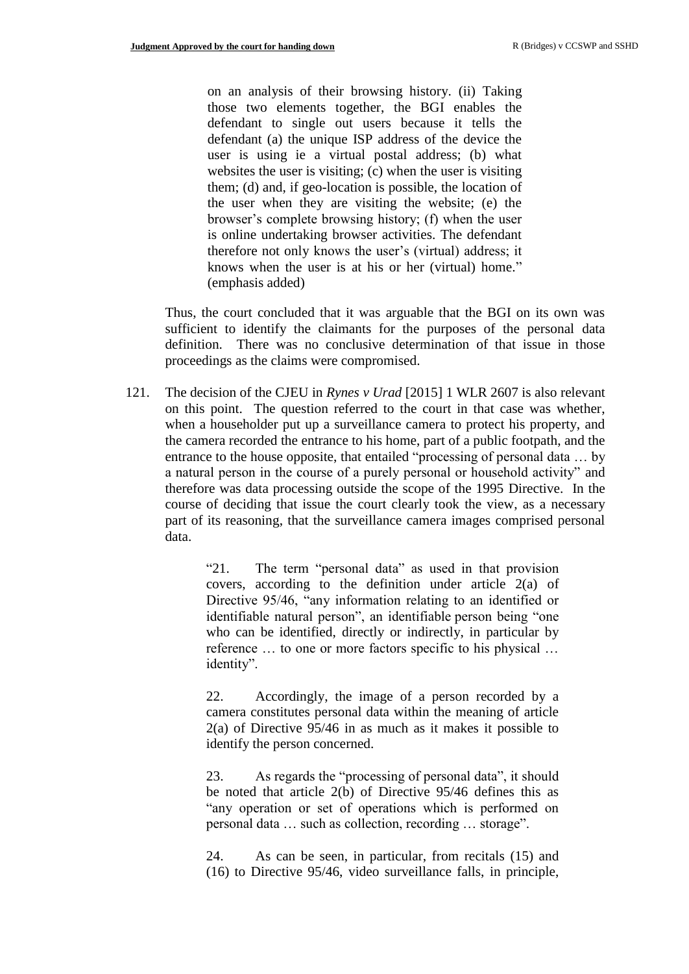on an analysis of their browsing history. (ii) Taking those two elements together, the BGI enables the defendant to single out users because it tells the defendant (a) the unique ISP address of the device the user is using ie a virtual postal address; (b) what websites the user is visiting; (c) when the user is visiting them; (d) and, if geo-location is possible, the location of the user when they are visiting the website; (e) the browser's complete browsing history; (f) when the user is online undertaking browser activities. The defendant therefore not only knows the user's (virtual) address; it knows when the user is at his or her (virtual) home." (emphasis added)

Thus, the court concluded that it was arguable that the BGI on its own was sufficient to identify the claimants for the purposes of the personal data definition. There was no conclusive determination of that issue in those proceedings as the claims were compromised.

121. The decision of the CJEU in *Rynes v Urad* [2015] 1 WLR 2607 is also relevant on this point. The question referred to the court in that case was whether, when a householder put up a surveillance camera to protect his property, and the camera recorded the entrance to his home, part of a public footpath, and the entrance to the house opposite, that entailed "processing of personal data … by a natural person in the course of a purely personal or household activity" and therefore was data processing outside the scope of the 1995 Directive. In the course of deciding that issue the court clearly took the view, as a necessary part of its reasoning, that the surveillance camera images comprised personal data.

> "21. The term "personal data" as used in that provision covers, according to the definition under article 2(a) of Directive 95/46, "any information relating to an identified or identifiable natural person", an identifiable person being "one who can be identified, directly or indirectly, in particular by reference … to one or more factors specific to his physical … identity".

> 22. Accordingly, the image of a person recorded by a camera constitutes personal data within the meaning of article 2(a) of Directive 95/46 in as much as it makes it possible to identify the person concerned.

> 23. As regards the "processing of personal data", it should be noted that article 2(b) of Directive 95/46 defines this as "any operation or set of operations which is performed on personal data … such as collection, recording … storage".

> 24. As can be seen, in particular, from recitals (15) and (16) to Directive 95/46, video surveillance falls, in principle,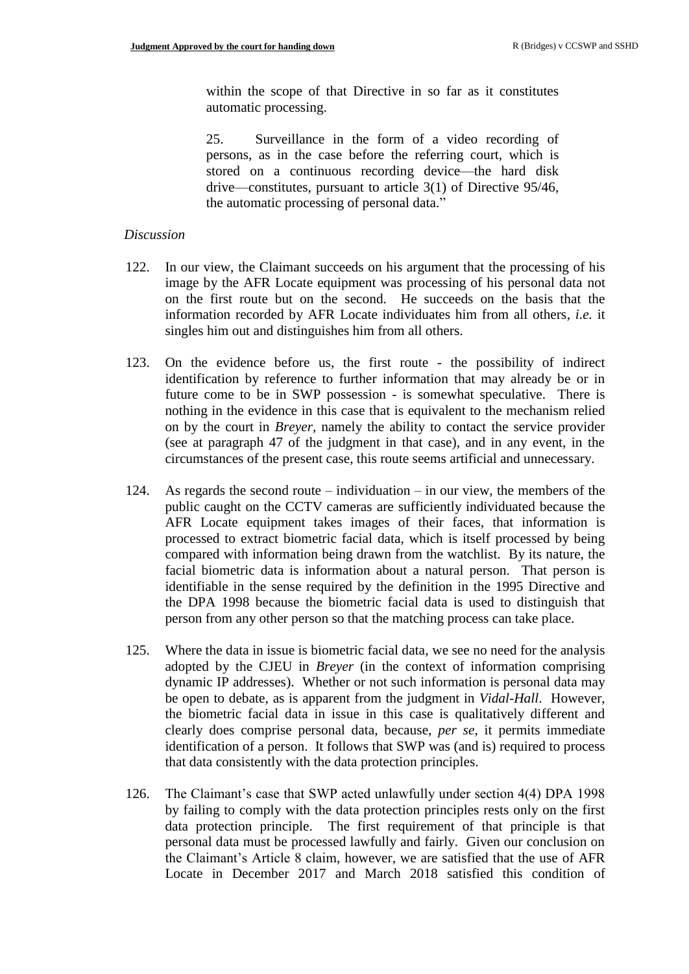within the scope of that Directive in so far as it constitutes automatic processing.

25. Surveillance in the form of a video recording of persons, as in the case before the referring court, which is stored on a continuous recording device—the hard disk drive—constitutes, pursuant to article 3(1) of Directive 95/46, the automatic processing of personal data."

#### *Discussion*

- 122. In our view, the Claimant succeeds on his argument that the processing of his image by the AFR Locate equipment was processing of his personal data not on the first route but on the second. He succeeds on the basis that the information recorded by AFR Locate individuates him from all others, *i.e.* it singles him out and distinguishes him from all others.
- 123. On the evidence before us, the first route the possibility of indirect identification by reference to further information that may already be or in future come to be in SWP possession - is somewhat speculative. There is nothing in the evidence in this case that is equivalent to the mechanism relied on by the court in *Breyer*, namely the ability to contact the service provider (see at paragraph 47 of the judgment in that case), and in any event, in the circumstances of the present case, this route seems artificial and unnecessary.
- 124. As regards the second route individuation in our view, the members of the public caught on the CCTV cameras are sufficiently individuated because the AFR Locate equipment takes images of their faces, that information is processed to extract biometric facial data, which is itself processed by being compared with information being drawn from the watchlist. By its nature, the facial biometric data is information about a natural person. That person is identifiable in the sense required by the definition in the 1995 Directive and the DPA 1998 because the biometric facial data is used to distinguish that person from any other person so that the matching process can take place.
- 125. Where the data in issue is biometric facial data, we see no need for the analysis adopted by the CJEU in *Breyer* (in the context of information comprising dynamic IP addresses). Whether or not such information is personal data may be open to debate, as is apparent from the judgment in *Vidal-Hall*. However, the biometric facial data in issue in this case is qualitatively different and clearly does comprise personal data, because, *per se*, it permits immediate identification of a person. It follows that SWP was (and is) required to process that data consistently with the data protection principles.
- 126. The Claimant's case that SWP acted unlawfully under section 4(4) DPA 1998 by failing to comply with the data protection principles rests only on the first data protection principle. The first requirement of that principle is that personal data must be processed lawfully and fairly. Given our conclusion on the Claimant's Article 8 claim, however, we are satisfied that the use of AFR Locate in December 2017 and March 2018 satisfied this condition of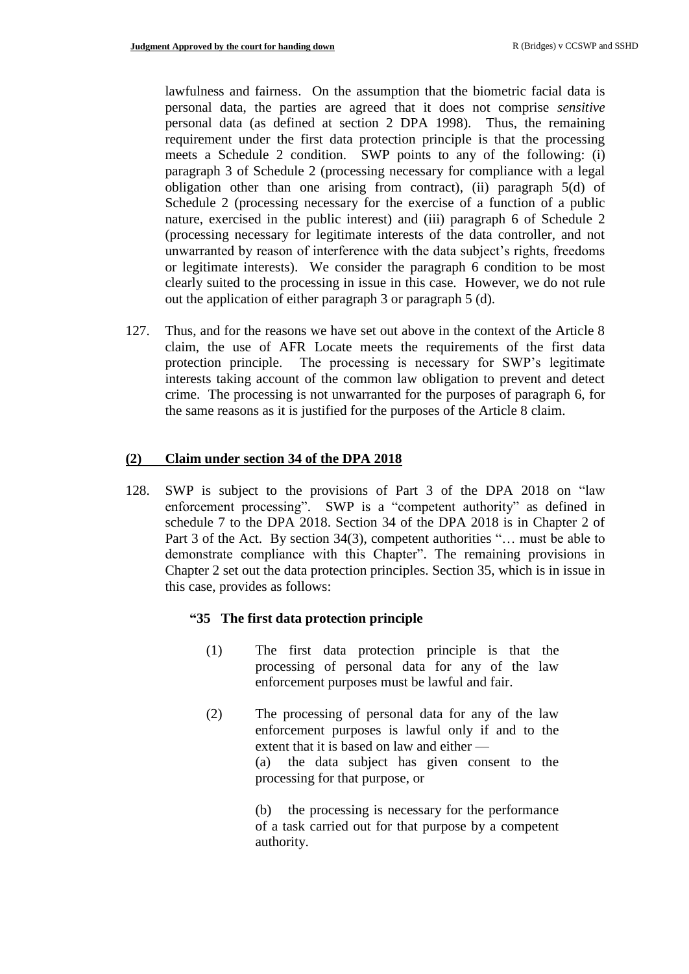lawfulness and fairness. On the assumption that the biometric facial data is personal data, the parties are agreed that it does not comprise *sensitive* personal data (as defined at section 2 DPA 1998). Thus, the remaining requirement under the first data protection principle is that the processing meets a Schedule 2 condition. SWP points to any of the following: (i) paragraph 3 of Schedule 2 (processing necessary for compliance with a legal obligation other than one arising from contract), (ii) paragraph 5(d) of Schedule 2 (processing necessary for the exercise of a function of a public nature, exercised in the public interest) and (iii) paragraph 6 of Schedule 2 (processing necessary for legitimate interests of the data controller, and not unwarranted by reason of interference with the data subject's rights, freedoms or legitimate interests). We consider the paragraph 6 condition to be most clearly suited to the processing in issue in this case. However, we do not rule out the application of either paragraph 3 or paragraph 5 (d).

127. Thus, and for the reasons we have set out above in the context of the Article 8 claim, the use of AFR Locate meets the requirements of the first data protection principle. The processing is necessary for SWP's legitimate interests taking account of the common law obligation to prevent and detect crime. The processing is not unwarranted for the purposes of paragraph 6, for the same reasons as it is justified for the purposes of the Article 8 claim.

#### **(2) Claim under section 34 of the DPA 2018**

128. SWP is subject to the provisions of Part 3 of the DPA 2018 on "law enforcement processing". SWP is a "competent authority" as defined in schedule 7 to the DPA 2018. Section 34 of the DPA 2018 is in Chapter 2 of Part 3 of the Act. By section 34(3), competent authorities "... must be able to demonstrate compliance with this Chapter". The remaining provisions in Chapter 2 set out the data protection principles. Section 35, which is in issue in this case, provides as follows:

#### **"35 The first data protection principle**

- (1) The first data protection principle is that the processing of personal data for any of the law enforcement purposes must be lawful and fair.
- (2) The processing of personal data for any of the law enforcement purposes is lawful only if and to the extent that it is based on law and either — (a) the data subject has given consent to the processing for that purpose, or

(b) the processing is necessary for the performance of a task carried out for that purpose by a competent authority.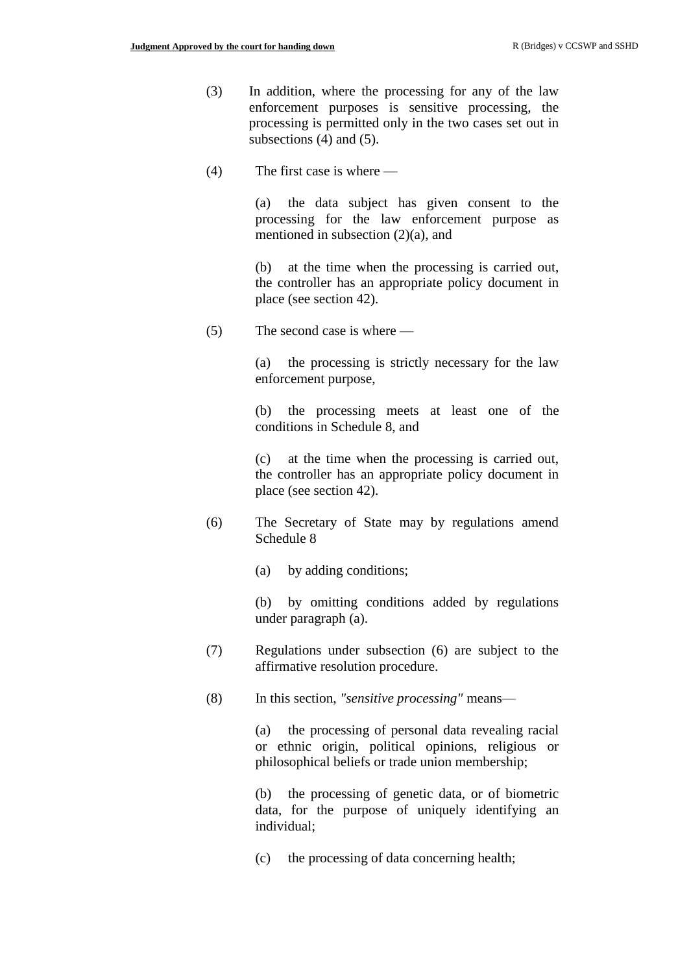- (3) In addition, where the processing for any of the law enforcement purposes is sensitive processing, the processing is permitted only in the two cases set out in subsections (4) and (5).
- (4) The first case is where —

(a) the data subject has given consent to the processing for the law enforcement purpose as mentioned in subsection (2)(a), and

(b) at the time when the processing is carried out, the controller has an appropriate policy document in place (see section 42).

(5) The second case is where —

(a) the processing is strictly necessary for the law enforcement purpose,

(b) the processing meets at least one of the conditions in Schedule 8, and

(c) at the time when the processing is carried out, the controller has an appropriate policy document in place (see section 42).

- (6) The Secretary of State may by regulations amend Schedule 8
	- (a) by adding conditions;

(b) by omitting conditions added by regulations under paragraph (a).

- (7) Regulations under subsection (6) are subject to the affirmative resolution procedure.
- (8) In this section, *"sensitive processing"* means—

(a) the processing of personal data revealing racial or ethnic origin, political opinions, religious or philosophical beliefs or trade union membership;

(b) the processing of genetic data, or of biometric data, for the purpose of uniquely identifying an individual;

(c) the processing of data concerning health;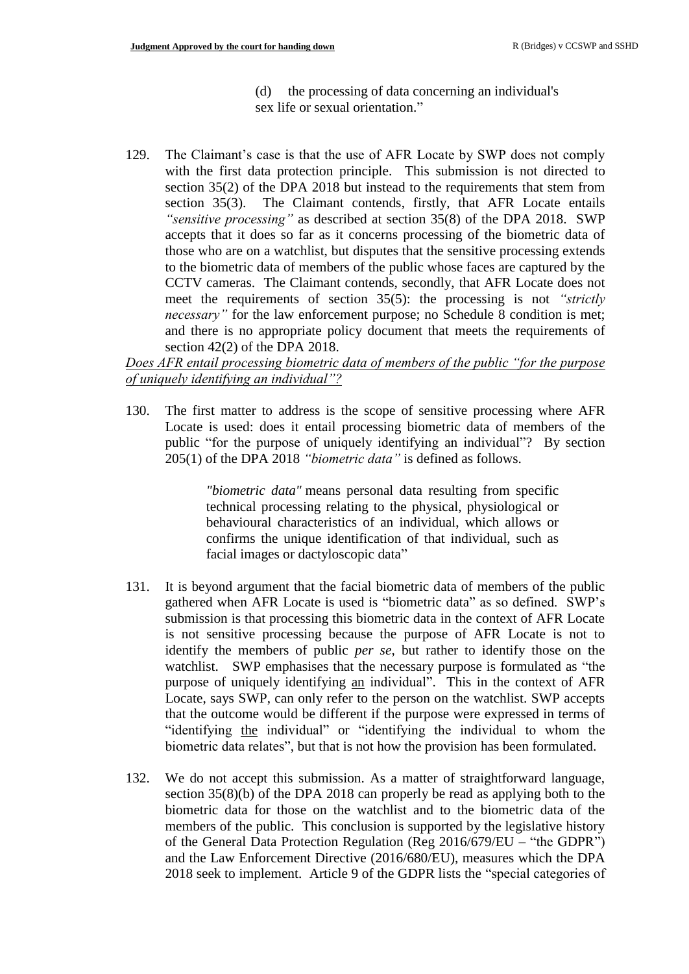- (d) the processing of data concerning an individual's sex life or sexual orientation."
- 129. The Claimant's case is that the use of AFR Locate by SWP does not comply with the first data protection principle. This submission is not directed to section 35(2) of the DPA 2018 but instead to the requirements that stem from section 35(3). The Claimant contends, firstly, that AFR Locate entails *"sensitive processing"* as described at section 35(8) of the DPA 2018. SWP accepts that it does so far as it concerns processing of the biometric data of those who are on a watchlist, but disputes that the sensitive processing extends to the biometric data of members of the public whose faces are captured by the CCTV cameras. The Claimant contends, secondly, that AFR Locate does not meet the requirements of section 35(5): the processing is not *"strictly necessary*" for the law enforcement purpose; no Schedule 8 condition is met; and there is no appropriate policy document that meets the requirements of section 42(2) of the DPA 2018.

*Does AFR entail processing biometric data of members of the public "for the purpose of uniquely identifying an individual"?*

130. The first matter to address is the scope of sensitive processing where AFR Locate is used: does it entail processing biometric data of members of the public "for the purpose of uniquely identifying an individual"? By section 205(1) of the DPA 2018 *"biometric data"* is defined as follows.

> *"biometric data"* means personal data resulting from specific technical processing relating to the physical, physiological or behavioural characteristics of an individual, which allows or confirms the unique identification of that individual, such as facial images or dactyloscopic data"

- 131. It is beyond argument that the facial biometric data of members of the public gathered when AFR Locate is used is "biometric data" as so defined. SWP's submission is that processing this biometric data in the context of AFR Locate is not sensitive processing because the purpose of AFR Locate is not to identify the members of public *per se*, but rather to identify those on the watchlist. SWP emphasises that the necessary purpose is formulated as "the purpose of uniquely identifying an individual". This in the context of AFR Locate, says SWP, can only refer to the person on the watchlist. SWP accepts that the outcome would be different if the purpose were expressed in terms of "identifying the individual" or "identifying the individual to whom the biometric data relates", but that is not how the provision has been formulated.
- 132. We do not accept this submission. As a matter of straightforward language, section 35(8)(b) of the DPA 2018 can properly be read as applying both to the biometric data for those on the watchlist and to the biometric data of the members of the public. This conclusion is supported by the legislative history of the General Data Protection Regulation (Reg 2016/679/EU – "the GDPR") and the Law Enforcement Directive (2016/680/EU), measures which the DPA 2018 seek to implement. Article 9 of the GDPR lists the "special categories of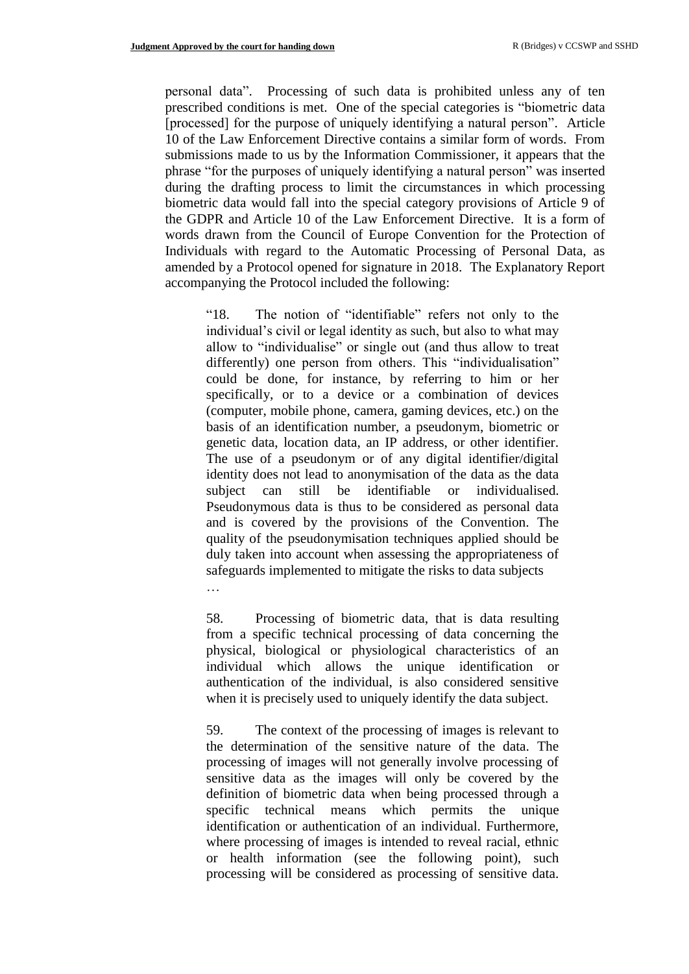personal data". Processing of such data is prohibited unless any of ten prescribed conditions is met. One of the special categories is "biometric data [processed] for the purpose of uniquely identifying a natural person". Article 10 of the Law Enforcement Directive contains a similar form of words. From submissions made to us by the Information Commissioner, it appears that the phrase "for the purposes of uniquely identifying a natural person" was inserted during the drafting process to limit the circumstances in which processing biometric data would fall into the special category provisions of Article 9 of the GDPR and Article 10 of the Law Enforcement Directive. It is a form of words drawn from the Council of Europe Convention for the Protection of Individuals with regard to the Automatic Processing of Personal Data, as amended by a Protocol opened for signature in 2018. The Explanatory Report accompanying the Protocol included the following:

"18. The notion of "identifiable" refers not only to the individual's civil or legal identity as such, but also to what may allow to "individualise" or single out (and thus allow to treat differently) one person from others. This "individualisation" could be done, for instance, by referring to him or her specifically, or to a device or a combination of devices (computer, mobile phone, camera, gaming devices, etc.) on the basis of an identification number, a pseudonym, biometric or genetic data, location data, an IP address, or other identifier. The use of a pseudonym or of any digital identifier/digital identity does not lead to anonymisation of the data as the data subject can still be identifiable or individualised. Pseudonymous data is thus to be considered as personal data and is covered by the provisions of the Convention. The quality of the pseudonymisation techniques applied should be duly taken into account when assessing the appropriateness of safeguards implemented to mitigate the risks to data subjects …

58. Processing of biometric data, that is data resulting from a specific technical processing of data concerning the physical, biological or physiological characteristics of an individual which allows the unique identification or authentication of the individual, is also considered sensitive when it is precisely used to uniquely identify the data subject.

59. The context of the processing of images is relevant to the determination of the sensitive nature of the data. The processing of images will not generally involve processing of sensitive data as the images will only be covered by the definition of biometric data when being processed through a specific technical means which permits the unique identification or authentication of an individual. Furthermore, where processing of images is intended to reveal racial, ethnic or health information (see the following point), such processing will be considered as processing of sensitive data.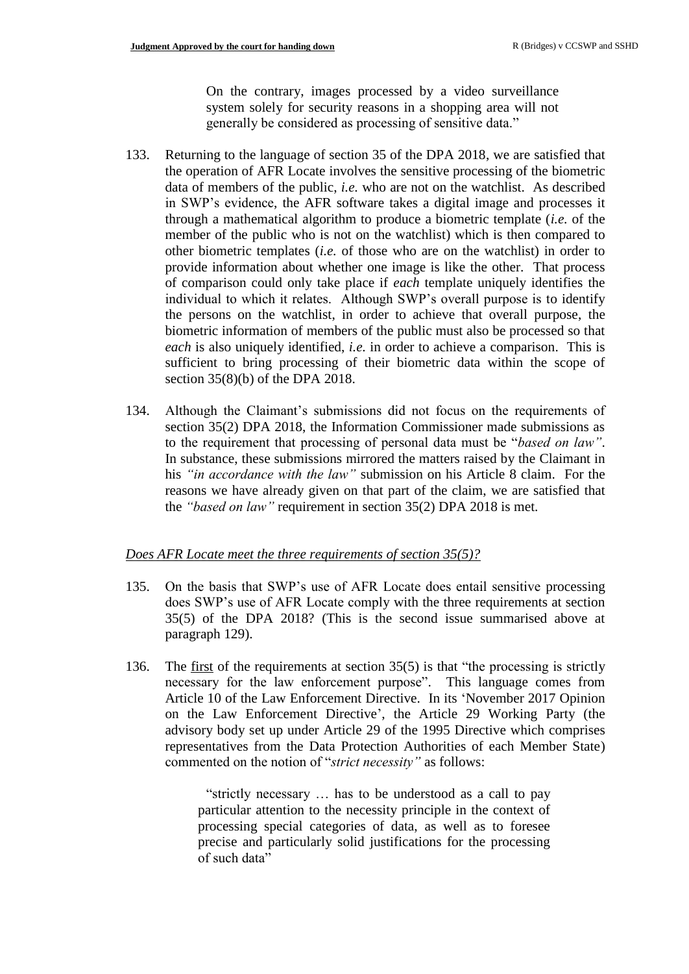On the contrary, images processed by a video surveillance system solely for security reasons in a shopping area will not generally be considered as processing of sensitive data."

- 133. Returning to the language of section 35 of the DPA 2018, we are satisfied that the operation of AFR Locate involves the sensitive processing of the biometric data of members of the public, *i.e.* who are not on the watchlist. As described in SWP's evidence, the AFR software takes a digital image and processes it through a mathematical algorithm to produce a biometric template (*i.e.* of the member of the public who is not on the watchlist) which is then compared to other biometric templates (*i.e.* of those who are on the watchlist) in order to provide information about whether one image is like the other. That process of comparison could only take place if *each* template uniquely identifies the individual to which it relates. Although SWP's overall purpose is to identify the persons on the watchlist, in order to achieve that overall purpose, the biometric information of members of the public must also be processed so that *each* is also uniquely identified, *i.e.* in order to achieve a comparison. This is sufficient to bring processing of their biometric data within the scope of section 35(8)(b) of the DPA 2018.
- 134. Although the Claimant's submissions did not focus on the requirements of section 35(2) DPA 2018, the Information Commissioner made submissions as to the requirement that processing of personal data must be "*based on law"*. In substance, these submissions mirrored the matters raised by the Claimant in his *"in accordance with the law"* submission on his Article 8 claim. For the reasons we have already given on that part of the claim, we are satisfied that the *"based on law"* requirement in section 35(2) DPA 2018 is met.

### *Does AFR Locate meet the three requirements of section 35(5)?*

- 135. On the basis that SWP's use of AFR Locate does entail sensitive processing does SWP's use of AFR Locate comply with the three requirements at section 35(5) of the DPA 2018? (This is the second issue summarised above at paragraph 129).
- 136. The first of the requirements at section 35(5) is that "the processing is strictly necessary for the law enforcement purpose". This language comes from Article 10 of the Law Enforcement Directive. In its 'November 2017 Opinion on the Law Enforcement Directive', the Article 29 Working Party (the advisory body set up under Article 29 of the 1995 Directive which comprises representatives from the Data Protection Authorities of each Member State) commented on the notion of "*strict necessity"* as follows:

"strictly necessary … has to be understood as a call to pay particular attention to the necessity principle in the context of processing special categories of data, as well as to foresee precise and particularly solid justifications for the processing of such data"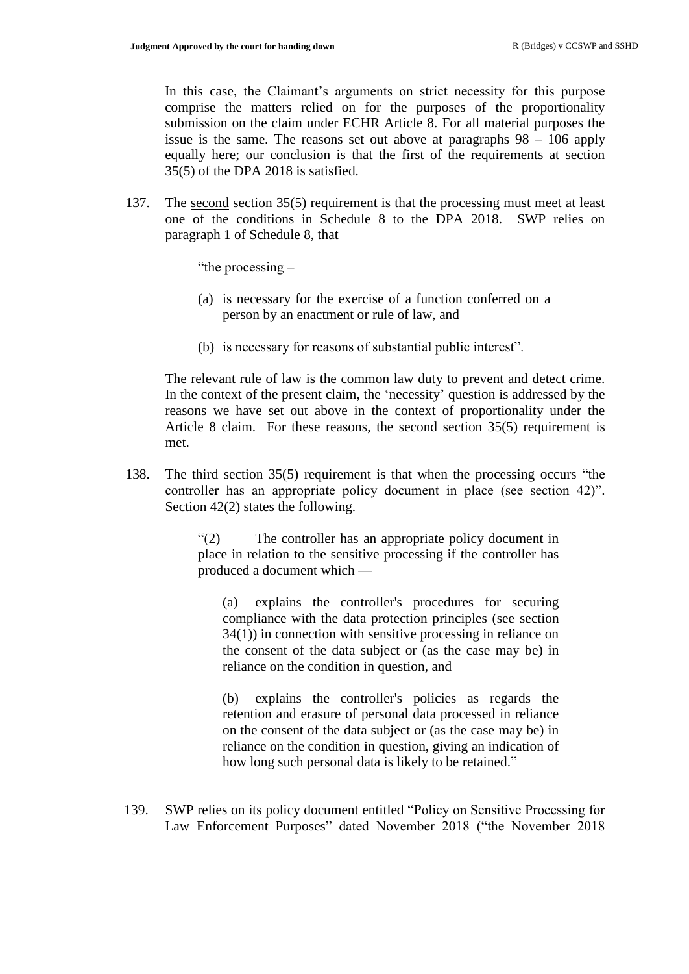In this case, the Claimant's arguments on strict necessity for this purpose comprise the matters relied on for the purposes of the proportionality submission on the claim under ECHR Article 8. For all material purposes the issue is the same. The reasons set out above at paragraphs 98 – 106 apply equally here; our conclusion is that the first of the requirements at section 35(5) of the DPA 2018 is satisfied.

137. The second section 35(5) requirement is that the processing must meet at least one of the conditions in Schedule 8 to the DPA 2018. SWP relies on paragraph 1 of Schedule 8, that

"the processing –

- (a) is necessary for the exercise of a function conferred on a person by an enactment or rule of law, and
- (b) is necessary for reasons of substantial public interest".

The relevant rule of law is the common law duty to prevent and detect crime. In the context of the present claim, the 'necessity' question is addressed by the reasons we have set out above in the context of proportionality under the Article 8 claim. For these reasons, the second section 35(5) requirement is met.

138. The third section 35(5) requirement is that when the processing occurs "the controller has an appropriate policy document in place (see section 42)". Section 42(2) states the following.

> "(2) The controller has an appropriate policy document in place in relation to the sensitive processing if the controller has produced a document which —

(a) explains the controller's procedures for securing compliance with the data protection principles (see section 34(1)) in connection with sensitive processing in reliance on the consent of the data subject or (as the case may be) in reliance on the condition in question, and

(b) explains the controller's policies as regards the retention and erasure of personal data processed in reliance on the consent of the data subject or (as the case may be) in reliance on the condition in question, giving an indication of how long such personal data is likely to be retained."

139. SWP relies on its policy document entitled "Policy on Sensitive Processing for Law Enforcement Purposes" dated November 2018 ("the November 2018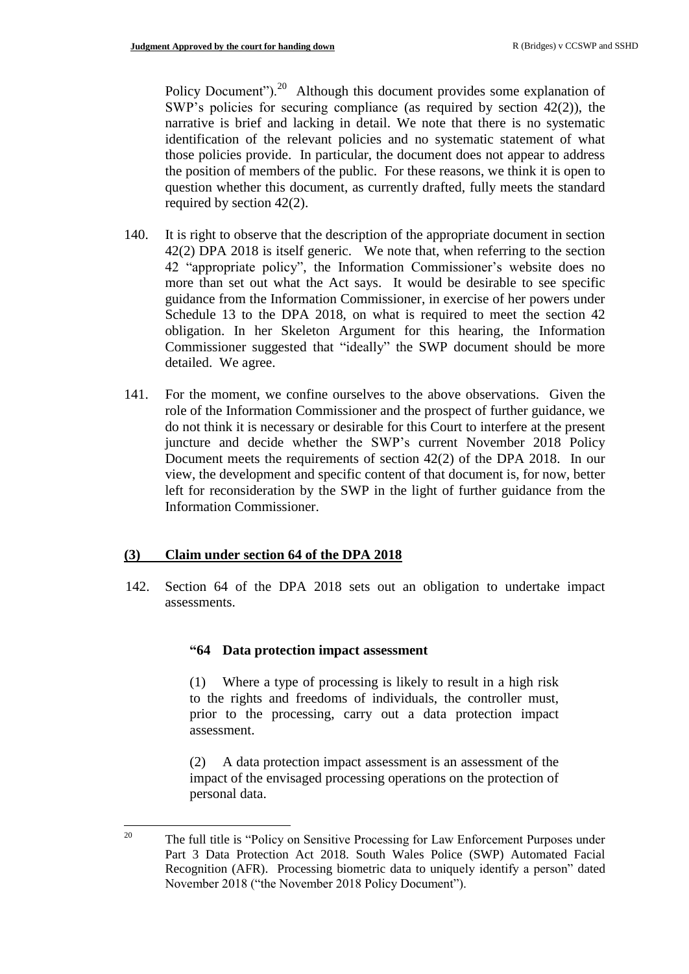Policy Document").<sup>20</sup> Although this document provides some explanation of SWP's policies for securing compliance (as required by section 42(2)), the narrative is brief and lacking in detail. We note that there is no systematic identification of the relevant policies and no systematic statement of what those policies provide. In particular, the document does not appear to address the position of members of the public. For these reasons, we think it is open to question whether this document, as currently drafted, fully meets the standard required by section 42(2).

- 140. It is right to observe that the description of the appropriate document in section 42(2) DPA 2018 is itself generic. We note that, when referring to the section 42 "appropriate policy", the Information Commissioner's website does no more than set out what the Act says. It would be desirable to see specific guidance from the Information Commissioner, in exercise of her powers under Schedule 13 to the DPA 2018, on what is required to meet the section 42 obligation. In her Skeleton Argument for this hearing, the Information Commissioner suggested that "ideally" the SWP document should be more detailed. We agree.
- 141. For the moment, we confine ourselves to the above observations. Given the role of the Information Commissioner and the prospect of further guidance, we do not think it is necessary or desirable for this Court to interfere at the present juncture and decide whether the SWP's current November 2018 Policy Document meets the requirements of section 42(2) of the DPA 2018. In our view, the development and specific content of that document is, for now, better left for reconsideration by the SWP in the light of further guidance from the Information Commissioner.

#### **(3) Claim under section 64 of the DPA 2018**

142. Section 64 of the DPA 2018 sets out an obligation to undertake impact assessments.

#### **"64 Data protection impact assessment**

(1) Where a type of processing is likely to result in a high risk to the rights and freedoms of individuals, the controller must, prior to the processing, carry out a data protection impact assessment.

(2) A data protection impact assessment is an assessment of the impact of the envisaged processing operations on the protection of personal data.

 $20^{\circ}$ The full title is "Policy on Sensitive Processing for Law Enforcement Purposes under Part 3 Data Protection Act 2018. South Wales Police (SWP) Automated Facial Recognition (AFR). Processing biometric data to uniquely identify a person" dated November 2018 ("the November 2018 Policy Document").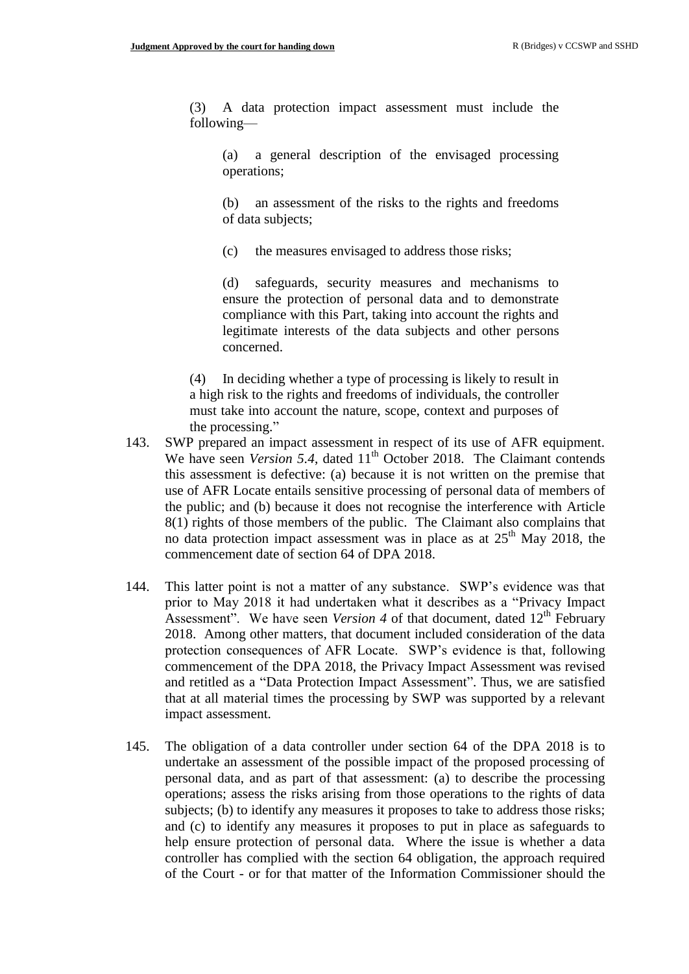(3) A data protection impact assessment must include the following—

(a) a general description of the envisaged processing operations;

(b) an assessment of the risks to the rights and freedoms of data subjects;

(c) the measures envisaged to address those risks;

(d) safeguards, security measures and mechanisms to ensure the protection of personal data and to demonstrate compliance with this Part, taking into account the rights and legitimate interests of the data subjects and other persons concerned.

(4) In deciding whether a type of processing is likely to result in a high risk to the rights and freedoms of individuals, the controller must take into account the nature, scope, context and purposes of the processing."

- 143. SWP prepared an impact assessment in respect of its use of AFR equipment. We have seen *Version 5.4*, dated 11<sup>th</sup> October 2018. The Claimant contends this assessment is defective: (a) because it is not written on the premise that use of AFR Locate entails sensitive processing of personal data of members of the public; and (b) because it does not recognise the interference with Article 8(1) rights of those members of the public. The Claimant also complains that no data protection impact assessment was in place as at  $25<sup>th</sup>$  May 2018, the commencement date of section 64 of DPA 2018.
- 144. This latter point is not a matter of any substance. SWP's evidence was that prior to May 2018 it had undertaken what it describes as a "Privacy Impact Assessment". We have seen *Version 4* of that document, dated  $12<sup>th</sup>$  February 2018. Among other matters, that document included consideration of the data protection consequences of AFR Locate. SWP's evidence is that, following commencement of the DPA 2018, the Privacy Impact Assessment was revised and retitled as a "Data Protection Impact Assessment". Thus, we are satisfied that at all material times the processing by SWP was supported by a relevant impact assessment.
- 145. The obligation of a data controller under section 64 of the DPA 2018 is to undertake an assessment of the possible impact of the proposed processing of personal data, and as part of that assessment: (a) to describe the processing operations; assess the risks arising from those operations to the rights of data subjects; (b) to identify any measures it proposes to take to address those risks; and (c) to identify any measures it proposes to put in place as safeguards to help ensure protection of personal data. Where the issue is whether a data controller has complied with the section 64 obligation, the approach required of the Court - or for that matter of the Information Commissioner should the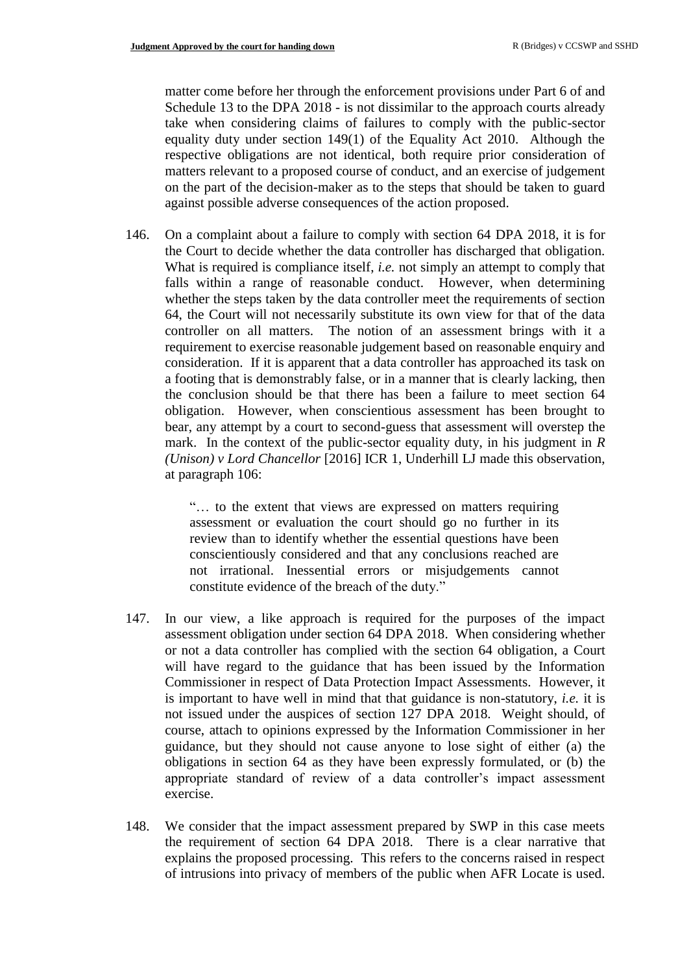matter come before her through the enforcement provisions under Part 6 of and Schedule 13 to the DPA 2018 - is not dissimilar to the approach courts already take when considering claims of failures to comply with the public-sector equality duty under section 149(1) of the Equality Act 2010. Although the respective obligations are not identical, both require prior consideration of matters relevant to a proposed course of conduct, and an exercise of judgement on the part of the decision-maker as to the steps that should be taken to guard against possible adverse consequences of the action proposed.

146. On a complaint about a failure to comply with section 64 DPA 2018, it is for the Court to decide whether the data controller has discharged that obligation. What is required is compliance itself, *i.e.* not simply an attempt to comply that falls within a range of reasonable conduct. However, when determining whether the steps taken by the data controller meet the requirements of section 64, the Court will not necessarily substitute its own view for that of the data controller on all matters. The notion of an assessment brings with it a requirement to exercise reasonable judgement based on reasonable enquiry and consideration. If it is apparent that a data controller has approached its task on a footing that is demonstrably false, or in a manner that is clearly lacking, then the conclusion should be that there has been a failure to meet section 64 obligation. However, when conscientious assessment has been brought to bear, any attempt by a court to second-guess that assessment will overstep the mark. In the context of the public-sector equality duty, in his judgment in *R (Unison) v Lord Chancellor* [2016] ICR 1, Underhill LJ made this observation, at paragraph 106:

> "… to the extent that views are expressed on matters requiring assessment or evaluation the court should go no further in its review than to identify whether the essential questions have been conscientiously considered and that any conclusions reached are not irrational. Inessential errors or misjudgements cannot constitute evidence of the breach of the duty."

- 147. In our view, a like approach is required for the purposes of the impact assessment obligation under section 64 DPA 2018. When considering whether or not a data controller has complied with the section 64 obligation, a Court will have regard to the guidance that has been issued by the Information Commissioner in respect of Data Protection Impact Assessments. However, it is important to have well in mind that that guidance is non-statutory, *i.e.* it is not issued under the auspices of section 127 DPA 2018. Weight should, of course, attach to opinions expressed by the Information Commissioner in her guidance, but they should not cause anyone to lose sight of either (a) the obligations in section 64 as they have been expressly formulated, or (b) the appropriate standard of review of a data controller's impact assessment exercise.
- 148. We consider that the impact assessment prepared by SWP in this case meets the requirement of section 64 DPA 2018. There is a clear narrative that explains the proposed processing. This refers to the concerns raised in respect of intrusions into privacy of members of the public when AFR Locate is used.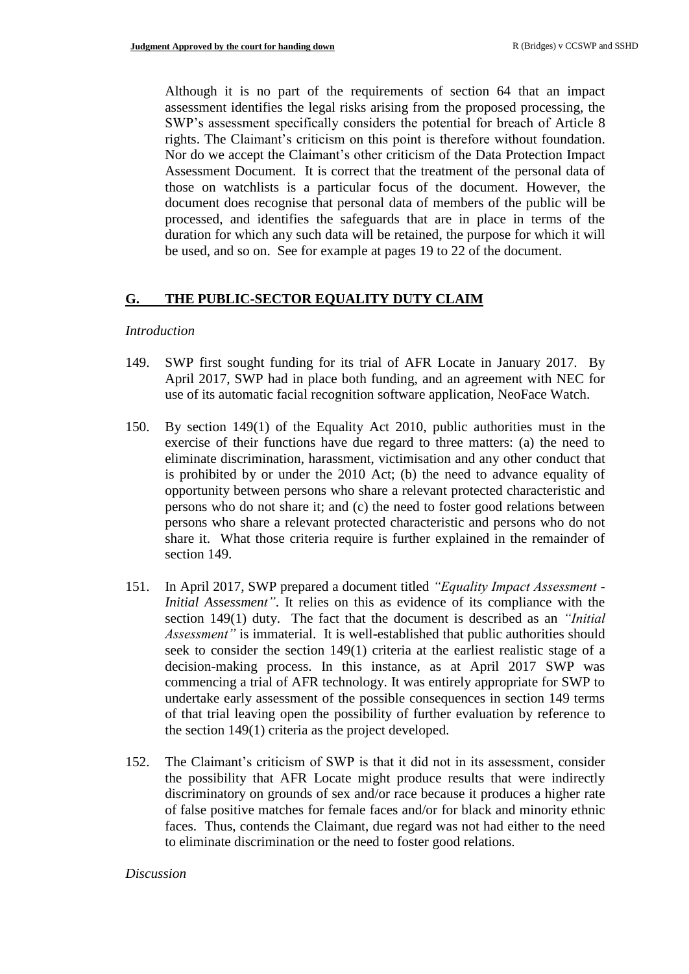Although it is no part of the requirements of section 64 that an impact assessment identifies the legal risks arising from the proposed processing, the SWP's assessment specifically considers the potential for breach of Article 8 rights. The Claimant's criticism on this point is therefore without foundation. Nor do we accept the Claimant's other criticism of the Data Protection Impact Assessment Document. It is correct that the treatment of the personal data of those on watchlists is a particular focus of the document. However, the document does recognise that personal data of members of the public will be processed, and identifies the safeguards that are in place in terms of the duration for which any such data will be retained, the purpose for which it will be used, and so on. See for example at pages 19 to 22 of the document.

### **G. THE PUBLIC-SECTOR EQUALITY DUTY CLAIM**

#### *Introduction*

- 149. SWP first sought funding for its trial of AFR Locate in January 2017. By April 2017, SWP had in place both funding, and an agreement with NEC for use of its automatic facial recognition software application, NeoFace Watch.
- 150. By section 149(1) of the Equality Act 2010, public authorities must in the exercise of their functions have due regard to three matters: (a) the need to eliminate discrimination, harassment, victimisation and any other conduct that is prohibited by or under the 2010 Act; (b) the need to advance equality of opportunity between persons who share a relevant protected characteristic and persons who do not share it; and (c) the need to foster good relations between persons who share a relevant protected characteristic and persons who do not share it. What those criteria require is further explained in the remainder of section 149.
- 151. In April 2017, SWP prepared a document titled *"Equality Impact Assessment - Initial Assessment"*. It relies on this as evidence of its compliance with the section 149(1) duty. The fact that the document is described as an *"Initial Assessment"* is immaterial. It is well-established that public authorities should seek to consider the section 149(1) criteria at the earliest realistic stage of a decision-making process. In this instance, as at April 2017 SWP was commencing a trial of AFR technology. It was entirely appropriate for SWP to undertake early assessment of the possible consequences in section 149 terms of that trial leaving open the possibility of further evaluation by reference to the section 149(1) criteria as the project developed.
- 152. The Claimant's criticism of SWP is that it did not in its assessment, consider the possibility that AFR Locate might produce results that were indirectly discriminatory on grounds of sex and/or race because it produces a higher rate of false positive matches for female faces and/or for black and minority ethnic faces. Thus, contends the Claimant, due regard was not had either to the need to eliminate discrimination or the need to foster good relations.

#### *Discussion*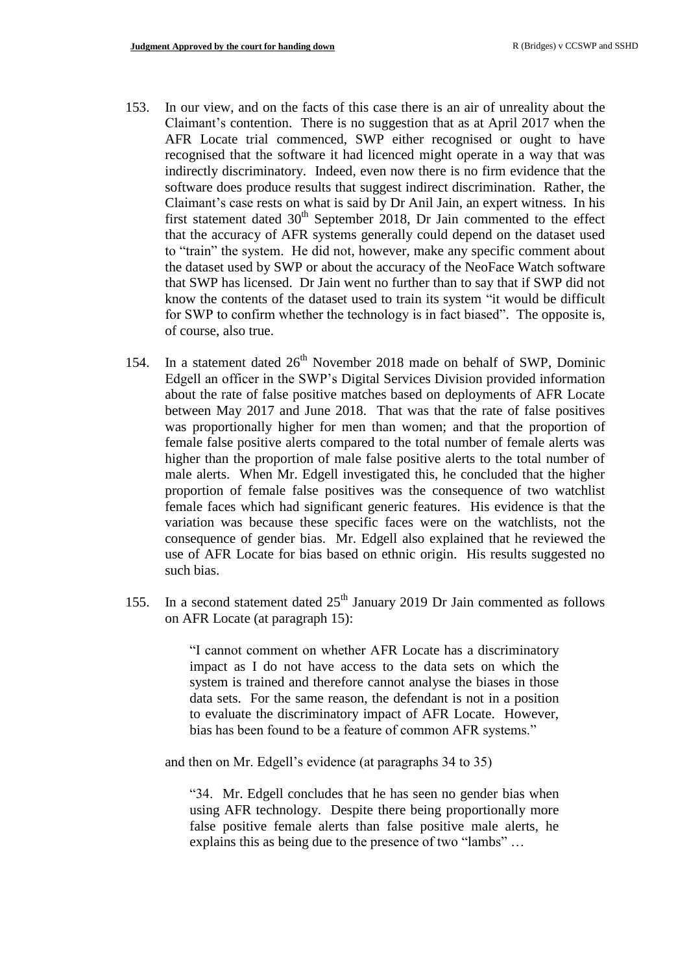- 153. In our view, and on the facts of this case there is an air of unreality about the Claimant's contention. There is no suggestion that as at April 2017 when the AFR Locate trial commenced, SWP either recognised or ought to have recognised that the software it had licenced might operate in a way that was indirectly discriminatory. Indeed, even now there is no firm evidence that the software does produce results that suggest indirect discrimination. Rather, the Claimant's case rests on what is said by Dr Anil Jain, an expert witness. In his first statement dated  $30<sup>th</sup>$  September 2018, Dr Jain commented to the effect that the accuracy of AFR systems generally could depend on the dataset used to "train" the system. He did not, however, make any specific comment about the dataset used by SWP or about the accuracy of the NeoFace Watch software that SWP has licensed. Dr Jain went no further than to say that if SWP did not know the contents of the dataset used to train its system "it would be difficult for SWP to confirm whether the technology is in fact biased". The opposite is, of course, also true.
- 154. In a statement dated  $26<sup>th</sup>$  November 2018 made on behalf of SWP, Dominic Edgell an officer in the SWP's Digital Services Division provided information about the rate of false positive matches based on deployments of AFR Locate between May 2017 and June 2018. That was that the rate of false positives was proportionally higher for men than women; and that the proportion of female false positive alerts compared to the total number of female alerts was higher than the proportion of male false positive alerts to the total number of male alerts. When Mr. Edgell investigated this, he concluded that the higher proportion of female false positives was the consequence of two watchlist female faces which had significant generic features. His evidence is that the variation was because these specific faces were on the watchlists, not the consequence of gender bias. Mr. Edgell also explained that he reviewed the use of AFR Locate for bias based on ethnic origin. His results suggested no such bias.
- 155. In a second statement dated  $25<sup>th</sup>$  January 2019 Dr Jain commented as follows on AFR Locate (at paragraph 15):

"I cannot comment on whether AFR Locate has a discriminatory impact as I do not have access to the data sets on which the system is trained and therefore cannot analyse the biases in those data sets. For the same reason, the defendant is not in a position to evaluate the discriminatory impact of AFR Locate. However, bias has been found to be a feature of common AFR systems."

and then on Mr. Edgell's evidence (at paragraphs 34 to 35)

"34. Mr. Edgell concludes that he has seen no gender bias when using AFR technology. Despite there being proportionally more false positive female alerts than false positive male alerts, he explains this as being due to the presence of two "lambs" …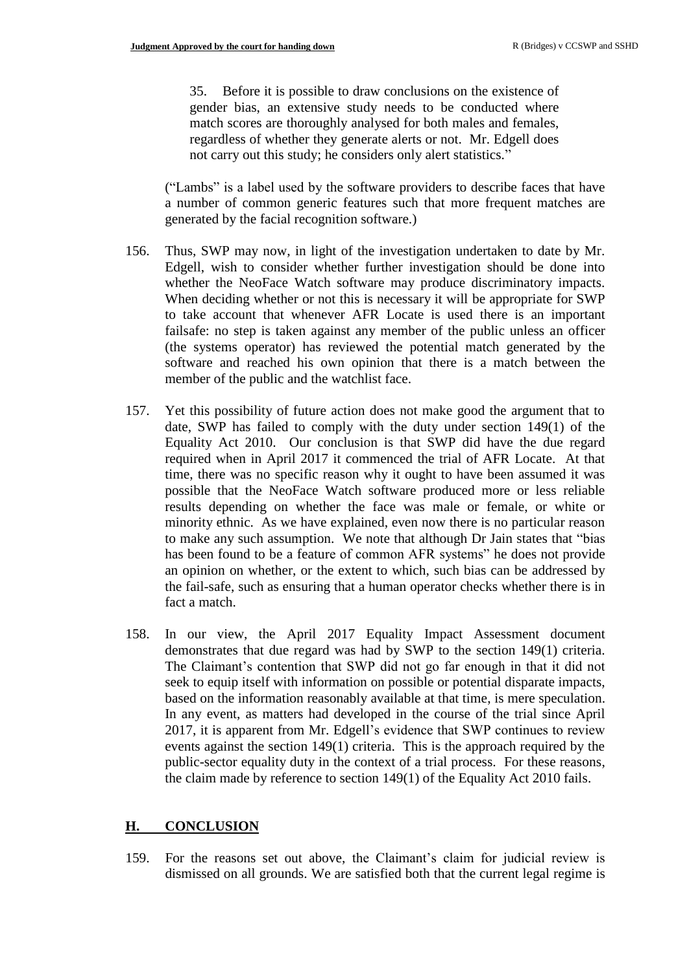35. Before it is possible to draw conclusions on the existence of gender bias, an extensive study needs to be conducted where match scores are thoroughly analysed for both males and females, regardless of whether they generate alerts or not. Mr. Edgell does not carry out this study; he considers only alert statistics."

("Lambs" is a label used by the software providers to describe faces that have a number of common generic features such that more frequent matches are generated by the facial recognition software.)

- 156. Thus, SWP may now, in light of the investigation undertaken to date by Mr. Edgell, wish to consider whether further investigation should be done into whether the NeoFace Watch software may produce discriminatory impacts. When deciding whether or not this is necessary it will be appropriate for SWP to take account that whenever AFR Locate is used there is an important failsafe: no step is taken against any member of the public unless an officer (the systems operator) has reviewed the potential match generated by the software and reached his own opinion that there is a match between the member of the public and the watchlist face.
- 157. Yet this possibility of future action does not make good the argument that to date, SWP has failed to comply with the duty under section 149(1) of the Equality Act 2010. Our conclusion is that SWP did have the due regard required when in April 2017 it commenced the trial of AFR Locate. At that time, there was no specific reason why it ought to have been assumed it was possible that the NeoFace Watch software produced more or less reliable results depending on whether the face was male or female, or white or minority ethnic. As we have explained, even now there is no particular reason to make any such assumption. We note that although Dr Jain states that "bias has been found to be a feature of common AFR systems" he does not provide an opinion on whether, or the extent to which, such bias can be addressed by the fail-safe, such as ensuring that a human operator checks whether there is in fact a match.
- 158. In our view, the April 2017 Equality Impact Assessment document demonstrates that due regard was had by SWP to the section 149(1) criteria. The Claimant's contention that SWP did not go far enough in that it did not seek to equip itself with information on possible or potential disparate impacts, based on the information reasonably available at that time, is mere speculation. In any event, as matters had developed in the course of the trial since April 2017, it is apparent from Mr. Edgell's evidence that SWP continues to review events against the section 149(1) criteria. This is the approach required by the public-sector equality duty in the context of a trial process. For these reasons, the claim made by reference to section 149(1) of the Equality Act 2010 fails.

### **H. CONCLUSION**

159. For the reasons set out above, the Claimant's claim for judicial review is dismissed on all grounds. We are satisfied both that the current legal regime is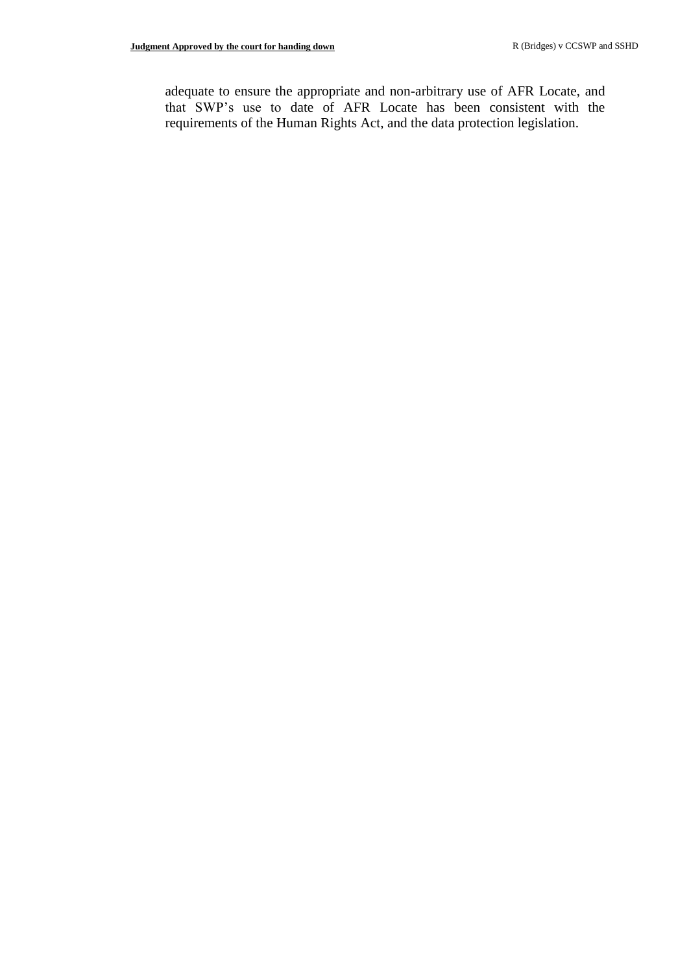adequate to ensure the appropriate and non-arbitrary use of AFR Locate, and that SWP's use to date of AFR Locate has been consistent with the requirements of the Human Rights Act, and the data protection legislation.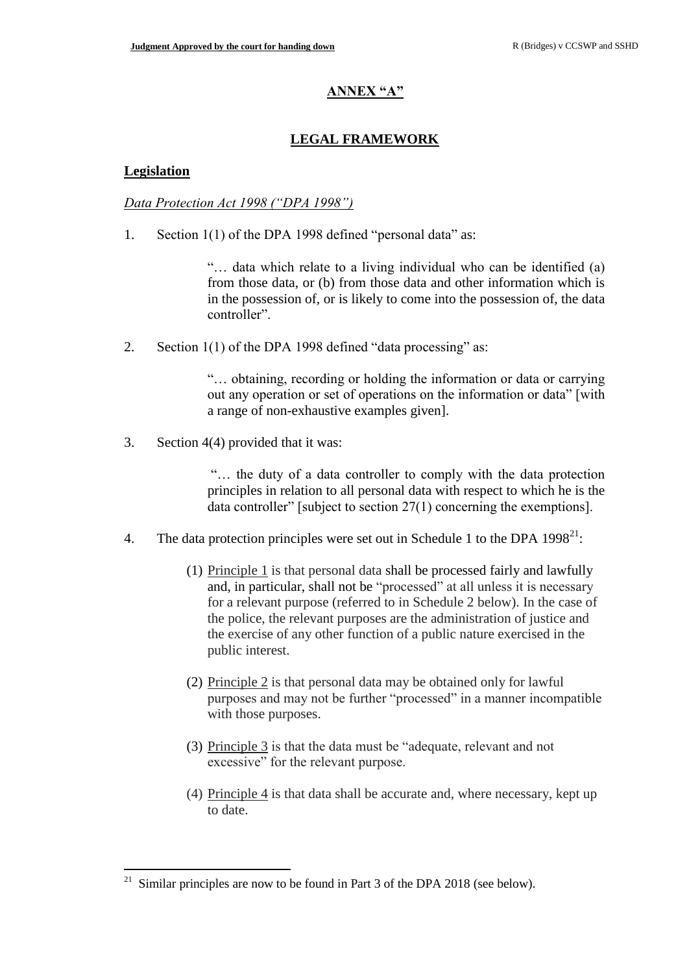## **ANNEX "A"**

## **LEGAL FRAMEWORK**

### **Legislation**

 $\overline{a}$ 

### *Data Protection Act 1998 ("DPA 1998")*

1. Section 1(1) of the DPA 1998 defined "personal data" as:

"… data which relate to a living individual who can be identified (a) from those data, or (b) from those data and other information which is in the possession of, or is likely to come into the possession of, the data controller".

2. Section 1(1) of the DPA 1998 defined "data processing" as:

"… obtaining, recording or holding the information or data or carrying out any operation or set of operations on the information or data" [with a range of non-exhaustive examples given].

3. Section 4(4) provided that it was:

"… the duty of a data controller to comply with the data protection principles in relation to all personal data with respect to which he is the data controller" [subject to section 27(1) concerning the exemptions].

- 4. The data protection principles were set out in Schedule 1 to the DPA  $1998^{21}$ :
	- (1) Principle 1 is that personal data shall be processed fairly and lawfully and, in particular, shall not be "processed" at all unless it is necessary for a relevant purpose (referred to in Schedule 2 below). In the case of the police, the relevant purposes are the administration of justice and the exercise of any other function of a public nature exercised in the public interest.
	- (2) Principle 2 is that personal data may be obtained only for lawful purposes and may not be further "processed" in a manner incompatible with those purposes.
	- (3) Principle 3 is that the data must be "adequate, relevant and not excessive" for the relevant purpose.
	- (4) Principle 4 is that data shall be accurate and, where necessary, kept up to date.

Similar principles are now to be found in Part 3 of the DPA 2018 (see below).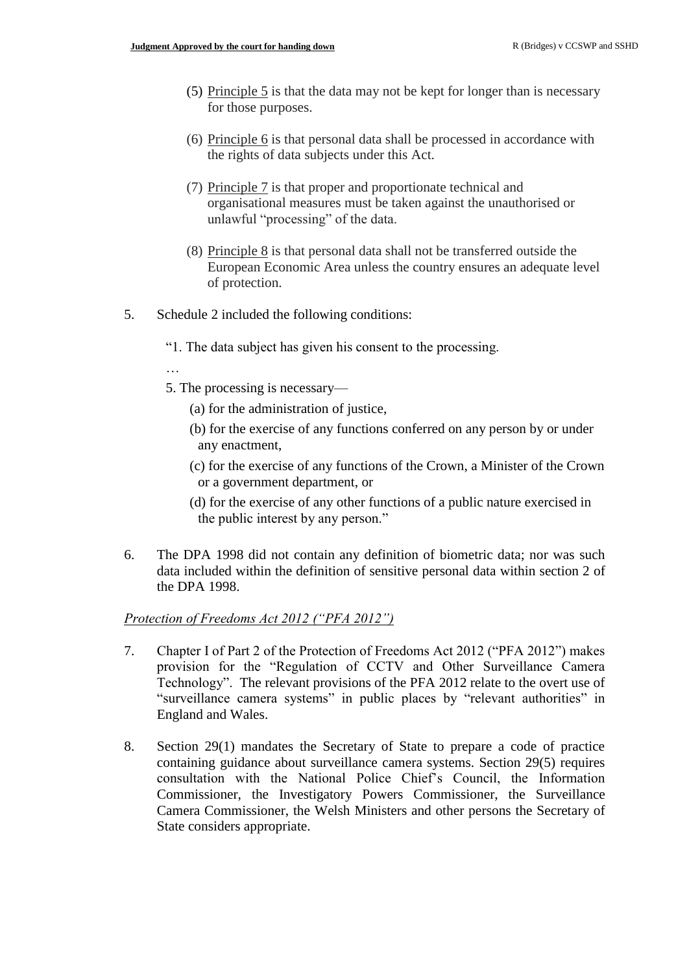- (5) Principle 5 is that the data may not be kept for longer than is necessary for those purposes.
- (6) Principle 6 is that personal data shall be processed in accordance with the rights of data subjects under this Act.
- (7) Principle 7 is that proper and proportionate technical and organisational measures must be taken against the unauthorised or unlawful "processing" of the data.
- (8) Principle  $8$  is that personal data shall not be transferred outside the European Economic Area unless the country ensures an adequate level of protection.
- 5. Schedule 2 included the following conditions:
	- "1. The data subject has given his consent to the processing.
	- …
	- 5. The processing is necessary—
		- (a) for the administration of justice,
		- (b) for the exercise of any functions conferred on any person by or under any enactment,
		- (c) for the exercise of any functions of the Crown, a Minister of the Crown or a government department, or
		- (d) for the exercise of any other functions of a public nature exercised in the public interest by any person."
- 6. The DPA 1998 did not contain any definition of biometric data; nor was such data included within the definition of sensitive personal data within section 2 of the DPA 1998.

#### *Protection of Freedoms Act 2012 ("PFA 2012")*

- 7. Chapter I of Part 2 of the Protection of Freedoms Act 2012 ("PFA 2012") makes provision for the "Regulation of CCTV and Other Surveillance Camera Technology". The relevant provisions of the PFA 2012 relate to the overt use of "surveillance camera systems" in public places by "relevant authorities" in England and Wales.
- 8. Section 29(1) mandates the Secretary of State to prepare a code of practice containing guidance about surveillance camera systems. Section 29(5) requires consultation with the National Police Chief's Council, the Information Commissioner, the Investigatory Powers Commissioner, the Surveillance Camera Commissioner, the Welsh Ministers and other persons the Secretary of State considers appropriate.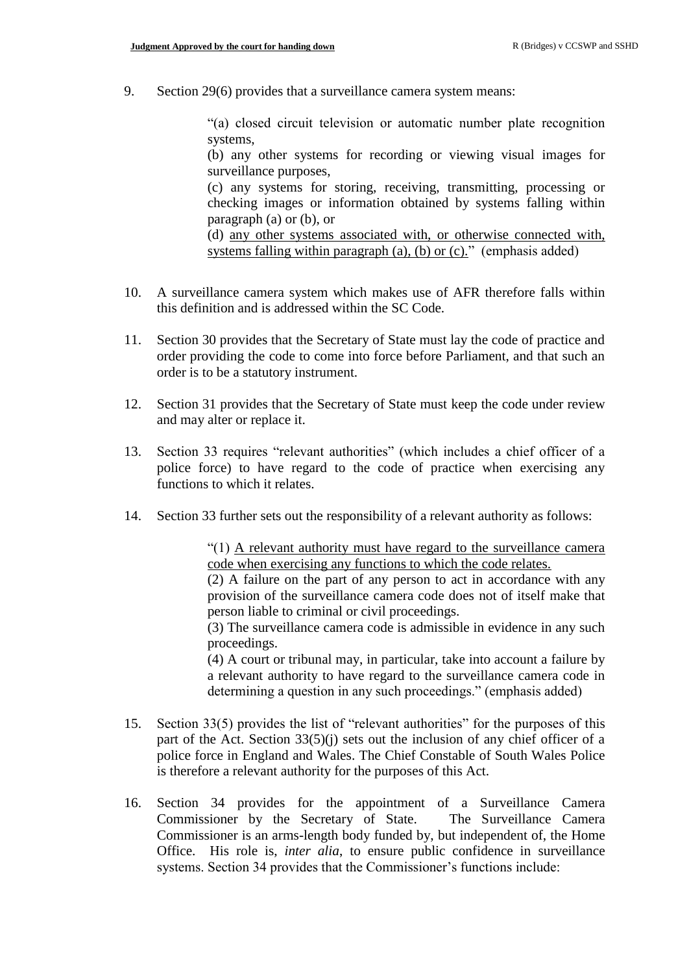9. Section 29(6) provides that a surveillance camera system means:

"(a) closed circuit television or automatic number plate recognition systems,

(b) any other systems for recording or viewing visual images for surveillance purposes,

(c) any systems for storing, receiving, transmitting, processing or checking images or information obtained by systems falling within paragraph (a) or (b), or

(d) any other systems associated with, or otherwise connected with, systems falling within paragraph (a), (b) or  $(c)$ ." (emphasis added)

- 10. A surveillance camera system which makes use of AFR therefore falls within this definition and is addressed within the SC Code.
- 11. Section 30 provides that the Secretary of State must lay the code of practice and order providing the code to come into force before Parliament, and that such an order is to be a statutory instrument.
- 12. Section 31 provides that the Secretary of State must keep the code under review and may alter or replace it.
- 13. Section 33 requires "relevant authorities" (which includes a chief officer of a police force) to have regard to the code of practice when exercising any functions to which it relates.
- 14. Section 33 further sets out the responsibility of a relevant authority as follows:

"(1) A relevant authority must have regard to the surveillance camera code when exercising any functions to which the code relates.

(2) A failure on the part of any person to act in accordance with any provision of the surveillance camera code does not of itself make that person liable to criminal or civil proceedings.

(3) The surveillance camera code is admissible in evidence in any such proceedings.

(4) A court or tribunal may, in particular, take into account a failure by a relevant authority to have regard to the surveillance camera code in determining a question in any such proceedings." (emphasis added)

- 15. Section 33(5) provides the list of "relevant authorities" for the purposes of this part of the Act. Section 33(5)(j) sets out the inclusion of any chief officer of a police force in England and Wales. The Chief Constable of South Wales Police is therefore a relevant authority for the purposes of this Act.
- 16. Section 34 provides for the appointment of a Surveillance Camera Commissioner by the Secretary of State. The Surveillance Camera Commissioner is an arms-length body funded by, but independent of, the Home Office. His role is, *inter alia*, to ensure public confidence in surveillance systems. Section 34 provides that the Commissioner's functions include: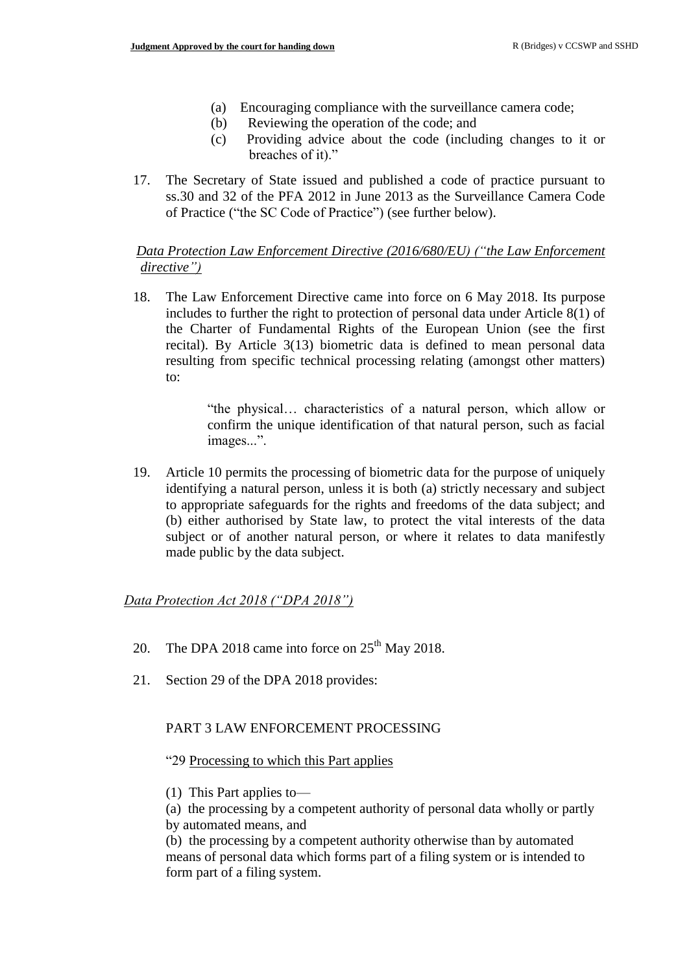- (a) Encouraging compliance with the surveillance camera code;
- (b) Reviewing the operation of the code; and
- (c) Providing advice about the code (including changes to it or breaches of it)."
- 17. The Secretary of State issued and published a code of practice pursuant to ss.30 and 32 of the PFA 2012 in June 2013 as the Surveillance Camera Code of Practice ("the SC Code of Practice") (see further below).

### *Data Protection Law Enforcement Directive (2016/680/EU) ("the Law Enforcement directive")*

18. The Law Enforcement Directive came into force on 6 May 2018. Its purpose includes to further the right to protection of personal data under Article 8(1) of the Charter of Fundamental Rights of the European Union (see the first recital). By Article 3(13) biometric data is defined to mean personal data resulting from specific technical processing relating (amongst other matters) to:

> "the physical… characteristics of a natural person, which allow or confirm the unique identification of that natural person, such as facial images...".

19. Article 10 permits the processing of biometric data for the purpose of uniquely identifying a natural person, unless it is both (a) strictly necessary and subject to appropriate safeguards for the rights and freedoms of the data subject; and (b) either authorised by State law, to protect the vital interests of the data subject or of another natural person, or where it relates to data manifestly made public by the data subject.

#### *Data Protection Act 2018 ("DPA 2018")*

- 20. The DPA 2018 came into force on  $25<sup>th</sup>$  May 2018.
- 21. Section 29 of the DPA 2018 provides:

#### PART 3 LAW ENFORCEMENT PROCESSING

#### "29 Processing to which this Part applies

(1) This Part applies to—

(a) the processing by a competent authority of personal data wholly or partly by automated means, and

(b) the processing by a competent authority otherwise than by automated means of personal data which forms part of a filing system or is intended to form part of a filing system.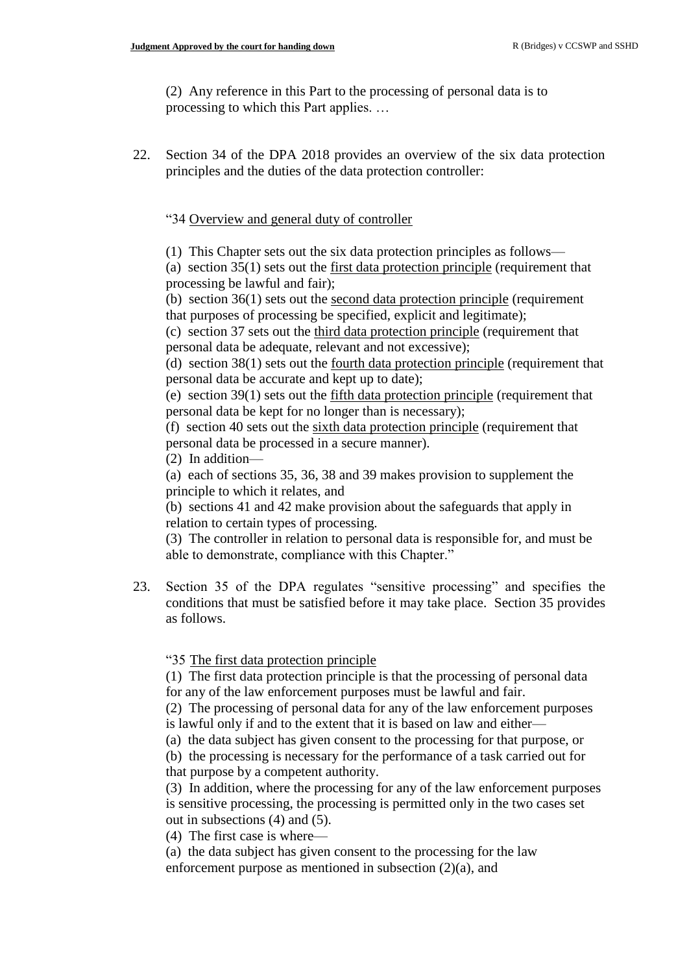(2) Any reference in this Part to the processing of personal data is to processing to which this Part applies. …

22. Section 34 of the DPA 2018 provides an overview of the six data protection principles and the duties of the data protection controller:

"34 Overview and general duty of controller

(1) This Chapter sets out the six data protection principles as follows—

(a) [section 35\(1\)](https://uk.practicallaw.thomsonreuters.com/Document/I78E386C0609911E88185BCFA23C758C3/View/FullText.html?originationContext=document&transitionType=DocumentItem&contextData=(sc.DocLink)) sets out the first data protection principle (requirement that processing be lawful and fair);

(b) [section 36\(1\)](https://uk.practicallaw.thomsonreuters.com/Document/I956E59A0609911E88185BCFA23C758C3/View/FullText.html?originationContext=document&transitionType=DocumentItem&contextData=(sc.DocLink)) sets out the second data protection principle (requirement that purposes of processing be specified, explicit and legitimate);

(c) [section 37](https://uk.practicallaw.thomsonreuters.com/Document/I3852BF90609911E88185BCFA23C758C3/View/FullText.html?originationContext=document&transitionType=DocumentItem&contextData=(sc.DocLink)) sets out the third data protection principle (requirement that personal data be adequate, relevant and not excessive);

(d) [section 38\(1\)](https://uk.practicallaw.thomsonreuters.com/Document/I50DC2E70609911E88185BCFA23C758C3/View/FullText.html?originationContext=document&transitionType=DocumentItem&contextData=(sc.DocLink)) sets out the fourth data protection principle (requirement that personal data be accurate and kept up to date);

(e) [section 39\(1\)](https://uk.practicallaw.thomsonreuters.com/Document/I41F3A730609911E88185BCFA23C758C3/View/FullText.html?originationContext=document&transitionType=DocumentItem&contextData=(sc.DocLink)) sets out the fifth data protection principle (requirement that personal data be kept for no longer than is necessary);

(f) [section 40](https://uk.practicallaw.thomsonreuters.com/Document/I5B688780609911E88185BCFA23C758C3/View/FullText.html?originationContext=document&transitionType=DocumentItem&contextData=(sc.DocLink)) sets out the sixth data protection principle (requirement that personal data be processed in a secure manner).

(2) In addition—

(a) each of [sections 35, 36,](https://uk.practicallaw.thomsonreuters.com/Document/I78E386C0609911E88185BCFA23C758C3/View/FullText.html?originationContext=document&transitionType=DocumentItem&contextData=(sc.DocLink)) [38 and 39](https://uk.practicallaw.thomsonreuters.com/Document/I50DC2E70609911E88185BCFA23C758C3/View/FullText.html?originationContext=document&transitionType=DocumentItem&contextData=(sc.DocLink)) makes provision to supplement the principle to which it relates, and

(b) [sections 41 and 42](https://uk.practicallaw.thomsonreuters.com/Document/I17CB43A0609911E88185BCFA23C758C3/View/FullText.html?originationContext=document&transitionType=DocumentItem&contextData=(sc.DocLink)) make provision about the safeguards that apply in relation to certain types of processing.

(3) The controller in relation to personal data is responsible for, and must be able to demonstrate, compliance with this Chapter."

23. Section 35 of the DPA regulates "sensitive processing" and specifies the conditions that must be satisfied before it may take place. Section 35 provides as follows.

"35 The first data protection principle

(1) The first data protection principle is that the processing of personal data for any of the law enforcement purposes must be lawful and fair.

(2) The processing of personal data for any of the law enforcement purposes is lawful only if and to the extent that it is based on law and either—

(a) the data subject has given consent to the processing for that purpose, or

(b) the processing is necessary for the performance of a task carried out for that purpose by a competent authority.

(3) In addition, where the processing for any of the law enforcement purposes is sensitive processing, the processing is permitted only in the two cases set out in subsections (4) and (5).

(4) The first case is where—

(a) the data subject has given consent to the processing for the law enforcement purpose as mentioned in subsection (2)(a), and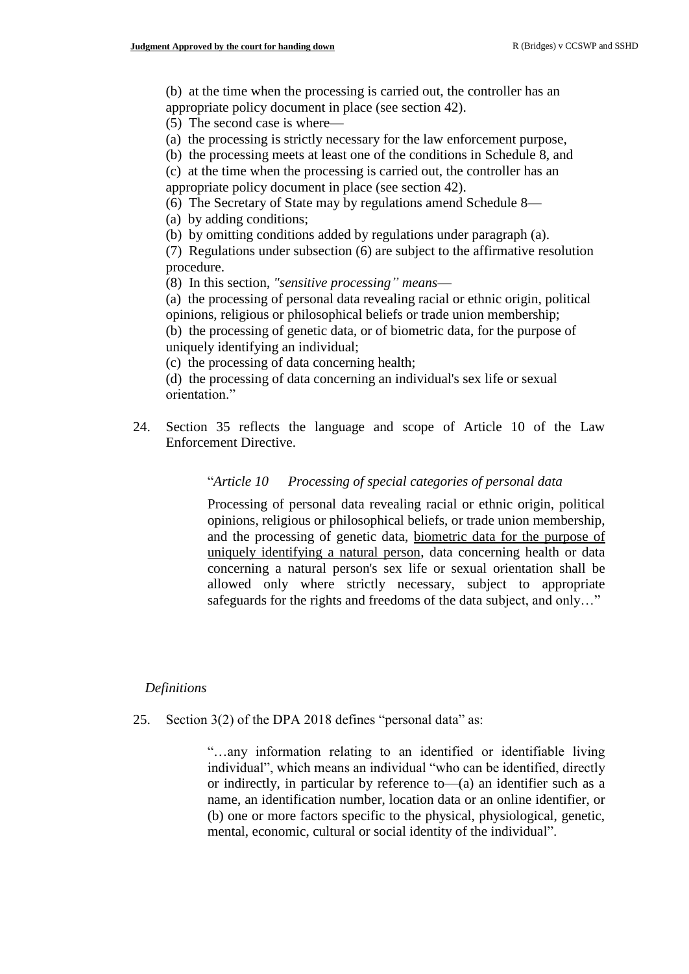(b) at the time when the processing is carried out, the controller has an appropriate policy document in place (see [section 42\)](https://uk.practicallaw.thomsonreuters.com/Document/I9A7AC500609911E88185BCFA23C758C3/View/FullText.html?originationContext=document&transitionType=DocumentItem&contextData=(sc.DocLink)).

(5) The second case is where—

(a) the processing is strictly necessary for the law enforcement purpose,

(b) the processing meets at least one of the conditions in [Schedule 8,](https://uk.practicallaw.thomsonreuters.com/Document/I402D8D30609911E88185BCFA23C758C3/View/FullText.html?originationContext=document&transitionType=DocumentItem&contextData=(sc.DocLink)) and

(c) at the time when the processing is carried out, the controller has an appropriate policy document in place (see [section 42\)](https://uk.practicallaw.thomsonreuters.com/Document/I9A7AC500609911E88185BCFA23C758C3/View/FullText.html?originationContext=document&transitionType=DocumentItem&contextData=(sc.DocLink)).

(6) The Secretary of State may by regulations amend [Schedule 8—](https://uk.practicallaw.thomsonreuters.com/Document/I402D8D30609911E88185BCFA23C758C3/View/FullText.html?originationContext=document&transitionType=DocumentItem&contextData=(sc.DocLink))

(a) by adding conditions;

(b) by omitting conditions added by regulations under paragraph (a).

(7) Regulations under subsection (6) are subject to the affirmative resolution procedure.

(8) In this section, *"sensitive processing" means*—

(a) the processing of personal data revealing racial or ethnic origin, political opinions, religious or philosophical beliefs or trade union membership;

(b) the processing of genetic data, or of biometric data, for the purpose of uniquely identifying an individual;

(c) the processing of data concerning health;

(d) the processing of data concerning an individual's sex life or sexual orientation."

24. Section 35 reflects the language and scope of Article 10 of the Law Enforcement Directive.

### "*Article 10 Processing of special categories of personal data*

Processing of personal data revealing racial or ethnic origin, political opinions, religious or philosophical beliefs, or trade union membership, and the processing of genetic data, biometric data for the purpose of uniquely identifying a natural person, data concerning health or data concerning a natural person's sex life or sexual orientation shall be allowed only where strictly necessary, subject to appropriate safeguards for the rights and freedoms of the data subject, and only…"

### *Definitions*

25. Section 3(2) of the DPA 2018 defines "personal data" as:

"…any information relating to an identified or identifiable living individual", which means an individual "who can be identified, directly or indirectly, in particular by reference to—(a) an identifier such as a name, an identification number, location data or an online identifier, or (b) one or more factors specific to the physical, physiological, genetic, mental, economic, cultural or social identity of the individual".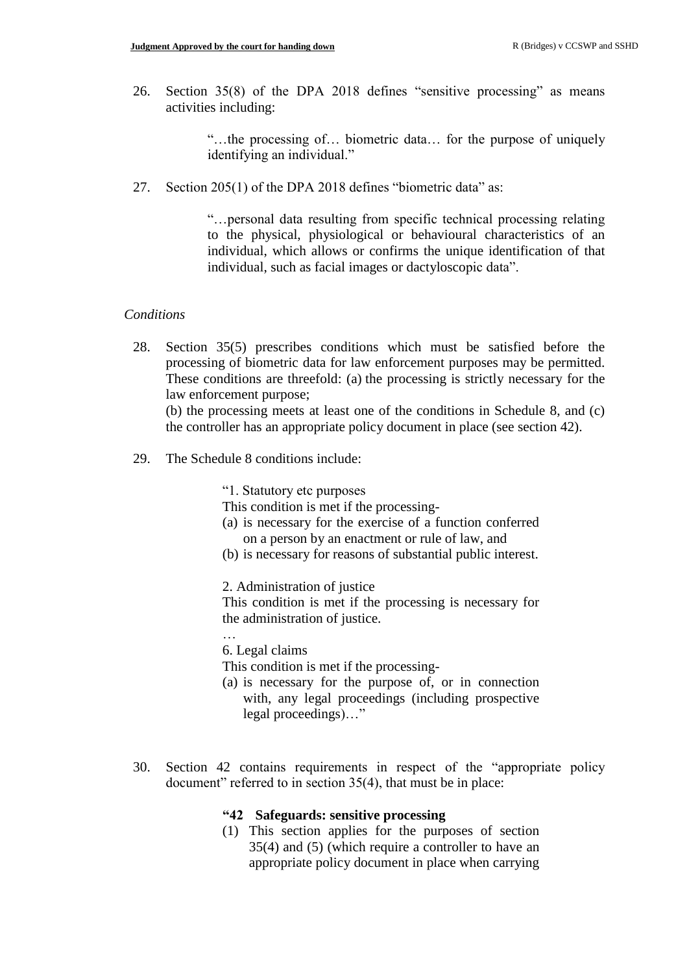26. Section 35(8) of the DPA 2018 defines "sensitive processing" as means activities including:

> "…the processing of… biometric data… for the purpose of uniquely identifying an individual."

27. Section 205(1) of the DPA 2018 defines "biometric data" as:

"…personal data resulting from specific technical processing relating to the physical, physiological or behavioural characteristics of an individual, which allows or confirms the unique identification of that individual, such as facial images or dactyloscopic data".

#### *Conditions*

28. Section 35(5) prescribes conditions which must be satisfied before the processing of biometric data for law enforcement purposes may be permitted. These conditions are threefold: (a) the processing is strictly necessary for the law enforcement purpose;

(b) the processing meets at least one of the conditions in Schedule 8, and (c) the controller has an appropriate policy document in place (see section 42).

29. The Schedule 8 conditions include:

"1. Statutory etc purposes

This condition is met if the processing-

- (a) is necessary for the exercise of a function conferred on a person by an enactment or rule of law, and
- (b) is necessary for reasons of substantial public interest.

2. Administration of justice

This condition is met if the processing is necessary for the administration of justice.

… 6. Legal claims

This condition is met if the processing-

- (a) is necessary for the purpose of, or in connection with, any legal proceedings (including prospective legal proceedings)…"
- 30. Section 42 contains requirements in respect of the "appropriate policy document" referred to in section 35(4), that must be in place:

### **"42 Safeguards: sensitive processing**

(1) This section applies for the purposes of section 35(4) and (5) (which require a controller to have an appropriate policy document in place when carrying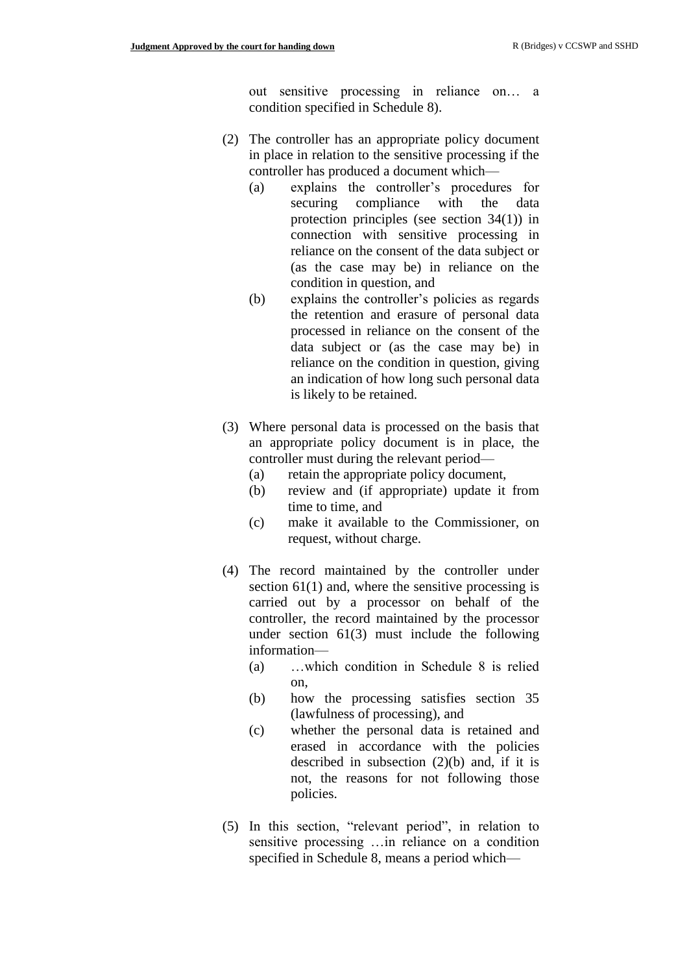out sensitive processing in reliance on… a condition specified in Schedule 8).

- (2) The controller has an appropriate policy document in place in relation to the sensitive processing if the controller has produced a document which—
	- (a) explains the controller's procedures for securing compliance with the data protection principles (see section 34(1)) in connection with sensitive processing in reliance on the consent of the data subject or (as the case may be) in reliance on the condition in question, and
	- (b) explains the controller's policies as regards the retention and erasure of personal data processed in reliance on the consent of the data subject or (as the case may be) in reliance on the condition in question, giving an indication of how long such personal data is likely to be retained.
- (3) Where personal data is processed on the basis that an appropriate policy document is in place, the controller must during the relevant period—
	- (a) retain the appropriate policy document,
	- (b) review and (if appropriate) update it from time to time, and
	- (c) make it available to the Commissioner, on request, without charge.
- (4) The record maintained by the controller under section  $61(1)$  and, where the sensitive processing is carried out by a processor on behalf of the controller, the record maintained by the processor under section 61(3) must include the following information—
	- (a) …which condition in Schedule 8 is relied on,
	- (b) how the processing satisfies section 35 (lawfulness of processing), and
	- (c) whether the personal data is retained and erased in accordance with the policies described in subsection (2)(b) and, if it is not, the reasons for not following those policies.
- (5) In this section, "relevant period", in relation to sensitive processing …in reliance on a condition specified in Schedule 8, means a period which—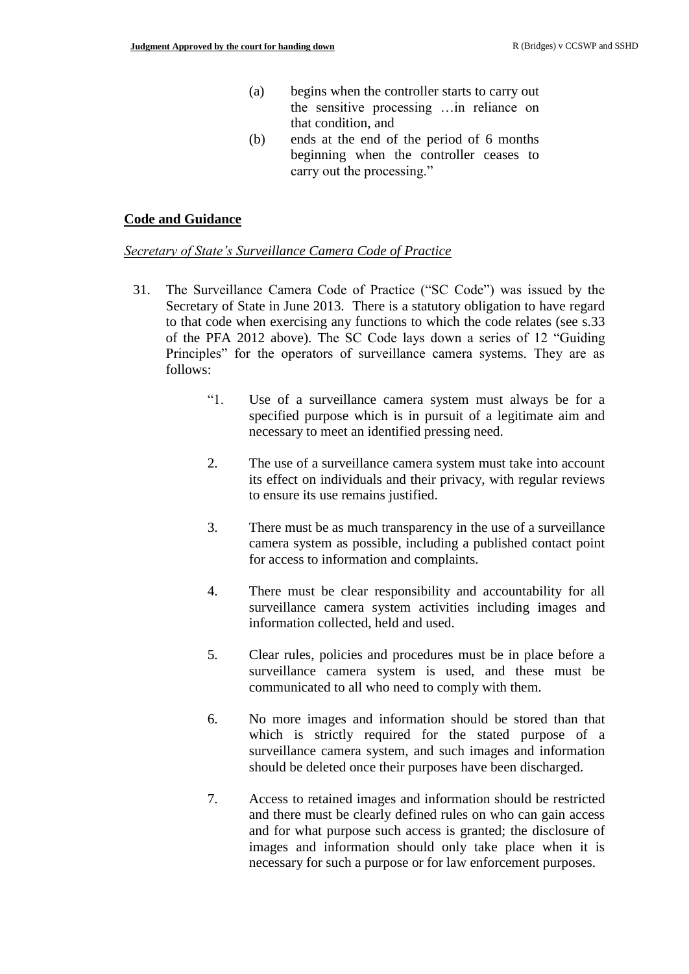- (a) begins when the controller starts to carry out the sensitive processing …in reliance on that condition, and
- (b) ends at the end of the period of 6 months beginning when the controller ceases to carry out the processing."

#### **Code and Guidance**

#### *Secretary of State's Surveillance Camera Code of Practice*

- 31. The Surveillance Camera Code of Practice ("SC Code") was issued by the Secretary of State in June 2013. There is a statutory obligation to have regard to that code when exercising any functions to which the code relates (see s.33 of the PFA 2012 above). The SC Code lays down a series of 12 "Guiding Principles" for the operators of surveillance camera systems. They are as follows:
	- "1. Use of a surveillance camera system must always be for a specified purpose which is in pursuit of a legitimate aim and necessary to meet an identified pressing need.
	- 2. The use of a surveillance camera system must take into account its effect on individuals and their privacy, with regular reviews to ensure its use remains justified.
	- 3. There must be as much transparency in the use of a surveillance camera system as possible, including a published contact point for access to information and complaints.
	- 4. There must be clear responsibility and accountability for all surveillance camera system activities including images and information collected, held and used.
	- 5. Clear rules, policies and procedures must be in place before a surveillance camera system is used, and these must be communicated to all who need to comply with them.
	- 6. No more images and information should be stored than that which is strictly required for the stated purpose of a surveillance camera system, and such images and information should be deleted once their purposes have been discharged.
	- 7. Access to retained images and information should be restricted and there must be clearly defined rules on who can gain access and for what purpose such access is granted; the disclosure of images and information should only take place when it is necessary for such a purpose or for law enforcement purposes.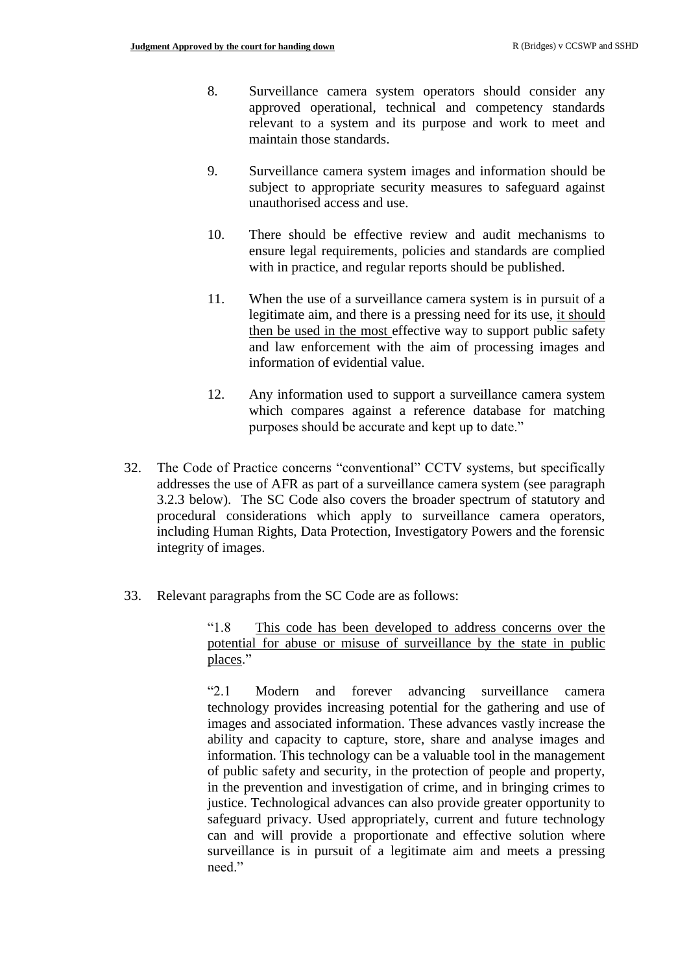- 8. Surveillance camera system operators should consider any approved operational, technical and competency standards relevant to a system and its purpose and work to meet and maintain those standards.
- 9. Surveillance camera system images and information should be subject to appropriate security measures to safeguard against unauthorised access and use.
- 10. There should be effective review and audit mechanisms to ensure legal requirements, policies and standards are complied with in practice, and regular reports should be published.
- 11. When the use of a surveillance camera system is in pursuit of a legitimate aim, and there is a pressing need for its use, it should then be used in the most effective way to support public safety and law enforcement with the aim of processing images and information of evidential value.
- 12. Any information used to support a surveillance camera system which compares against a reference database for matching purposes should be accurate and kept up to date."
- 32. The Code of Practice concerns "conventional" CCTV systems, but specifically addresses the use of AFR as part of a surveillance camera system (see paragraph 3.2.3 below). The SC Code also covers the broader spectrum of statutory and procedural considerations which apply to surveillance camera operators, including Human Rights, Data Protection, Investigatory Powers and the forensic integrity of images.
- 33. Relevant paragraphs from the SC Code are as follows:

"1.8 This code has been developed to address concerns over the potential for abuse or misuse of surveillance by the state in public places."

"2.1 Modern and forever advancing surveillance camera technology provides increasing potential for the gathering and use of images and associated information. These advances vastly increase the ability and capacity to capture, store, share and analyse images and information. This technology can be a valuable tool in the management of public safety and security, in the protection of people and property, in the prevention and investigation of crime, and in bringing crimes to justice. Technological advances can also provide greater opportunity to safeguard privacy. Used appropriately, current and future technology can and will provide a proportionate and effective solution where surveillance is in pursuit of a legitimate aim and meets a pressing need."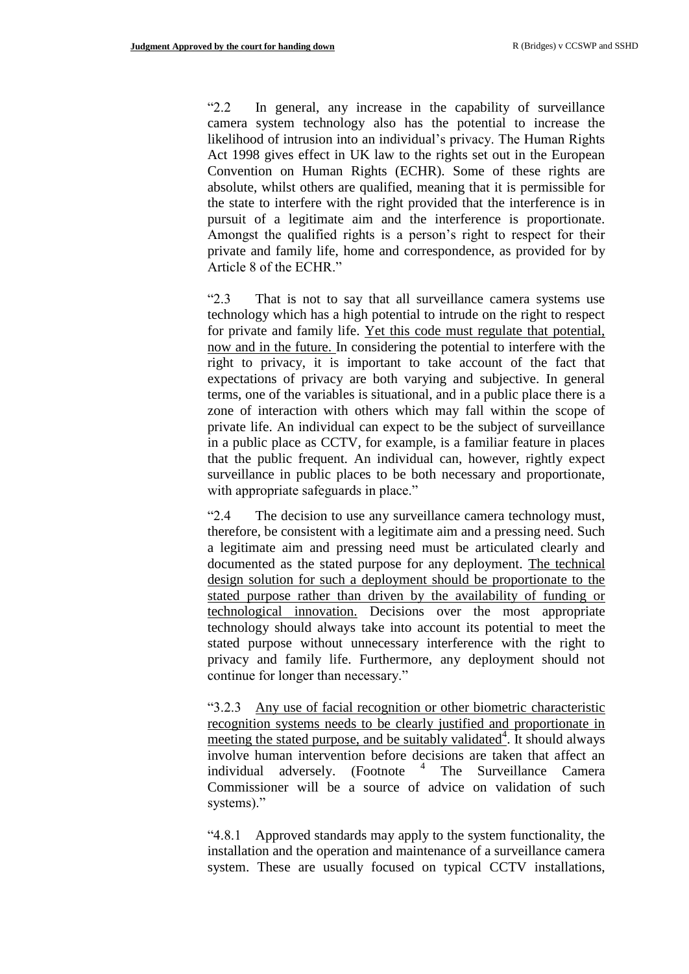"2.2 In general, any increase in the capability of surveillance camera system technology also has the potential to increase the likelihood of intrusion into an individual's privacy. The Human Rights Act 1998 gives effect in UK law to the rights set out in the European Convention on Human Rights (ECHR). Some of these rights are absolute, whilst others are qualified, meaning that it is permissible for the state to interfere with the right provided that the interference is in pursuit of a legitimate aim and the interference is proportionate. Amongst the qualified rights is a person's right to respect for their private and family life, home and correspondence, as provided for by Article 8 of the ECHR."

"2.3 That is not to say that all surveillance camera systems use technology which has a high potential to intrude on the right to respect for private and family life. Yet this code must regulate that potential, now and in the future. In considering the potential to interfere with the right to privacy, it is important to take account of the fact that expectations of privacy are both varying and subjective. In general terms, one of the variables is situational, and in a public place there is a zone of interaction with others which may fall within the scope of private life. An individual can expect to be the subject of surveillance in a public place as CCTV, for example, is a familiar feature in places that the public frequent. An individual can, however, rightly expect surveillance in public places to be both necessary and proportionate, with appropriate safeguards in place."

"2.4 The decision to use any surveillance camera technology must, therefore, be consistent with a legitimate aim and a pressing need. Such a legitimate aim and pressing need must be articulated clearly and documented as the stated purpose for any deployment. The technical design solution for such a deployment should be proportionate to the stated purpose rather than driven by the availability of funding or technological innovation. Decisions over the most appropriate technology should always take into account its potential to meet the stated purpose without unnecessary interference with the right to privacy and family life. Furthermore, any deployment should not continue for longer than necessary."

"3.2.3 Any use of facial recognition or other biometric characteristic recognition systems needs to be clearly justified and proportionate in meeting the stated purpose, and be suitably validated<sup>4</sup>. It should always involve human intervention before decisions are taken that affect an individual adversely. (Footnote <sup>4</sup> The Surveillance Camera Commissioner will be a source of advice on validation of such systems)."

"4.8.1 Approved standards may apply to the system functionality, the installation and the operation and maintenance of a surveillance camera system. These are usually focused on typical CCTV installations,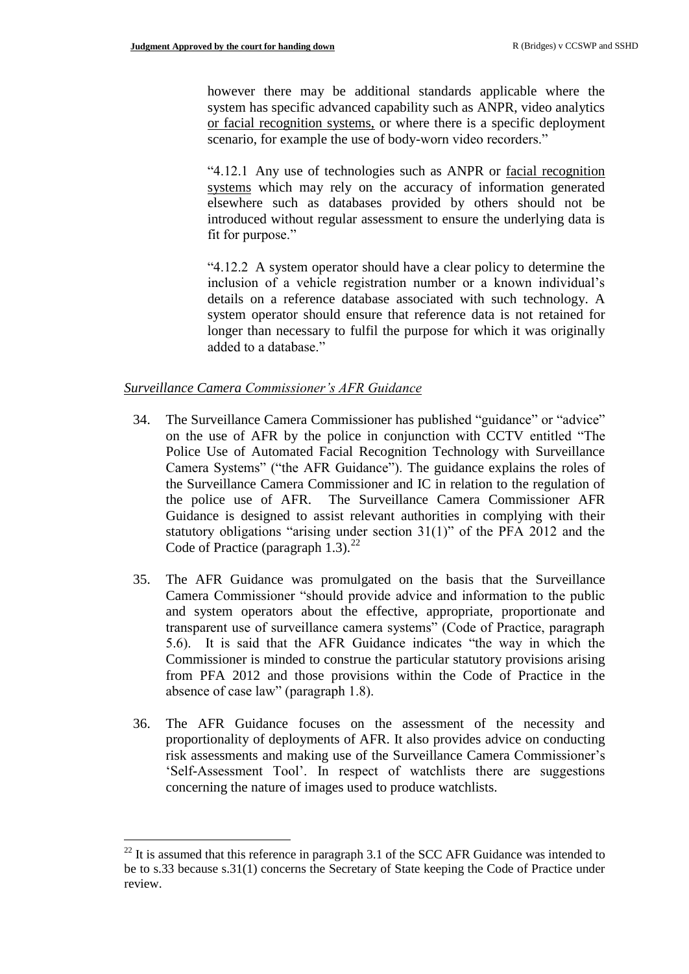however there may be additional standards applicable where the system has specific advanced capability such as ANPR, video analytics or facial recognition systems, or where there is a specific deployment scenario, for example the use of body-worn video recorders."

"4.12.1 Any use of technologies such as ANPR or facial recognition systems which may rely on the accuracy of information generated elsewhere such as databases provided by others should not be introduced without regular assessment to ensure the underlying data is fit for purpose."

"4.12.2 A system operator should have a clear policy to determine the inclusion of a vehicle registration number or a known individual's details on a reference database associated with such technology. A system operator should ensure that reference data is not retained for longer than necessary to fulfil the purpose for which it was originally added to a database."

### *Surveillance Camera Commissioner's AFR Guidance*

 $\overline{a}$ 

- 34. The Surveillance Camera Commissioner has published "guidance" or "advice" on the use of AFR by the police in conjunction with CCTV entitled "The Police Use of Automated Facial Recognition Technology with Surveillance Camera Systems" ("the AFR Guidance"). The guidance explains the roles of the Surveillance Camera Commissioner and IC in relation to the regulation of the police use of AFR. The Surveillance Camera Commissioner AFR Guidance is designed to assist relevant authorities in complying with their statutory obligations "arising under section 31(1)" of the PFA 2012 and the Code of Practice (paragraph  $1.3$ ).<sup>22</sup>
- 35. The AFR Guidance was promulgated on the basis that the Surveillance Camera Commissioner "should provide advice and information to the public and system operators about the effective, appropriate, proportionate and transparent use of surveillance camera systems" (Code of Practice, paragraph 5.6). It is said that the AFR Guidance indicates "the way in which the Commissioner is minded to construe the particular statutory provisions arising from PFA 2012 and those provisions within the Code of Practice in the absence of case law" (paragraph 1.8).
- 36. The AFR Guidance focuses on the assessment of the necessity and proportionality of deployments of AFR. It also provides advice on conducting risk assessments and making use of the Surveillance Camera Commissioner's 'Self-Assessment Tool'. In respect of watchlists there are suggestions concerning the nature of images used to produce watchlists.

 $22$  It is assumed that this reference in paragraph 3.1 of the SCC AFR Guidance was intended to be to s.33 because s.31(1) concerns the Secretary of State keeping the Code of Practice under review.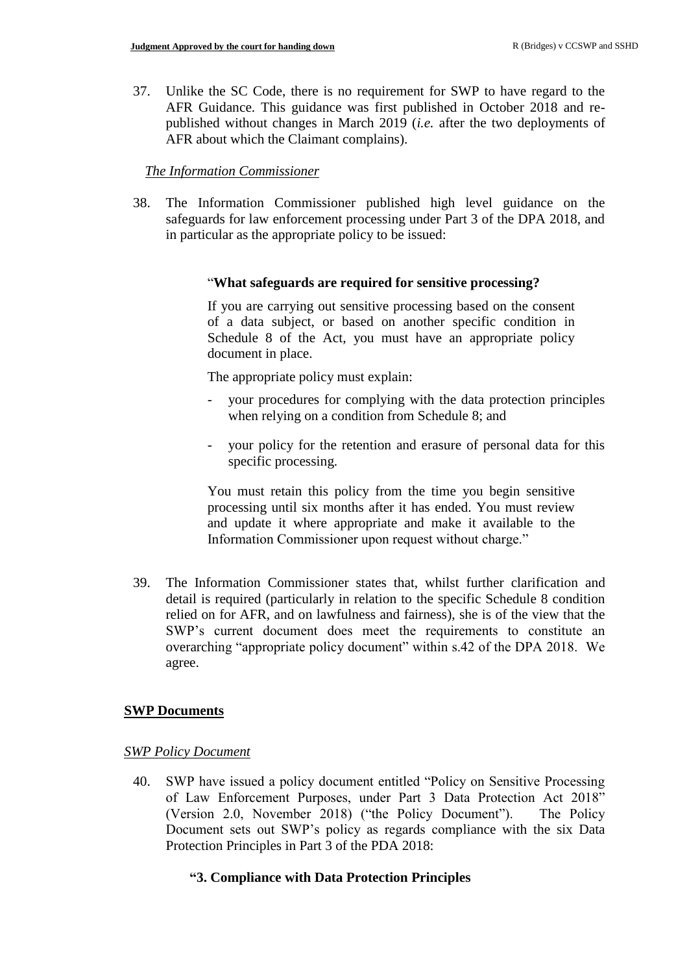37. Unlike the SC Code, there is no requirement for SWP to have regard to the AFR Guidance. This guidance was first published in October 2018 and republished without changes in March 2019 (*i.e.* after the two deployments of AFR about which the Claimant complains).

## *The Information Commissioner*

38. The Information Commissioner published high level guidance on the safeguards for law enforcement processing under Part 3 of the DPA 2018, and in particular as the appropriate policy to be issued:

### "**What safeguards are required for sensitive processing?**

If you are carrying out sensitive processing based on the consent of a data subject, or based on another specific condition in Schedule 8 of the Act, you must have an appropriate policy document in place.

The appropriate policy must explain:

- your procedures for complying with the data protection principles when relying on a condition from Schedule 8; and
- your policy for the retention and erasure of personal data for this specific processing.

You must retain this policy from the time you begin sensitive processing until six months after it has ended. You must review and update it where appropriate and make it available to the Information Commissioner upon request without charge."

39. The Information Commissioner states that, whilst further clarification and detail is required (particularly in relation to the specific Schedule 8 condition relied on for AFR, and on lawfulness and fairness), she is of the view that the SWP's current document does meet the requirements to constitute an overarching "appropriate policy document" within s.42 of the DPA 2018. We agree.

## **SWP Documents**

### *SWP Policy Document*

40. SWP have issued a policy document entitled "Policy on Sensitive Processing of Law Enforcement Purposes, under Part 3 Data Protection Act 2018" (Version 2.0, November 2018) ("the Policy Document"). The Policy Document sets out SWP's policy as regards compliance with the six Data Protection Principles in Part 3 of the PDA 2018:

## **"3. Compliance with Data Protection Principles**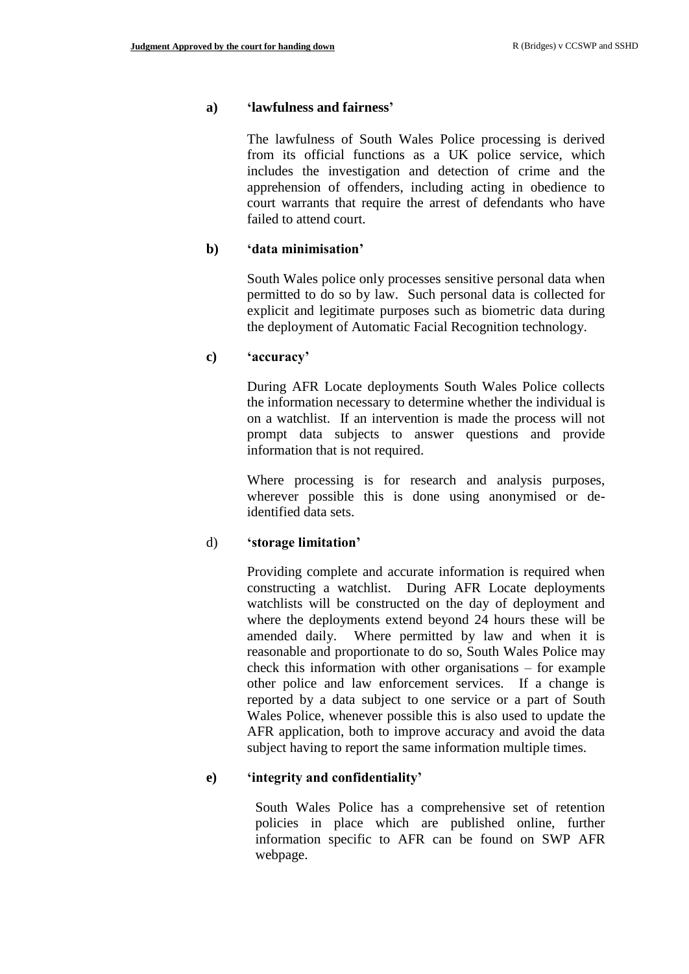#### **a) 'lawfulness and fairness'**

The lawfulness of South Wales Police processing is derived from its official functions as a UK police service, which includes the investigation and detection of crime and the apprehension of offenders, including acting in obedience to court warrants that require the arrest of defendants who have failed to attend court.

#### **b) 'data minimisation'**

South Wales police only processes sensitive personal data when permitted to do so by law. Such personal data is collected for explicit and legitimate purposes such as biometric data during the deployment of Automatic Facial Recognition technology.

#### **c) 'accuracy'**

During AFR Locate deployments South Wales Police collects the information necessary to determine whether the individual is on a watchlist. If an intervention is made the process will not prompt data subjects to answer questions and provide information that is not required.

Where processing is for research and analysis purposes, wherever possible this is done using anonymised or deidentified data sets.

### d) **'storage limitation'**

Providing complete and accurate information is required when constructing a watchlist. During AFR Locate deployments watchlists will be constructed on the day of deployment and where the deployments extend beyond 24 hours these will be amended daily. Where permitted by law and when it is reasonable and proportionate to do so, South Wales Police may check this information with other organisations – for example other police and law enforcement services. If a change is reported by a data subject to one service or a part of South Wales Police, whenever possible this is also used to update the AFR application, both to improve accuracy and avoid the data subject having to report the same information multiple times.

### **e) 'integrity and confidentiality'**

South Wales Police has a comprehensive set of retention policies in place which are published online, further information specific to AFR can be found on SWP AFR webpage.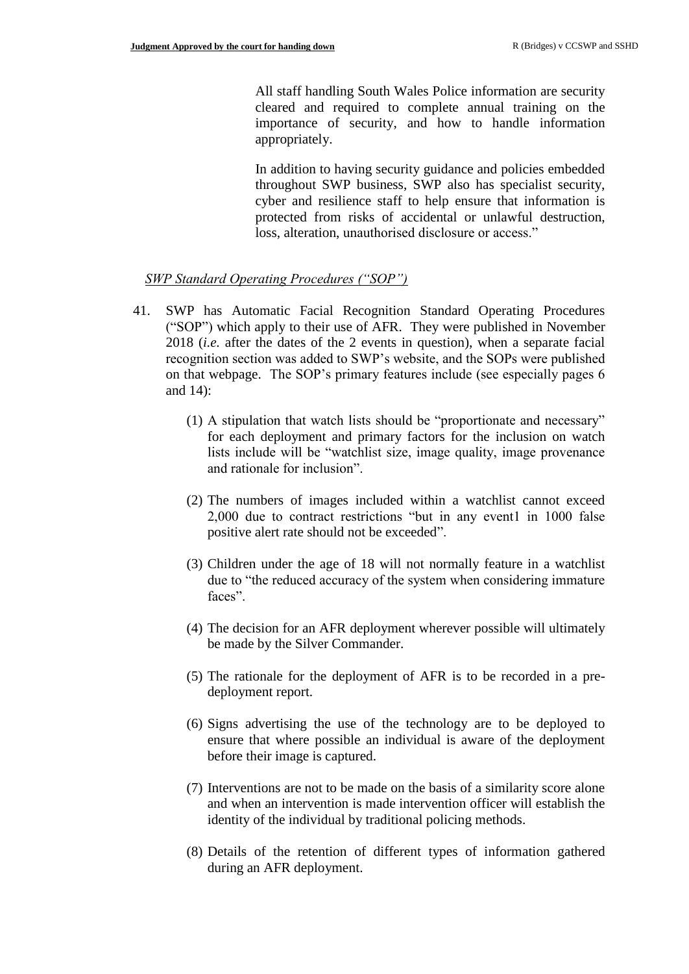All staff handling South Wales Police information are security cleared and required to complete annual training on the importance of security, and how to handle information appropriately.

In addition to having security guidance and policies embedded throughout SWP business, SWP also has specialist security, cyber and resilience staff to help ensure that information is protected from risks of accidental or unlawful destruction, loss, alteration, unauthorised disclosure or access."

### *SWP Standard Operating Procedures ("SOP")*

- 41. SWP has Automatic Facial Recognition Standard Operating Procedures ("SOP") which apply to their use of AFR. They were published in November 2018 (*i.e.* after the dates of the 2 events in question), when a separate facial recognition section was added to SWP's website, and the SOPs were published on that webpage. The SOP's primary features include (see especially pages 6 and 14):
	- (1) A stipulation that watch lists should be "proportionate and necessary" for each deployment and primary factors for the inclusion on watch lists include will be "watchlist size, image quality, image provenance and rationale for inclusion".
	- (2) The numbers of images included within a watchlist cannot exceed 2,000 due to contract restrictions "but in any event1 in 1000 false positive alert rate should not be exceeded".
	- (3) Children under the age of 18 will not normally feature in a watchlist due to "the reduced accuracy of the system when considering immature faces".
	- (4) The decision for an AFR deployment wherever possible will ultimately be made by the Silver Commander.
	- (5) The rationale for the deployment of AFR is to be recorded in a predeployment report.
	- (6) Signs advertising the use of the technology are to be deployed to ensure that where possible an individual is aware of the deployment before their image is captured.
	- (7) Interventions are not to be made on the basis of a similarity score alone and when an intervention is made intervention officer will establish the identity of the individual by traditional policing methods.
	- (8) Details of the retention of different types of information gathered during an AFR deployment.